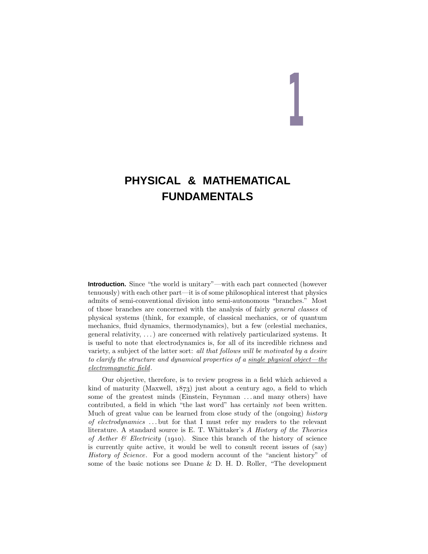# **1**

# **PHYSICAL & MATHEMATICAL FUNDAMENTALS**

**Introduction.** Since "the world is unitary"—with each part connected (however tenuously) with each other part—it is of some philosophical interest that physics admits of semi-conventional division into semi-autonomous "branches." Most of those branches are concerned with the analysis of fairly general classes of physical systems (think, for example, of classical mechanics, or of quantum mechanics, fluid dynamics, thermodynamics), but a few (celestial mechanics, general relativity, *...*) are concerned with relatively particularized systems. It is useful to note that electrodynamics is, for all of its incredible richness and variety, a subject of the latter sort: all that follows will be motivated by a desire to clarify the structure and dynamical properties of a single physical object—the electromagnetic field.

Our objective, therefore, is to review progress in a field which achieved a kind of maturity (Maxwell,  $1873$ ) just about a century ago, a field to which some of the greatest minds (Einstein, Feynman ...and many others) have contributed, a field in which "the last word" has certainly not been written. Much of great value can be learned from close study of the (ongoing) history of electrodynamics *...* but for that I must refer my readers to the relevant literature. A standard source is E. T. Whittaker's A History of the Theories of Aether  $\mathscr B$  Electricity (1910). Since this branch of the history of science is currently quite active, it would be well to consult recent issues of  $(say)$ History of Science. For a good modern account of the "ancient history" of some of the basic notions see Duane  $&$  D. H. D. Roller, "The development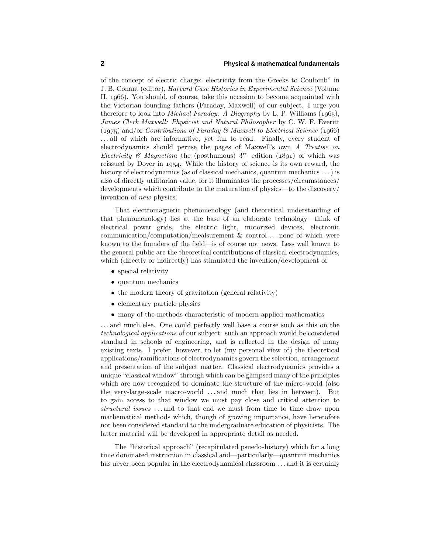of the concept of electric charge: electricity from the Greeks to Coulomb" in J. B. Conant (editor), Harvard Case Histories in Experimental Science (Volume II,  $1966$ ). You should, of course, take this occasion to become acquainted with the Victorian founding fathers (Faraday, Maxwell) of our subject. I urge you therefore to look into *Michael Faraday: A Biography* by L. P. Williams  $(1965)$ , James Clerk Maxwell: Physicist and Natural Philosopher by C. W. F. Everitt  $(1975)$  and/or *Contributions of Faraday & Maxwell to Electrical Science* (1966) ...all of which are informative, yet fun to read. Finally, every student of electrodynamics should peruse the pages of Maxwell's own A Treatise on Electricity & Magnetism the (posthumous)  $3^{rd}$  edition (1891) of which was reissued by Dover in 1954. While the history of science is its own reward, the history of electrodynamics (as of classical mechanics, quantum mechanics ...) is also of directly utilitarian value, for it illuminates the processes/circumstances/ developments which contribute to the maturation of physics—to the discovery/ invention of *new* physics.

That electromagnetic phenomenology (and theoretical understanding of that phenomenology) lies at the base of an elaborate technology—think of electrical power grids, the electric light, motorized devices, electronic communication/computation/mealsurement & control *...* none of which were known to the founders of the field—is of course not news. Less well known to the general public are the theoretical contributions of classical electrodynamics, which (directly or indirectly) has stimulated the invention/development of

- special relativity
- quantum mechanics
- the modern theory of gravitation (general relativity)
- elementary particle physics
- many of the methods characteristic of modern applied mathematics

*...* and much else. One could perfectly well base a course such as this on the technological applications of our subject: such an approach would be considered standard in schools of engineering, and is reflected in the design of many existing texts. I prefer, however, to let (my personal view of) the theoretical applications/ramifications of electrodynamics govern the selection, arrangement and presentation of the subject matter. Classical electrodynamics provides a unique "classical window" through which can be glimpsed many of the principles which are now recognized to dominate the structure of the micro-world (also the very-large-scale macro-world *...* and much that lies in between). But to gain access to that window we must pay close and critical attention to structural issues *...* and to that end we must from time to time draw upon mathematical methods which, though of growing importance, have heretofore not been considered standard to the undergraduate education of physicists. The latter material will be developed in appropriate detail as needed.

The "historical approach" (recapitulated psuedo-history) which for a long time dominated instruction in classical and—particularly—quantum mechanics has never been popular in the electrodynamical classroom *...* and it is certainly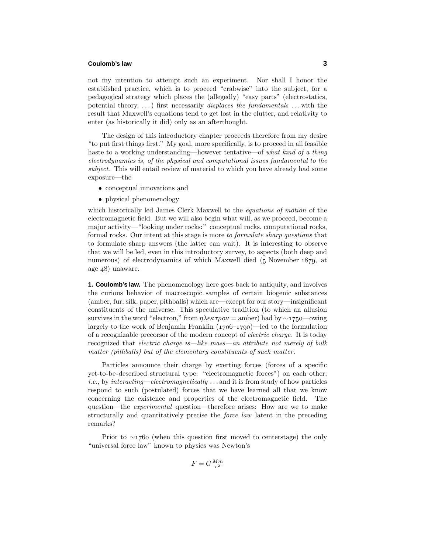not my intention to attempt such an experiment. Nor shall I honor the established practice, which is to proceed "crabwise" into the subject, for a pedagogical strategy which places the (allegedly) "easy parts" (electrostatics, potential theory, *...*) first necessarily displaces the fundamentals *...* with the result that Maxwell's equations tend to get lost in the clutter, and relativity to enter (as historically it did) only as an afterthought.

The design of this introductory chapter proceeds therefore from my desire "to put first things first." My goal, more specifically, is to proceed in all feasible haste to a working understanding—however tentative—of what kind of a thing electrodynamics is, of the physical and computational issues fundamental to the subject. This will entail review of material to which you have already had some exposure—the

- conceptual innovations and
- physical phenomenology

which historically led James Clerk Maxwell to the *equations of motion* of the electromagnetic field. But we will also begin what will, as we proceed, become a major activity—"looking under rocks:" conceptual rocks, computational rocks, formal rocks. Our intent at this stage is more to formulate sharp questions that to formulate sharp answers (the latter can wait). It is interesting to observe that we will be led, even in this introductory survey, to aspects (both deep and numerous) of electrodynamics of which Maxwell died  $(5 \text{ November } 1879, \text{ at } 500 \text{ m})$ age  $48$ ) unaware.

**1. Coulomb's law.** The phenomenology here goes back to antiquity, and involves the curious behavior of macroscopic samples of certain biogenic substances (amber, fur, silk, paper, pithballs) which are—except for our story—insignificant constituents of the universe. This speculative tradition (to which an allusion survives in the word "electron," from  $\eta \lambda \epsilon \kappa \tau \rho o \nu =$  amber) had by ~1750—owing largely to the work of Benjamin Franklin  $(1706-1790)$ —led to the formulation of a recognizable precorsor of the modern concept of electric charge. It is today recognized that electric charge is—like mass—an attribute not merely of bulk matter (pithballs) but of the elementary constituents of such matter.

Particles announce their charge by exerting forces (forces of a specific yet-to-be-described structural type: "electromagnetic forces") on each other; i.e.,by interacting—electromagnetically *...* and it is from study of how particles respond to such (postulated) forces that we have learned all that we know concerning the existence and properties of the electromagnetic field. The question—the experimental question—therefore arises: How are we to make structurally and quantitatively precise the *force law* latent in the preceding remarks?

Prior to  $\sim$  1760 (when this question first moved to centerstage) the only "universal force law" known to physics was Newton's

$$
F = G \frac{Mm}{r^2}
$$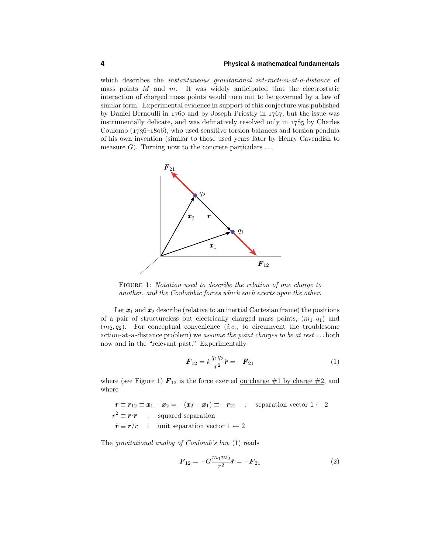which describes the *instantaneous gravitational interaction-at-a-distance* of mass points *M* and *m*. It was widely anticipated that the electrostatic interaction of charged mass points would turn out to be governed by a law of similar form. Experimental evidence in support of this conjecture was published by Daniel Bernoulli in  $1760$  and by Joseph Priestly in  $1767$ , but the issue was instrumentally delicate, and was definatively resolved only in  $1785$  by Charles Coulomb  $(1736-1806)$ , who used sensitive torsion balances and torsion pendula of his own invention (similar to those used years later by Henry Cavendish to measure *G*). Turning now to the concrete particulars *...*



FIGURE 1: Notation used to describe the relation of one charge to another, and the Coulombic forces which each exerts upon the other.

Let  $x_1$  and  $x_2$  describe (relative to an inertial Cartesian frame) the positions of a pair of structureless but electrically charged mass points,  $(m_1, q_1)$  and  $(m_2, q_2)$ . For conceptual convenience *(i.e.*, to circumvent the troublesome action-at-a-distance problem) we assume the point charges to be at rest *...* both now and in the "relevant past." Experimentally

$$
\boldsymbol{F}_{12} = k \frac{q_1 q_2}{r^2} \hat{\boldsymbol{r}} = -\boldsymbol{F}_{21} \tag{1}
$$

where (see Figure 1)  $\mathbf{F}_{12}$  is the force exerted <u>on charge #1 by charge #2</u>, and where

 $\mathbf{r} \equiv \mathbf{r}_{12} \equiv \mathbf{x}_1 - \mathbf{x}_2 = -(\mathbf{x}_2 - \mathbf{x}_1) \equiv -\mathbf{r}_{21}$  : separation vector  $1 \leftarrow 2$  $r^2 \equiv \mathbf{r} \cdot \mathbf{r}$  : squared separation  $\hat{\mathbf{r}} \equiv \mathbf{r}/r$  : unit separation vector  $1 \leftarrow 2$ 

The gravitational analog of Coulomb's law (1) reads

$$
\boldsymbol{F}_{12} = -G\frac{m_1 m_2}{r^2}\hat{\boldsymbol{r}} = -\boldsymbol{F}_{21} \tag{2}
$$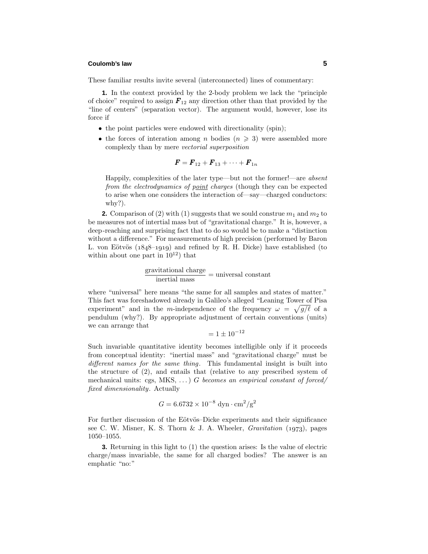These familiar results invite several (interconnected) lines of commentary:

**1.** In the context provided by the 2-body problem we lack the "principle of choice" required to assign  $\mathbf{F}_{12}$  any direction other than that provided by the "line of centers" (separation vector). The argument would, however, lose its force if

- the point particles were endowed with directionality (spin);
- the forces of interation among *n* bodies  $(n \geq 3)$  were assembled more complexly than by mere vectorial superposition

$$
\boldsymbol{F} = \boldsymbol{F}_{12} + \boldsymbol{F}_{13} + \cdots + \boldsymbol{F}_{1n}
$$

Happily, complexities of the later type—but not the former!—are *absent* from the electrodynamics of point charges (though they can be expected to arise when one considers the interaction of—say—charged conductors: why?).

**2.** Comparison of (2) with (1) suggests that we sould construe  $m_1$  and  $m_2$  to be measures not of intertial mass but of "gravitational charge." It is, however, a deep-reaching and surprising fact that to do so would be to make a "distinction without a difference." For measurements of high precision (performed by Baron L. von Eötvös ( $1848-1919$ ) and refined by R. H. Dicke) have established (to within about one part in  $10^{12}$ ) that

 $\frac{\text{gravitational charge}}{\text{inertial mass}}$  = universal constant

where "universal" here means "the same for all samples and states of matter." This fact was foreshadowed already in Galileo's alleged "Leaning Tower of Pisa experiment" and in the *m*-independence of the frequency  $\omega = \sqrt{g/\ell}$  of a pendulum (why?). By appropriate adjustment of certain conventions (units) we can arrange that

$$
=1\pm10^{-12}
$$

Such invariable quantitative identity becomes intelligible only if it proceeds from conceptual identity: "inertial mass" and "gravitational charge" must be different names for the same thing. This fundamental insight is built into the structure of  $(2)$ , and entails that (relative to any prescribed system of mechanical units: cgs,  $MKS$ ,  $\ldots$ ) *G* becomes an empirical constant of forced/ fixed dimensionality. Actually

$$
G = 6.6732 \times 10^{-8} \text{ dyn} \cdot \text{cm}^2/\text{g}^2
$$

For further discussion of the Eötvös–Dicke experiments and their significance see C. W. Misner, K. S. Thorn & J. A. Wheeler,  $Gravitation$  (1973), pages 1050–1055.

**3.** Returning in this light to (1) the question arises: Is the value of electric  $\langle \text{charge/mass}\rangle$  invariable, the same for all charged bodies? The answer is an emphatic "no:"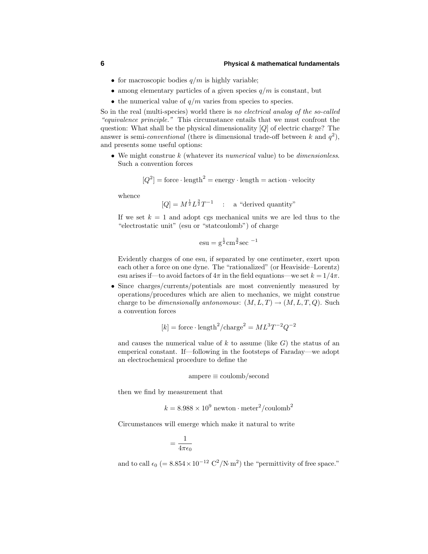- for macroscopic bodies  $q/m$  is highly variable;
- among elementary particles of a given species  $q/m$  is constant, but
- the numerical value of  $q/m$  varies from species to species.

So in the real (multi-species) world there is no electrical analog of the so-called "equivalence principle." This circumstance entails that we must confront the question: What shall be the physical dimensionality [*Q*] of electric charge? The answer is semi-*conventional* (there is dimensional trade-off between  $k$  and  $q<sup>2</sup>$ ), and presents some useful options:

• We might construe *k* (whatever its numerical value) to be dimensionless. Such a convention forces

$$
[Q2] = force \cdot length2 = energy \cdot length = action \cdot velocity
$$

whence

$$
[Q] = M^{\frac{1}{2}} L^{\frac{3}{2}} T^{-1} \quad : \quad \text{a "derived quantity"}
$$

If we set  $k = 1$  and adopt cgs mechanical units we are led thus to the "electrostatic unit" (esu or "statcoulomb") of charge

$$
esu = g^{\frac{1}{2}} cm^{\frac{3}{2}} sec^{-1}
$$

Evidently charges of one esu, if separated by one centimeter, exert upon each other a force on one dyne. The "rationalized" (or Heaviside–Lorentz) esu arises if—to avoid factors of  $4\pi$  in the field equations—we set  $k = 1/4\pi$ .

• Since charges/currents/potentials are most conveniently measured by operations/procedures which are alien to mechanics, we might construe charge to be *dimensionally antonomous:*  $(M, L, T) \rightarrow (M, L, T, Q)$ . Such a convention forces

$$
[k] = \text{force} \cdot \text{length}^2 / \text{charge}^2 = ML^3 T^{-2} Q^{-2}
$$

and causes the numerical value of *k* to assume (like *G*) the status of an emperical constant. If—following in the footsteps of Faraday—we adopt an electrochemical procedure to define the

$$
ampere \equiv coulomb/second
$$

then we find by measurement that

$$
k = 8.988 \times 10^9
$$
 newton · meter<sup>2</sup>/coulomb<sup>2</sup>

Circumstances will emerge which make it natural to write

$$
= \frac{1}{4\pi\epsilon_0}
$$

and to call  $\epsilon_0$  (= 8.854 × 10<sup>-12</sup> C<sup>2</sup>/N·m<sup>2</sup>) the "permittivity of free space."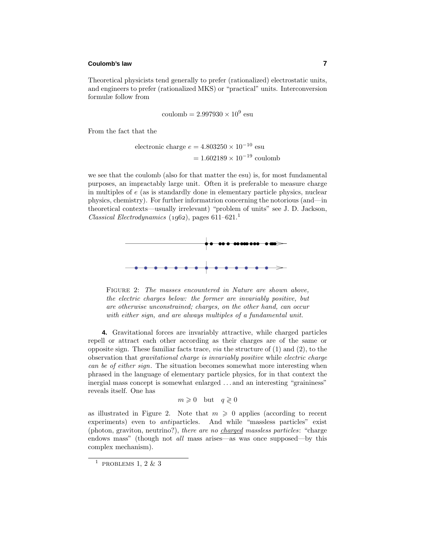Theoretical physicists tend generally to prefer (rationalized) electrostatic units, and engineers to prefer (rationalized MKS) or "practical" units. Interconversion formulæ follow from

$$
coulomb = 2.997930 \times 10^9 \text{ esu}
$$

From the fact that the

electronic charge 
$$
e = 4.803250 \times 10^{-10}
$$
 esu  
=  $1.602189 \times 10^{-19}$  coulomb

we see that the coulomb (also for that matter the esu) is, for most fundamental purposes,an impractably large unit. Often it is preferable to measure charge in multiples of  $e$  (as is standardly done in elementary particle physics, nuclear physics, chemistry). For further informatrion concerning the notorious (and—in theoretical contexts—usually irrelevant) "problem of units" see J. D. Jackson, Classical Electrodynamics (1962), pages  $611-621$ <sup>1</sup>



FIGURE 2: The masses encountered in Nature are shown above, the electric charges below: the former are invariably positive, but are otherwise unconstrained; charges, on the other hand, can occur with either sign, and are always multiples of a fundamental unit.

**4.** Gravitational forces are invariably attractive, while charged particles repell or attract each other according as their charges are of the same or opposite sign. These familiar facts trace, *via* the structure of  $(1)$  and  $(2)$ , to the observation that gravitational charge is invariably positive while electric charge can be of either sign. The situation becomes somewhat more interesting when phrased in the language of elementary particle physics,for in that context the inergial mass concept is somewhat enlarged *...* and an interesting "graininess" reveals itself. One has

$$
m \geqslant 0 \quad \text{but} \quad q \geqslant 0
$$

as illustrated in Figure 2. Note that  $m \geq 0$  applies (according to recent experiments) even to antiparticles. And while "massless particles" exist (photon, graviton, neutrino?), there are no charged massless particles: "charge endows mass" (though not *all* mass arises—as was once supposed—by this complex mechanism).

 $^1$  problems 1, 2  $\&$  3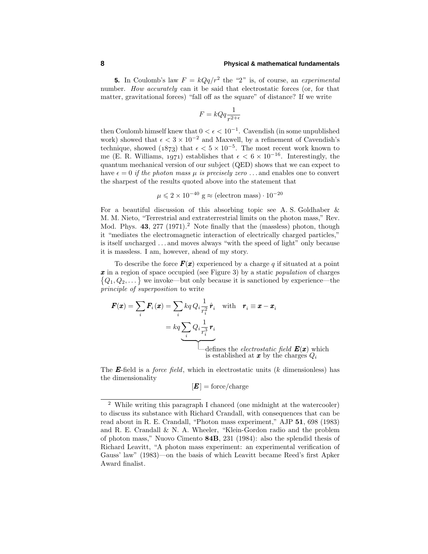**5.** In Coulomb's law  $F = kQq/r^2$  the "2" is, of course, an experimental number. How accurately can it be said that electrostatic forces (or, for that matter, gravitational forces) "fall off as the square" of distance? If we write

$$
F = kQq \frac{1}{r^{2+\epsilon}}
$$

then Coulomb himself knew that  $0 < \epsilon < 10^{-1}$ . Cavendish (in some unpublished work) showed that  $\epsilon < 3 \times 10^{-2}$  and Maxwell, by a refinement of Cavendish's technique, showed ( $1873$ ) that  $\epsilon < 5 \times 10^{-5}$ . The most recent work known to me (E. R. Williams, 1971) establishes that  $\epsilon < 6 \times 10^{-16}$ . Interestingly, the quantum mechanical version of our subject (QED) shows that we can expect to have  $\epsilon = 0$  if the photon mass  $\mu$  is precisely zero ... and enables one to convert the sharpest of the results quoted above into the statement that

$$
\mu \leq 2 \times 10^{-40} \text{ g} \approx \text{(electron mass)} \cdot 10^{-20}
$$

For a beautiful discussion of this absorbing topic see A. S. Goldhaber & M. M. Nieto,"Terrestrial and extraterrestrial limits on the photon mass," Rev. Mod. Phys.  $43$ ,  $277$   $(1971)$ .<sup>2</sup> Note finally that the (massless) photon, though it "mediates the electromagnetic interaction of electrically charged particles," is itself uncharged *...* and moves always "with the speed of light" only because it is massless. I am, however, ahead of my story.

To describe the force  $\bm{F}(\bm{x})$  experienced by a charge q if situated at a point *x* in a region of space occupied (see Figure 3) by a static population of charges  $\{Q_1, Q_2, \dots\}$  we invoke—but only because it is sanctioned by experience—the principle of superposition to write

$$
\mathbf{F}(\mathbf{x}) = \sum_{i} \mathbf{F}_{i}(\mathbf{x}) = \sum_{i} kq Q_{i} \frac{1}{r_{i}^{2}} \hat{\mathbf{r}}_{i} \text{ with } \mathbf{r}_{i} \equiv \mathbf{x} - \mathbf{x}_{i}
$$
\n
$$
= kq \underbrace{\sum_{i} Q_{i} \frac{1}{r_{i}^{3}} \mathbf{r}_{i}}_{\text{defines the electrostatic field } \mathbf{E}(\mathbf{x}) \text{ which}
$$
\nis established at **x** by the charges  $Q_{i}$ 

The **E**-field is a *force field*, which in electrostatic units (*k* dimensionless) has the dimensionality

$$
[\boldsymbol{E}] = \text{force}/\text{charge}
$$

<sup>2</sup> While writing this paragraph I chanced (one midnight at the watercooler) to discuss its substance with Richard Crandall,with consequences that can be read about in R. E. Crandall,"Photon mass experiment," AJP **51**,698 (1983) and R. E. Crandall  $\& N$ . A. Wheeler, "Klein-Gordon radio and the problem of photon mass," Nuovo Cimento **84B**,231 (1984): also the splendid thesis of Richard Leavitt,"A photon mass experiment: an experimental verification of Gauss' law" (1983)—on the basis of which Leavitt became Reed's first Apker Award finalist.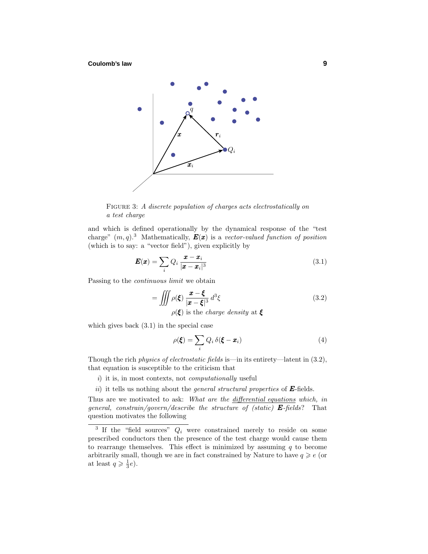

FIGURE 3: A discrete population of charges acts electrostatically on a test charge

and which is defined operationally by the dynamical response of the "test charge"  $(m, q)$ <sup>3</sup> Mathematically,  $\mathbf{E}(\mathbf{x})$  is a vector-valued function of position (which is to say: a "vector field"), given explicitly by

$$
\boldsymbol{E}(\boldsymbol{x}) = \sum_{i} Q_i \frac{\boldsymbol{x} - \boldsymbol{x}_i}{|\boldsymbol{x} - \boldsymbol{x}_i|^3}
$$
(3.1)

Passing to the continuous limit we obtain

$$
= \iiint \rho(\xi) \frac{x - \xi}{|x - \xi|^3} d^3\xi
$$
 (3.2)

*ρ*(*ξ*) is the charge density at *ξ*

which gives back (3.1) in the special case

$$
\rho(\boldsymbol{\xi}) = \sum_{i} Q_i \, \delta(\boldsymbol{\xi} - \boldsymbol{x}_i) \tag{4}
$$

Though the rich *physics of electrostatic fields* is—in its entirety—latent in  $(3.2)$ , that equation is susceptible to the criticism that

- $i)$  it is, in most contexts, not *computationally* useful
- ii) it tells us nothing about the *general structural properties* of *E*-fields.

Thus are we motivated to ask: What are the differential equations which, in general, constrain/govern/describe the structure of (static) *E*-fields? That question motivates the following

<sup>3</sup> If the "field sources" *Q<sup>i</sup>* were constrained merely to reside on some prescribed conductors then the presence of the test charge would cause them to rearrange themselves. This effect is minimized by assuming  $q$  to become arbitrarily small, though we are in fact constrained by Nature to have  $q \geq e$  (or at least  $q \geqslant \frac{1}{3}e$ ).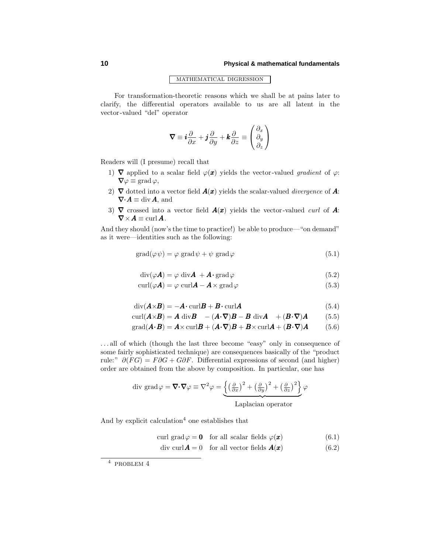## mathematical digression

For transformation-theoretic reasons which we shall be at pains later to clarify, the differential operators available to us are all latent in the vector-valued "del" operator

$$
\nabla \equiv \boldsymbol{i} \frac{\partial}{\partial x} + \boldsymbol{j} \frac{\partial}{\partial y} + \boldsymbol{k} \frac{\partial}{\partial z} \equiv \begin{pmatrix} \partial_x \\ \partial_y \\ \partial_z \end{pmatrix}
$$

Readers will (I presume) recall that

- 1)  $\nabla$  applied to a scalar field  $\varphi(\mathbf{x})$  yields the vector-valued *gradient* of  $\varphi$ :  $\nabla \varphi \equiv \text{grad }\varphi,$
- 2)  $\nabla$  dotted into a vector field  $A(x)$  yields the scalar-valued *divergence* of **A**:  $\nabla \cdot \mathbf{A} \equiv \text{div}\,\mathbf{A}$ , and
- 3)  $\nabla$  crossed into a vector field  $A(x)$  yields the vector-valued *curl* of  $\vec{A}$ :  $\nabla \times A \equiv \text{curl } A$ .

And they should (now's the time to practice!) be able to produce—"on demand" as it were—identities such as the following:

$$
grad(\varphi \psi) = \varphi \, grad \psi + \psi \, grad \varphi \tag{5.1}
$$

$$
\operatorname{div}(\varphi \mathbf{A}) = \varphi \operatorname{div} \mathbf{A} + \mathbf{A} \cdot \operatorname{grad} \varphi \tag{5.2}
$$

$$
\operatorname{curl}(\varphi \mathbf{A}) = \varphi \operatorname{curl} \mathbf{A} - \mathbf{A} \times \operatorname{grad} \varphi \tag{5.3}
$$

$$
\operatorname{div}(\boldsymbol{A} \times \boldsymbol{B}) = -\boldsymbol{A} \cdot \operatorname{curl} \boldsymbol{B} + \boldsymbol{B} \cdot \operatorname{curl} \boldsymbol{A}
$$
\n(5.4)

$$
\operatorname{curl}(\boldsymbol{A}\times\boldsymbol{B})=\boldsymbol{A}\operatorname{div}\boldsymbol{B} -(\boldsymbol{A}\cdot\boldsymbol{\nabla})\boldsymbol{B}-\boldsymbol{B}\operatorname{div}\boldsymbol{A} +(\boldsymbol{B}\cdot\boldsymbol{\nabla})\boldsymbol{A} \qquad(5.5)
$$

$$
grad(\mathbf{A} \cdot \mathbf{B}) = \mathbf{A} \times curl\mathbf{B} + (\mathbf{A} \cdot \nabla)\mathbf{B} + \mathbf{B} \times curl\mathbf{A} + (\mathbf{B} \cdot \nabla)\mathbf{A}
$$
 (5.6)

*...* all of which (though the last three become "easy" only in consequence of some fairly sophisticated technique) are consequences basically of the "product rule:"  $\partial(FG) = F\partial G + G\partial F$ . Differential expressions of second (and higher) order are obtained from the above by composition. In particular, one has

div grad 
$$
\varphi = \nabla \cdot \nabla \varphi \equiv \nabla^2 \varphi = \underbrace{\left\{ \left( \frac{\partial}{\partial x} \right)^2 + \left( \frac{\partial}{\partial y} \right)^2 + \left( \frac{\partial}{\partial z} \right)^2 \right\}}_{\text{Laplacian operator}} \varphi
$$

And by explicit calculation<sup>4</sup> one establishes that

curl grad $\varphi = \mathbf{0}$  for all scalar fields  $\varphi(\mathbf{x})$  (6.1)

$$
\text{div curl}\mathbf{A} = 0 \quad \text{for all vector fields } \mathbf{A}(\mathbf{x}) \tag{6.2}
$$

 $4$  PROBLEM  $4$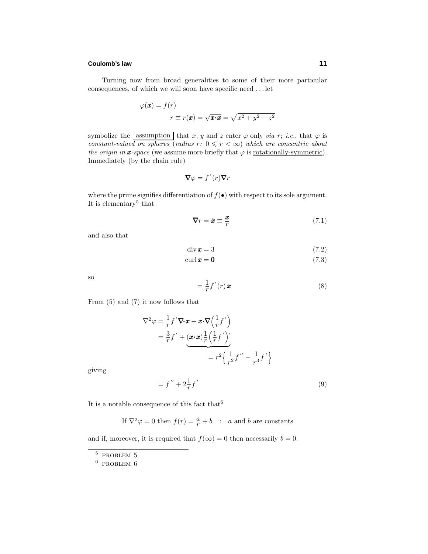Turning now from broad generalities to some of their more particular consequences, of which we will soon have specific need ... let

$$
\varphi(\mathbf{x}) = f(r)
$$

$$
r \equiv r(\mathbf{x}) = \sqrt{\mathbf{x} \cdot \mathbf{x}} = \sqrt{x^2 + y^2 + z^2}
$$

symbolize the assumption that x, y and z enter  $\varphi$  only via r; i.e., that  $\varphi$  is constant-valued on spheres (radius  $r: 0 \leq r < \infty$ ) which are concentric about the origin in **x**-space (we assume more briefly that  $\varphi$  is <u>rotationally-symmetric</u>). Immediately (by the chain rule)

$$
\nabla \varphi = f'(r) \nabla r
$$

where the prime signifies differentiation of  $f(\bullet)$  with respect to its sole argument. It is elementary<sup>5</sup> that

$$
\nabla r = \hat{\boldsymbol{x}} \equiv \frac{\boldsymbol{x}}{r} \tag{7.1}
$$

and also that

$$
\operatorname{div} \boldsymbol{x} = 3 \tag{7.2}
$$

$$
\operatorname{curl} \boldsymbol{x} = \mathbf{0} \tag{7.3}
$$

so

$$
=\frac{1}{r}f'(r)\boldsymbol{x}\tag{8}
$$

From (5) and (7) it now follows that

$$
\nabla^2 \varphi = \frac{1}{r} f' \nabla \cdot \mathbf{x} + \mathbf{x} \cdot \nabla \left( \frac{1}{r} f' \right)
$$
  
=  $\frac{3}{r} f' + \underbrace{(\mathbf{x} \cdot \mathbf{x}) \frac{1}{r} \left( \frac{1}{r} f' \right)'}_{= r^2 \left\{ \frac{1}{r^2} f'' - \frac{1}{r^3} f' \right\}}$ 

giving

$$
=f'' + 2\frac{1}{r}f'
$$
\n<sup>(9)</sup>

It is a notable consequence of this fact that<br>  $\!6$ 

If  $\nabla^2 \varphi = 0$  then  $f(r) = \frac{a}{r} + b$  : *a* and *b* are constants

and if, moreover, it is required that  $f(x) = 0$  then necessarily  $b = 0$ .

 $5$  problem  $5$ 

<sup>6</sup> problem 6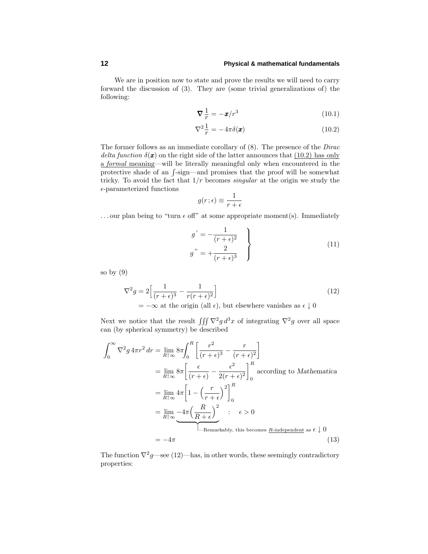We are in position now to state and prove the results we will need to carry forward the discussion of (3). They are (some trivial generalizations of) the following:

$$
\nabla \frac{1}{r} = -\boldsymbol{x}/r^3 \tag{10.1}
$$

$$
\nabla^2 \frac{1}{r} = -4\pi \delta(\boldsymbol{x}) \tag{10.2}
$$

The former follows as an immediate corollary of (8). The presence of the Dirac delta function  $\delta(\mathbf{x})$  on the right side of the latter announces that  $(10.2)$  has only a formal meaning—will be literally meaningful only when encountered in the protective shade of an  $\int$ -sign—and promises that the proof will be somewhat tricky. To avoid the fact that 1*/r* becomes singular at the origin we study the  $\epsilon$ -parameterized functions

$$
g(r; \epsilon) \equiv \frac{1}{r + \epsilon}
$$

 $\dots$  our plan being to "turn  $\epsilon$  off" at some appropriate moment(s). Immediately

$$
g' = -\frac{1}{(r+\epsilon)^2}
$$
  
\n
$$
g'' = +\frac{2}{(r+\epsilon)^3}
$$
\n(11)

so by (9)

$$
\nabla^2 g = 2 \left[ \frac{1}{(r+\epsilon)^3} - \frac{1}{r(r+\epsilon)^2} \right]
$$
\n(12)

 $= -\infty$  at the origin (all  $\epsilon$ ), but elsewhere vanishes as  $\epsilon \downarrow 0$ 

Next we notice that the result  $\iiint \nabla^2 g d^3x$  of integrating  $\nabla^2 g$  over all space can (by spherical symmetry) be described

$$
\int_0^\infty \nabla^2 g \, 4\pi r^2 \, dr = \lim_{R \uparrow \infty} 8\pi \int_0^R \left[ \frac{r^2}{(r+\epsilon)^3} - \frac{r}{(r+\epsilon)^2} \right]
$$
  
\n
$$
= \lim_{R \uparrow \infty} 8\pi \left[ \frac{\epsilon}{(r+\epsilon)} - \frac{\epsilon^2}{2(r+\epsilon)^2} \right]_0^R \text{ according to Mathematica}
$$
  
\n
$$
= \lim_{R \uparrow \infty} 4\pi \left[ 1 - \left( \frac{r}{r+\epsilon} \right)^2 \right]_0^R
$$
  
\n
$$
= \lim_{R \uparrow \infty} \frac{-4\pi \left( \frac{R}{R+\epsilon} \right)^2}{\left( \frac{R}{R+\epsilon} \right)^2} \quad : \quad \epsilon > 0
$$
  
\n
$$
= -4\pi
$$
 (13)

The function  $\nabla^2 g$ —see (12)—has, in other words, these seemingly contradictory properties: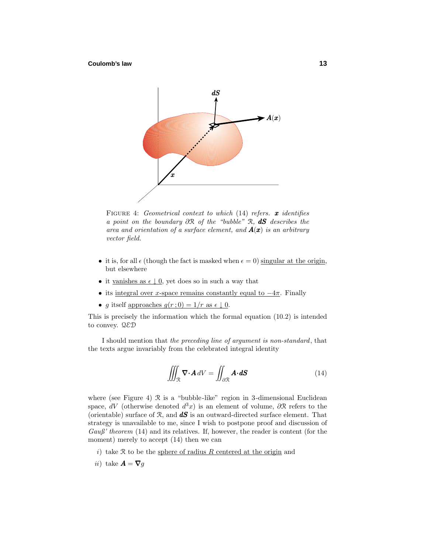

Figure 4: Geometrical context to which (14) refers. *x* identifies a point on the boundary *∂*R of the "bubble" R, *dS* describes the area and orientation of a surface element, and  $A(x)$  is an arbitrary vector field.

- it is, for all  $\epsilon$  (though the fact is masked when  $\epsilon = 0$ ) singular at the origin, but elsewhere
- it vanishes as  $\epsilon \downarrow 0$ , yet does so in such a way that
- its integral over *x*-space remains constantly equal to −4*π*. Finally
- *g* itself <u>approaches</u>  $q(r; 0) = 1/r$  as  $\epsilon \downarrow 0$ .

This is precisely the information which the formal equation (10.2) is intended to convey. QED

I should mention that the preceding line of argument is non-standard, that the texts argue invariably from the celebrated integral identity

$$
\iiint_{\mathcal{R}} \nabla \cdot \mathbf{A} \, dV = \iint_{\partial \mathcal{R}} \mathbf{A} \cdot d\mathbf{S} \tag{14}
$$

where (see Figure 4)  $\mathcal R$  is a "bubble-like" region in 3-dimensional Euclidean space,  $dV$  (otherwise denoted  $d^3x$ ) is an element of volume,  $\partial \mathcal{R}$  refers to the (orientable) surface of  $R$ , and  $dS$  is an outward-directed surface element. That strategy is unavailable to me, since I wish to postpone proof and discussion of  $Gau\beta'$  theorem (14) and its relatives. If, however, the reader is content (for the moment) merely to accept (14) then we can

- i) take R to be the sphere of radius *R* centered at the origin and
- ii) take  $\boldsymbol{A} = \boldsymbol{\nabla} g$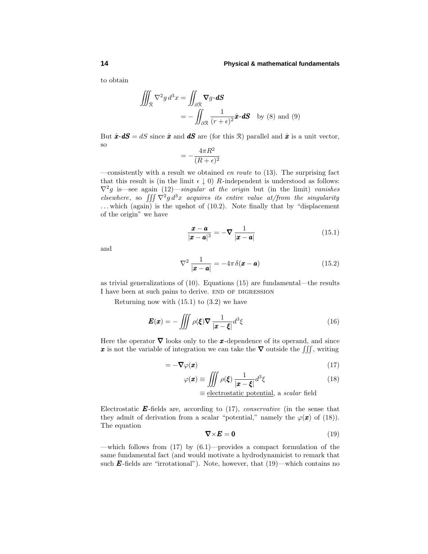to obtain

$$
\iiint_{\mathcal{R}} \nabla^2 g \, d^3 x = \iint_{\partial \mathcal{R}} \nabla g \cdot d\mathbf{S}
$$
  
=  $-\iint_{\partial \mathcal{R}} \frac{1}{(r+\epsilon)^2} \hat{\mathbf{x}} \cdot d\mathbf{S}$  by (8) and (9)

But  $\hat{x} \cdot dS = dS$  since  $\hat{x}$  and  $dS$  are (for this R) parallel and  $\hat{x}$  is a unit vector, so

$$
=-\frac{4\pi R^2}{(R+\epsilon)^2}
$$

—consistently with a result we obtained *en route* to  $(13)$ . The surprising fact that this result is (in the limit  $\epsilon \downarrow 0$ ) *R*-independent is understood as follows:  $\nabla^2 g$  is—see again (12)—singular at the origin but (in the limit) vanishes elsewhere, so  $\iiint \nabla^2 g d^3x$  acquires its entire value at/from the singularity *...* which (again) is the upshot of (10.2). Note finally that by "displacement of the origin" we have

$$
\frac{\boldsymbol{x} - \boldsymbol{a}}{|\boldsymbol{x} - \boldsymbol{a}|^3} = -\nabla \frac{1}{|\boldsymbol{x} - \boldsymbol{a}|}
$$
(15.1)

and

$$
\nabla^2 \frac{1}{|\mathbf{x} - \mathbf{a}|} = -4\pi \delta(\mathbf{x} - \mathbf{a})
$$
 (15.2)

as trivial generalizations of (10). Equations (15) are fundamental—the results I have been at such pains to derive. END OF DIGRESSION

Returning now with  $(15.1)$  to  $(3.2)$  we have

$$
\boldsymbol{E}(\boldsymbol{x}) = -\iiint \rho(\boldsymbol{\xi}) \boldsymbol{\nabla} \frac{1}{|\boldsymbol{x} - \boldsymbol{\xi}|} d^3 \boldsymbol{\xi}
$$
(16)

Here the operator  $\nabla$  looks only to the *x*-dependence of its operand, and since x is not the variable of integration we can take the  $\nabla$  outside the  $\iiint$ , writing

$$
= -\nabla \varphi(\boldsymbol{x}) \tag{17}
$$

$$
\varphi(\boldsymbol{x}) \equiv \iiint \rho(\boldsymbol{\xi}) \frac{1}{|\boldsymbol{x} - \boldsymbol{\xi}|} d^3 \boldsymbol{\xi}
$$
(18)

≡ electrostatic potential, a scalar field

Electrostatic  $\vec{E}$ -fields are, according to (17), *conservative* (in the sense that they admit of derivation from a scalar "potential," namely the  $\varphi(\mathbf{x})$  of (18)). The equation

$$
\nabla \times \boldsymbol{E} = \mathbf{0} \tag{19}
$$

—which follows from  $(17)$  by  $(6.1)$ —provides a compact formulation of the same fundamental fact (and would motivate a hydrodynamicist to remark that such  $E$ -fields are "irrotational"). Note, however, that  $(19)$ —which contains no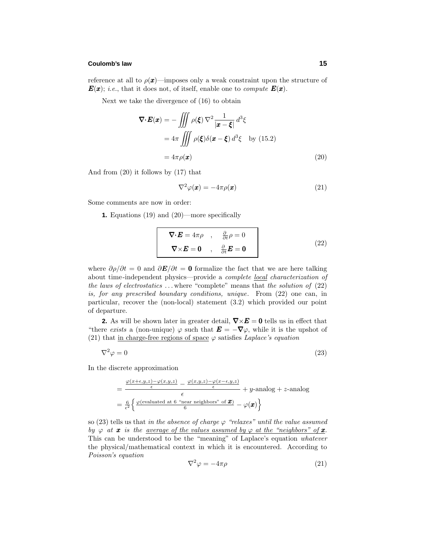reference at all to  $\rho(\mathbf{x})$ —imposes only a weak constraint upon the structure of  $E(x)$ ; *i.e.*, that it does not, of itself, enable one to *compute*  $E(x)$ .

Next we take the divergence of (16) to obtain

$$
\nabla \cdot \mathbf{E}(\mathbf{x}) = -\iiint \rho(\xi) \nabla^2 \frac{1}{|\mathbf{x} - \xi|} d^3 \xi
$$
  
=  $4\pi \iiint \rho(\xi) \delta(\mathbf{x} - \xi) d^3 \xi$  by (15.2)  
=  $4\pi \rho(\mathbf{x})$  (20)

And from (20) it follows by (17) that

$$
\nabla^2 \varphi(\boldsymbol{x}) = -4\pi \rho(\boldsymbol{x}) \tag{21}
$$

Some comments are now in order:

**1.** Equations (19) and (20)—more specifically

$$
\nabla \cdot \mathbf{E} = 4\pi \rho \quad , \quad \frac{\partial}{\partial t} \rho = 0
$$
  

$$
\nabla \times \mathbf{E} = \mathbf{0} \quad , \quad \frac{\partial}{\partial t} \mathbf{E} = \mathbf{0}
$$
 (22)

where  $\partial \rho / \partial t = 0$  and  $\partial E / \partial t = 0$  formalize the fact that we are here talking about time-independent physics—provide a *complete local characterization of* the laws of electrostatics *...* where "complete" means that the solution of (22) is, for any prescribed boundary conditions, unique. From  $(22)$  one can, in particular, recover the (non-local) statement  $(3.2)$  which provided our point of departure.

**2.** As will be shown later in greater detail,  $\nabla \times \vec{E} = 0$  tells us in effect that "there exists a (non-unique)  $\varphi$  such that  $\mathbf{E} = -\nabla \varphi$ , while it is the upshot of (21) that <u>in charge-free regions of space</u>  $\varphi$  satisfies *Laplace's equation* 

$$
\nabla^2 \varphi = 0 \tag{23}
$$

In the discrete approximation

$$
= \frac{\frac{\varphi(x+\epsilon,y,z)-\varphi(x,y,z)}{\epsilon} - \frac{\varphi(x,y,z)-\varphi(x-\epsilon,y,z)}{\epsilon}}{\epsilon} + y\text{-analog} + z\text{-analog}
$$

$$
= \frac{6}{\epsilon^2} \bigg\{ \frac{\varphi(\text{evaluated at 6 "near neighbors" of } \mathbf{x})}{6} - \varphi(\mathbf{x}) \bigg\}
$$

so (23) tells us that *in the absence of charge*  $\varphi$  "relaxes" until the value assumed by  $\varphi$  at **x** is the <u>average of the values assumed by  $\varphi$  at the "neighbors" of **x**.</u> This can be understood to be the "meaning" of Laplace's equation whatever the physical/mathematical context in which it is encountered. According to Poisson's equation

$$
\nabla^2 \varphi = -4\pi \rho \tag{21}
$$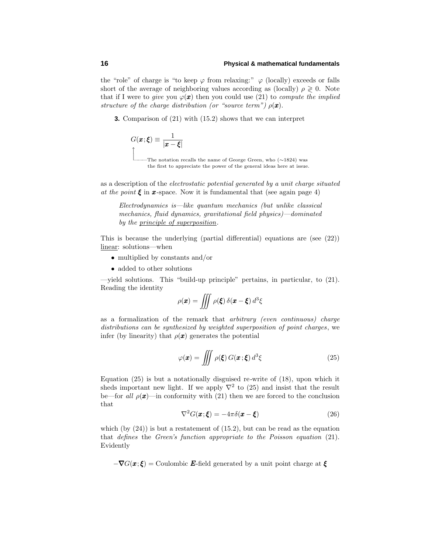the "role" of charge is "to keep  $\varphi$  from relaxing:"  $\varphi$  (locally) exceeds or falls short of the average of neighboring values according as (locally)  $\rho \geq 0$ . Note that if I were to *give* you  $\varphi(\mathbf{x})$  then you could use (21) to *compute the implied* structure of the charge distribution (or "source term")  $\rho(\mathbf{x})$ .

**3.** Comparison of (21) with (15.2) shows that we can interpret

 $G(\boldsymbol{x};\boldsymbol{\xi})\equiv\frac{1}{|\boldsymbol{x}-\boldsymbol{\xi}|}$ <sup>|</sup>*<sup>x</sup>* <sup>−</sup> *<sup>ξ</sup>*<sup>|</sup> <sup>↑</sup> | ———The notation recalls the name of George Green, who (∼1824) was the first to appreciate the power of the general ideas here at issue.

as a description of the electrostatic potential generated by a unit charge situated at the point  $\xi$  in  $x$ -space. Now it is fundamental that (see again page 4)

Electrodynamics is—like quantum mechanics (but unlike classical mechanics, fluid dynamics, gravitational field physics)—dominated by the principle of superposition.

This is because the underlying (partial differential) equations are (see (22)) linear: solutions—when

- multiplied by constants and/or
- added to other solutions

—yield solutions. This "build-up principle" pertains, in particular, to  $(21)$ . Reading the identity

$$
\rho(\boldsymbol{x}) = \iiint \rho(\boldsymbol{\xi}) \,\delta(\boldsymbol{x} - \boldsymbol{\xi}) \,d^3\boldsymbol{\xi}
$$

as a formalization of the remark that arbitrary (even continuous) charge distributions can be synthesized by weighted superposition of point charges, we infer (by linearity) that  $\rho(\mathbf{x})$  generates the potential

$$
\varphi(\boldsymbol{x}) = \iiint \rho(\boldsymbol{\xi}) G(\boldsymbol{x}; \boldsymbol{\xi}) d^3 \xi \tag{25}
$$

Equation  $(25)$  is but a notationally disguised re-write of  $(18)$ , upon which it sheds important new light. If we apply  $\nabla^2$  to (25) and insist that the result be—for all  $\rho(\mathbf{x})$ —in conformity with (21) then we are forced to the conclusion that

$$
\nabla^2 G(\boldsymbol{x}; \boldsymbol{\xi}) = -4\pi \delta(\boldsymbol{x} - \boldsymbol{\xi}) \tag{26}
$$

which (by  $(24)$ ) is but a restatement of  $(15.2)$ , but can be read as the equation that defines the Green's function appropriate to the Poisson equation (21). Evidently

 $-\nabla G(\mathbf{x}; \boldsymbol{\xi}) =$  Coulombic *E*-field generated by a unit point charge at  $\boldsymbol{\xi}$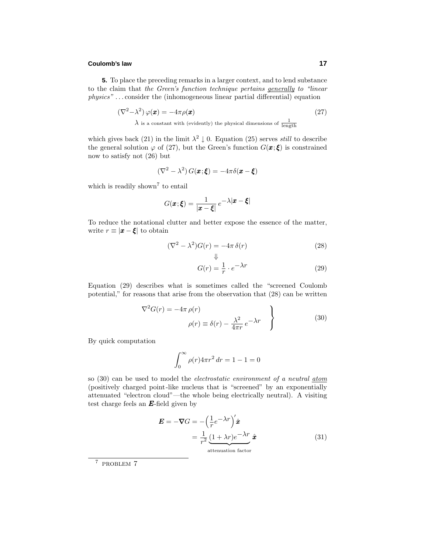**5.** To place the preceding remarks in a larger context, and to lend substance to the claim that the Green's function technique pertains generally to "linear physics" *...* consider the (inhomogeneous linear partial differential) equation

$$
(\nabla^2 - \lambda^2) \varphi(\mathbf{x}) = -4\pi \rho(\mathbf{x})
$$
\n
$$
\lambda \text{ is a constant with (evidently) the physical dimensions of } \frac{1}{\text{length}}
$$
\n(27)

which gives back (21) in the limit  $\lambda^2 \downarrow 0$ . Equation (25) serves *still* to describe the general solution  $\varphi$  of (27), but the Green's function  $G(\mathbf{x}; \boldsymbol{\xi})$  is constrained now to satisfy not (26) but

$$
(\nabla^2 - \lambda^2) G(\pmb{x}; \pmb{\xi}) = -4\pi \delta(\pmb{x} - \pmb{\xi})
$$

which is readily shown<sup>7</sup> to entail

$$
G(\pmb{x};\pmb{\xi}) = \frac{1}{|\pmb{x}-\pmb{\xi}|} e^{-\lambda |\pmb{x}-\pmb{\xi}|}
$$

To reduce the notational clutter and better expose the essence of the matter, write  $r \equiv |\mathbf{x} - \boldsymbol{\xi}|$  to obtain

$$
(\nabla^2 - \lambda^2)G(r) = -4\pi \,\delta(r) \tag{28}
$$

$$
G(r) = \frac{1}{r} \cdot e^{-\lambda r}
$$
 (29)

Equation (29) describes what is sometimes called the "screened Coulomb potential," for reasons that arise from the observation that (28) can be written

$$
\nabla^2 G(r) = -4\pi \rho(r)
$$
  

$$
\rho(r) \equiv \delta(r) - \frac{\lambda^2}{4\pi r} e^{-\lambda r}
$$
 (30)

By quick computation

$$
\int_0^\infty \rho(r) 4\pi r^2 dr = 1 - 1 = 0
$$

so  $(30)$  can be used to model the *electrostatic environment of a neutral*  $\underline{atom}$ (positively charged point-like nucleus that is "screened" by an exponentially attenuated "electron cloud"—the whole being electrically neutral). A visiting test charge feels an *E*-field given by

$$
\mathbf{E} = -\nabla G = -\left(\frac{1}{r}e^{-\lambda r}\right)'\hat{\mathbf{x}}
$$

$$
= \frac{1}{r^2}\left(1 + \lambda r\right)e^{-\lambda r}\hat{\mathbf{x}} \tag{31}
$$

attenuation factor

<sup>7</sup> problem 7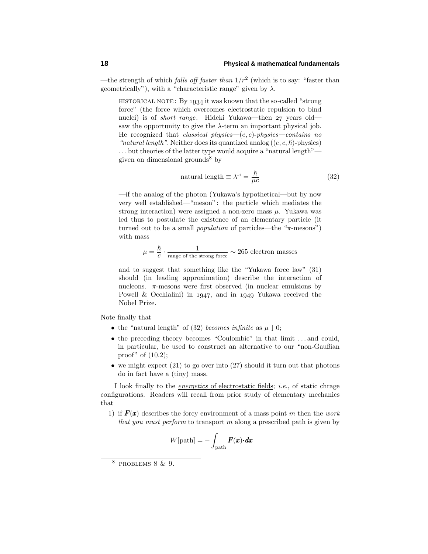—the strength of which *falls off faster than*  $1/r^2$  (which is to say: "faster than geometrically"), with a "characteristic range" given by  $\lambda$ .

HISTORICAL NOTE: By  $1934$  it was known that the so-called "strong" force" (the force which overcomes electrostatic repulsion to bind nuclei) is of *short range*. Hideki Yukawa—then 27 years oldsaw the opportunity to give the *λ*-term an important physical job. He recognized that classical physics—(*e, c*)-physics—contains no "*natural length*". Neither does its quantized analog  $((e, c, \hbar)$ -physics) *...* but theories of the latter type would acquire a "natural length" given on dimensional grounds<sup>8</sup> by

natural length 
$$
\equiv \lambda^{-1} = \frac{\hbar}{\mu c}
$$
 (32)

—if the analog of the photon (Yukawa's hypothetical—but by now very well established—"meson": the particle which mediates the strong interaction) were assigned a non-zero mass *µ*. Yukawa was led thus to postulate the existence of an elementary particle (it turned out to be a small population of particles—the "*π*-mesons") with mass

$$
\mu = \frac{\hslash}{c} \cdot \frac{1}{\text{range of the strong force}} \sim 265
$$
 electron masses

and to suggest that something like the "Yukawa force law" (31) should (in leading approximation) describe the interaction of nucleons.  $\pi$ -mesons were first observed (in nuclear emulsions by Powell & Occhialini) in 1947, and in 1949 Yukawa received the Nobel Prize.

Note finally that

- the "natural length" of (32) *becomes infinite* as  $\mu \downarrow 0$ ;
- the preceding theory becomes "Coulombic" in that limit *...* and could, in particular, be used to construct an alternative to our "non-Gaußian proof" of  $(10.2)$ ;
- we might expect  $(21)$  to go over into  $(27)$  should it turn out that photons do in fact have a (tiny) mass.

I look finally to the *energetics* of electrostatic fields; *i.e.*, of static chrage configurations. Readers will recall from prior study of elementary mechanics that

1) if  $\mathbf{F}(\mathbf{x})$  describes the forcy environment of a mass point *m* then the work that you must perform to transport *m* along a prescribed path is given by

$$
W[\text{path}] = -\int_{\text{path}} \boldsymbol{F}(\boldsymbol{x}) \boldsymbol{\cdot} \boldsymbol{dx}
$$

 $8$  PROBLEMS  $8 \& 9$ .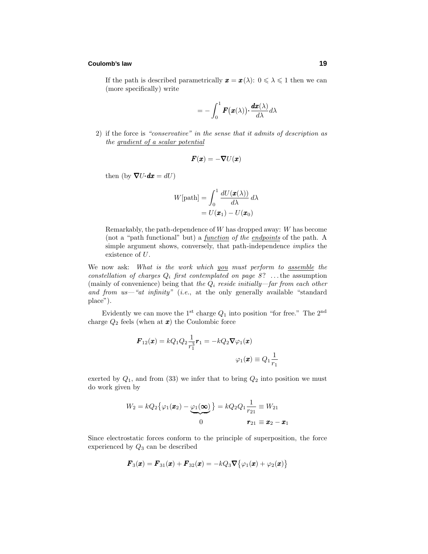If the path is described parametrically  $\mathbf{x} = \mathbf{x}(\lambda)$ :  $0 \le \lambda \le 1$  then we can (more specifically) write

$$
= -\int_0^1 \boldsymbol{F}(\boldsymbol{x}(\lambda)) \cdot \frac{d\boldsymbol{x}(\lambda)}{d\lambda} d\lambda
$$

2) if the force is "conservative" in the sense that it admits of description as the gradient of a scalar potential

$$
\pmb{F}(\pmb{x}) = -\pmb{\nabla} U(\pmb{x})
$$

then (by  $\nabla U \cdot dx = dU$ )

$$
W[\text{path}] = \int_0^1 \frac{dU(\pmb{x}(\lambda))}{d\lambda} d\lambda
$$

$$
= U(\pmb{x}_1) - U(\pmb{x}_0)
$$

Remarkably, the path-dependence of *W* has dropped away: *W* has become (not a "path functional" but) a <u>function</u> of the endpoints of the path. A simple argument shows, conversely, that path-independence implies the existence of *U*.

We now ask: What is the work which you must perform to assemble the constellation of charges  $Q_i$  first contemplated on page 8? ...the assumption (mainly of convenience) being that the  $Q_i$  reside initially—far from each other and from  $us$ —"at infinity" (i.e., at the only generally available "standard place").

Evidently we can move the 1<sup>st</sup> charge  $Q_1$  into position "for free." The 2<sup>nd</sup> charge *Q*<sup>2</sup> feels (when at *x*) the Coulombic force

$$
\boldsymbol{F}_{12}(\boldsymbol{x}) = kQ_1Q_2\frac{1}{r_1^3}\boldsymbol{r}_1 = -kQ_2\boldsymbol{\nabla}\varphi_1(\boldsymbol{x})
$$

$$
\varphi_1(\boldsymbol{x}) \equiv Q_1\frac{1}{r_1}
$$

exerted by  $Q_1$ , and from  $(33)$  we infer that to bring  $Q_2$  into position we must do work given by

$$
W_2 = kQ_2 \{\varphi_1(\pmb{x}_2) - \underbrace{\varphi_1(\pmb{\infty})}_{0}\} = kQ_2 Q_1 \frac{1}{r_{21}} \equiv W_{21}
$$
  

$$
\pmb{r}_{21} \equiv \pmb{x}_2 - \pmb{x}_1
$$

Since electrostatic forces conform to the principle of superposition, the force experienced by *Q*<sup>3</sup> can be described

$$
\boldsymbol{F}_3(\boldsymbol{x}) = \boldsymbol{F}_{31}(\boldsymbol{x}) + \boldsymbol{F}_{32}(\boldsymbol{x}) = -kQ_3\boldsymbol{\nabla}\big\{\varphi_1(\boldsymbol{x}) + \varphi_2(\boldsymbol{x})\big\}
$$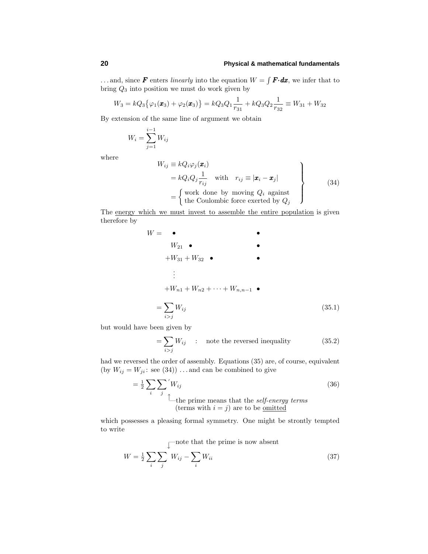$\ldots$  and, since **F** enters linearly into the equation  $W = \int \mathbf{F} \cdot d\mathbf{x}$ , we infer that to bring  $Q_3$  into position we must do work given by

$$
W_3 = kQ_3\{\varphi_1(\pmb{x}_3) + \varphi_2(\pmb{x}_3)\} = kQ_3Q_1\frac{1}{r_{31}} + kQ_3Q_2\frac{1}{r_{32}} \equiv W_{31} + W_{32}
$$

By extension of the same line of argument we obtain

$$
W_i = \sum_{j=1}^{i-1} W_{ij}
$$

where

$$
W_{ij} \equiv kQ_i\varphi_j(\boldsymbol{x}_i)
$$
  
=  $kQ_iQ_j\frac{1}{r_{ij}}$  with  $r_{ij} \equiv |\boldsymbol{x}_i - \boldsymbol{x}_j|$   
=  $\left\{\begin{array}{c}\text{work done by moving } Q_i \text{ against} \\ \text{the Coulombic force exerted by } Q_j \end{array}\right\}$  (34)

The energy which we must invest to assemble the entire population is given therefore by

$$
W = \begin{array}{c} \bullet \\ W_{21} \bullet \\ W_{31} + W_{32} \bullet \\ \vdots \\ \downarrow \\ \downarrow \\ W_{n1} + W_{n2} + \cdots + W_{n,n-1} \bullet \\ = \sum_{i > j} W_{ij} \end{array} \tag{35.1}
$$

but would have been given by

$$
= \sum_{i>j} W_{ij} \qquad \text{:} \quad \text{note the reversed inequality} \tag{35.2}
$$

had we reversed the order of assembly. Equations (35) are, of course, equivalent (by  $W_{ij} = W_{ji}$ : see (34)) ...and can be combined to give

$$
= \frac{1}{2} \sum_{i} \sum_{j}^{\prime} W_{ij}
$$
\n(36)\n  
\n
$$
\begin{array}{c}\n\text{the prime means that the self-energy terms} \\
\text{(terms with } i = j) \text{ are to be omitted}\n\end{array}
$$

which possesses a pleasing formal symmetry. One might be strontly tempted to write

—note that the prime is now absent

$$
W = \frac{1}{2} \sum_{i} \sum_{j} W_{ij} - \sum_{i} W_{ii}
$$
 (37)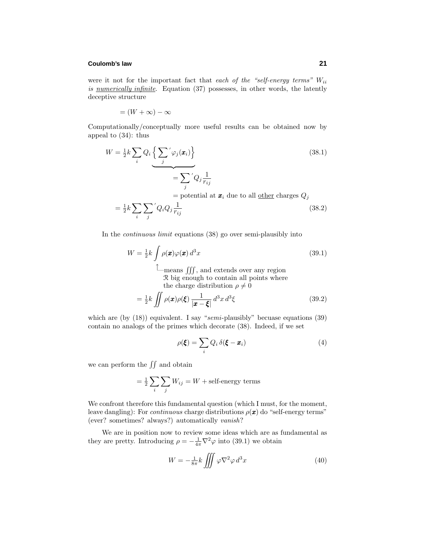were it not for the important fact that each of the "self-energy terms" *Wii* is <u>numerically infinite</u>. Equation (37) possesses, in other words, the latently deceptive structure

$$
=(W+\infty)-\infty
$$

Computationally/conceptually more useful results can be obtained now by appeal to (34): thus

$$
W = \frac{1}{2}k \sum_{i} Q_{i} \left\{ \underbrace{\sum_{j}^{\prime} \varphi_{j}(\boldsymbol{x}_{i})}_{= \sum_{j}^{\prime} Q_{j} \frac{1}{r_{ij}}} \right\}
$$
(38.1)

 $=$  potential at  $x_i$  due to all <u>other</u> charges  $Q_j$ 

$$
=\frac{1}{2}k\sum_{i}\sum_{j}'Q_{i}Q_{j}\frac{1}{r_{ij}}\tag{38.2}
$$

In the continuous limit equations (38) go over semi-plausibly into

$$
W = \frac{1}{2}k \int_{\uparrow} \rho(\mathbf{x}) \varphi(\mathbf{x}) d^3 x \tag{39.1}
$$

 $\Box$ means  $\iiint$ , and extends over any region R big enough to contain all points where the charge distribution  $\rho \neq 0$ 

$$
= \frac{1}{2}k \iint \rho(\boldsymbol{x})\rho(\boldsymbol{\xi}) \frac{1}{|\boldsymbol{x} - \boldsymbol{\xi}|} d^3 x d^3 \boldsymbol{\xi}
$$
 (39.2)

which are (by  $(18)$ ) equivalent. I say "semi-plausibly" becuase equations  $(39)$ contain no analogs of the primes which decorate (38). Indeed, if we set

$$
\rho(\boldsymbol{\xi}) = \sum_{i} Q_i \, \delta(\boldsymbol{\xi} - \boldsymbol{x}_i) \tag{4}
$$

we can perform the  $\iint$  and obtain

$$
= \tfrac{1}{2}\sum_i\sum_j W_{ij} = W + \text{self-energy terms}
$$

We confront therefore this fundamental question (which I must, for the moment, leave dangling): For *continuous* charge distributions  $\rho(\boldsymbol{x})$  do "self-energy terms" (ever? sometimes? always?) automatically vanish?

We are in position now to review some ideas which are as fundamental as they are pretty. Introducing  $\rho = -\frac{1}{4\pi} \nabla^2 \varphi$  into (39.1) we obtain

$$
W = -\frac{1}{8\pi}k \iiint \varphi \nabla^2 \varphi d^3 x \tag{40}
$$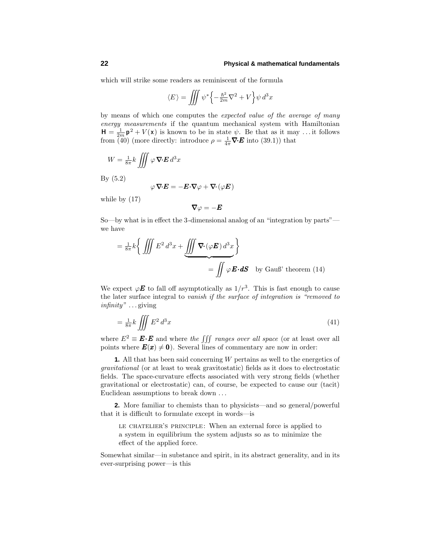which will strike some readers as reminiscent of the formula

$$
\langle E \rangle = \iiint \psi^* \left\{ -\frac{\hbar^2}{2m} \nabla^2 + V \right\} \psi \, d^3x
$$

by means of which one computes the expected value of the average of many energy measurements if the quantum mechanical system with Hamiltonian  $\mathbf{H} = \frac{1}{2m} \mathbf{p}^2 + V(\mathbf{x})$  is known to be in state  $\psi$ . Be that as it may ... it follows from (40) (more directly: introduce  $\rho = \frac{1}{4\pi} \nabla \cdot \boldsymbol{E}$  into (39.1)) that

$$
W = \frac{1}{8\pi} k \iiint \varphi \, \nabla \cdot \boldsymbol{E} \, d^3 x
$$

By (5.2)

$$
\varphi\,\boldsymbol{\nabla\cdot}\boldsymbol{E}=-\boldsymbol{E\cdot\nabla}\varphi+\boldsymbol{\nabla\cdot}(\varphi\boldsymbol{E})
$$

while by (17)

$$
\nabla \varphi = -\bm{E}
$$

So—by what is in effect the 3-dimensional analog of an "integration by parts" we have

$$
= \frac{1}{8\pi} k \left\{ \iiint E^2 d^3x + \underbrace{\iiint \nabla \cdot (\varphi \mathbf{E}) d^3x}_{\mathbf{E} = \iint \varphi \mathbf{E} \cdot d\mathbf{S} \quad \text{by Gauß' theorem (14)}
$$

We expect  $\varphi \mathbf{E}$  to fall off asymptotically as  $1/r^3$ . This is fast enough to cause the later surface integral to vanish if the surface of integration is "removed to infinity" *...* giving

$$
=\frac{1}{8\pi}k\iiint E^2 d^3x\tag{41}
$$

where  $E^2 \equiv \mathbf{E} \cdot \mathbf{E}$  and where the  $\iiint$  ranges over all space (or at least over all points where  $E(x) \neq 0$ ). Several lines of commentary are now in order:

**1.** All that has been said concerning *W* pertains as well to the energetics of gravitational (or at least to weakgravitostatic) fields as it does to electrostatic fields. The space-curvature effects associated with very strong fields (whether gravitational or electrostatic) can, of course, be expected to cause our (tacit) Euclidean assumptions to break down ...

**2.** More familiar to chemists than to physicists—and so general/powerful that it is difficult to formulate except in words—is

LE CHATELIER'S PRINCIPLE: When an external force is applied to a system in equilibrium the system adjusts so as to minimize the effect of the applied force.

Somewhat similar—in substance and spirit, in its abstract generality, and in its ever-surprising power—is this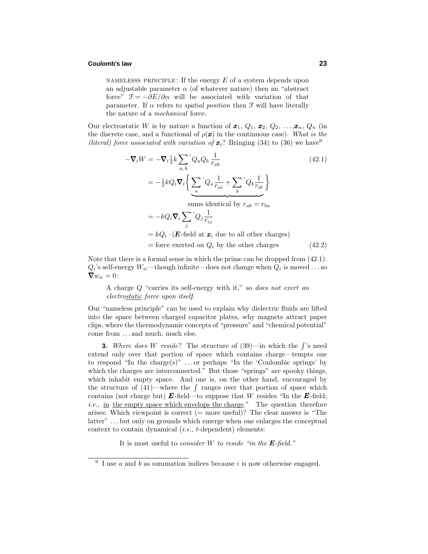namelesss principle: If the energy *E* of a system depends upon an adjustable parameter  $\alpha$  (of whatever nature) then an "abstract" force"  $\mathcal{F} = -\partial E/\partial \alpha$  will be associated with variation of that parameter. If  $\alpha$  refers to *spatial position* then  $\mathcal F$  will have literally the nature of a mechanical force.

Our electrostatic *W* is by nature a function of  $x_1, Q_1, x_2, Q_2, \ldots, x_n, Q_n$  (in the discrete case, and a functional of  $\rho(x)$  in the continuous case). What is the (literal) force associated with variation of  $x_i$ ? Bringing (34) to (36) we have<sup>9</sup>

$$
-\nabla_i W = -\nabla_i \frac{1}{2} k \sum_{a,b}^{\prime} Q_a Q_b \frac{1}{r_{ab}}
$$
(42.1)  

$$
= -\frac{1}{2} k Q_i \nabla_i \left\{ \sum_a^{\prime} Q_a \frac{1}{r_{ai}} + \sum_b^{\prime} Q_b \frac{1}{r_{ib}} \right\}
$$
  
sums identical by  $r_{ab} = r_{ba}$   

$$
= -k Q_i \nabla_i \sum_j^{\prime} Q_j \frac{1}{r_{ij}}
$$
  

$$
= k Q_i \cdot (\mathbf{E}\text{-field at } \mathbf{x}_i \text{ due to all other charges})
$$
  
= force exerted on  $Q_i$  by the other charges (42.2)

Note that there is a formal sense in which the prime can be dropped from (42.1):  $Q_i$ 's self-energy  $W_{ii}$ —though infinite—does not change when  $Q_i$  is moved  $\dots$  so  $\nabla w_{ii} = 0$ :

A charge *Q* "carries its self-energy with it," so does not exert an electrostatic force upon itself.

Our "nameless principle" can be used to explain why dielectric fluids are lifted into the space between charged capacitor plates, why magnets attract paper clips, where the thermodynamic concepts of "pressure"and "chemical potential" come from *...* and much, much else.

**3.** Where does W reside? The structure of  $(39)$ —in which the  $\int$ 's need extend only over that portion of space which contains charge—tempts one to respond "In the charge(s)" *...* or perhaps "In the 'Coulombic springs' by which the charges are interconnected." But those "springs" are spooky things, which inhabit empty space. And one is, on the other hand, encouraged by the structure of  $(41)$ —where the  $\int$  ranges over that portion of space which contains (not charge but)  $\vec{E}$ -field—to suppose that *W* resides "In the  $\vec{E}$ -field; *i.e.*, in the empty space which envelops the charge." The question therefore arises: Which viewpoint is correct  $(=$  more useful)? The clear answer is "The latter" *...* but only on grounds which emerge when one enlarges the conceptual context to contain dynamical (i.e., *t*-dependent) elements:

It is most useful to consider *W* to reside "in the *E*-field."

<sup>9</sup> I use *a* and *b* as summation indices because *i* is now otherwise engaged.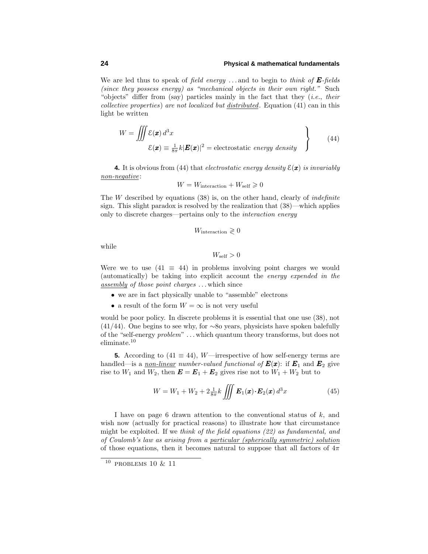We are led thus to speak of *field energy* ...and to begin to *think of* **E**-fields (since they possess energy) as "mechanical objects in their own right." Such "objects" differ from  $(say)$  particles mainly in the fact that they *(i.e., their*) collective properties) are not localized but distributed. Equation (41) can in this light be written

$$
W = \iiint \mathcal{E}(\mathbf{x}) d^3x
$$
  

$$
\mathcal{E}(\mathbf{x}) \equiv \frac{1}{8\pi} k |\mathbf{E}(\mathbf{x})|^2 = \text{electrostatic energy density}
$$
 (44)

**4.** It is obvious from (44) that electrostatic energy density  $\mathcal{E}(\mathbf{x})$  is invariably non-negative:

$$
W = W_{\text{interaction}} + W_{\text{self}} \geq 0
$$

The *W* described by equations (38) is, on the other hand, clearly of *indefinite* sign. This slight paradox is resolved by the realization that (38)—which applies only to discrete charges—pertains only to the interaction energy

$$
W_{\text{interaction}} \geq 0
$$

while

 $W_{\text{self}} > 0$ 

Were we to use  $(41 \equiv 44)$  in problems involving point charges we would (automatically) be taking into explicit account the energy expended in the assembly of those point charges *...* which since

- we are in fact physically unable to "assemble" electrons
- a result of the form  $W = \infty$  is not very useful

would be poor policy. In discrete problems it is essential that one use (38), not (41/44). One begins to see why, for  $\sim$ 80 years, physicists have spoken balefully of the "self-energy problem" *...* which quantum theory transforms, but does not eliminate.<sup>10</sup>

**5.** According to  $(41 \equiv 44)$ , *W*—irrespective of how self-energy terms are handled—is a <u>non-linear</u> number-valued functional of  $\mathbf{E}(x)$ : if  $\mathbf{E}_1$  and  $\mathbf{E}_2$  give rise to  $W_1$  and  $W_2$ , then  $\mathbf{E} = \mathbf{E}_1 + \mathbf{E}_2$  gives rise not to  $W_1 + W_2$  but to

$$
W = W_1 + W_2 + 2\frac{1}{8\pi}k \iiint \mathbf{E}_1(\mathbf{x}) \cdot \mathbf{E}_2(\mathbf{x}) d^3x \tag{45}
$$

I have on page 6 drawn attention to the conventional status of *k*, and wish now (actually for practical reasons) to illustrate how that circumstance might be exploited. If we think of the field equations  $(22)$  as fundamental, and of Coulomb's law as arising from a particular (spherically symmetric) solution of those equations, then it becomes natural to suppose that all factors of  $4\pi$ 

 $^{10}$  problems 10  $\&$  11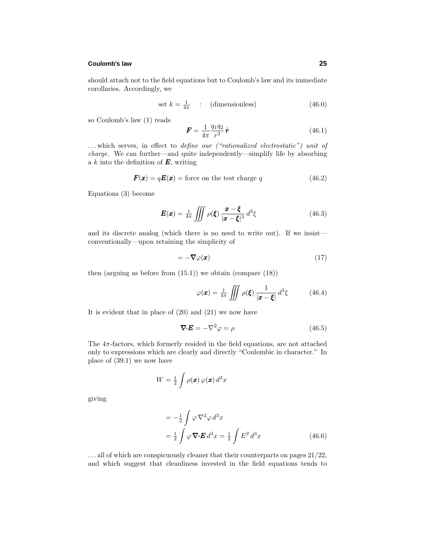should attach not to the field equations but to Coulomb's law and its immediate corollaries. Accordingly, we

set 
$$
k = \frac{1}{4\pi}
$$
 : (dimensionless) (46.0)

so Coulomb's law (1) reads

$$
\boldsymbol{F} = \frac{1}{4\pi} \frac{q_1 q_2}{r^2} \hat{\boldsymbol{r}} \tag{46.1}
$$

*...* which serves, in effect to define our ("rationalized electrostatic") unit of charge. We can further—and quite independently—simplify life by absorbing a *k* into the definition of *E*, writing

$$
\mathbf{F}(\mathbf{x}) = q\mathbf{E}(\mathbf{x}) = \text{force on the test charge } q \tag{46.2}
$$

Equations (3) become

$$
\boldsymbol{E}(\boldsymbol{x}) = \frac{1}{4\pi} \iiint \rho(\boldsymbol{\xi}) \frac{\boldsymbol{x} - \boldsymbol{\xi}}{|\boldsymbol{x} - \boldsymbol{\xi}|^3} d^3 \boldsymbol{\xi}
$$
(46.3)

and its discrete analog (which there is no need to write out). If we insist conventionally—upon retaining the simplicity of

$$
= -\nabla \varphi(\boldsymbol{x}) \tag{17}
$$

then (arguing as before from  $(15.1)$ ) we obtain (compare  $(18)$ )

$$
\varphi(\boldsymbol{x}) = \frac{1}{4\pi} \iiint \rho(\boldsymbol{\xi}) \frac{1}{|\boldsymbol{x} - \boldsymbol{\xi}|} d^3 \boldsymbol{\xi}
$$
 (46.4)

It is evident that in place of (20) and (21) we now have

$$
\nabla \cdot \boldsymbol{E} = -\nabla^2 \varphi = \rho \tag{46.5}
$$

The 4*π*-factors, which formerly resided in the field equations, are not attached only to expressions which are clearly and directly "Coulombic in character." In place of (39.1) we now have

$$
W = \frac{1}{2} \int \rho(\pmb{x}) \, \varphi(\pmb{x}) \, d^3x
$$

giving

$$
= -\frac{1}{2} \int \varphi \nabla^2 \varphi d^3 x
$$
  

$$
= \frac{1}{2} \int \varphi \nabla \cdot \boldsymbol{E} d^3 x = \frac{1}{2} \int E^2 d^3 x
$$
(46.6)

*...* all of which are conspicuously cleaner that their counterparts on pages 21/22, and which suggest that cleanliness invested in the field equations tends to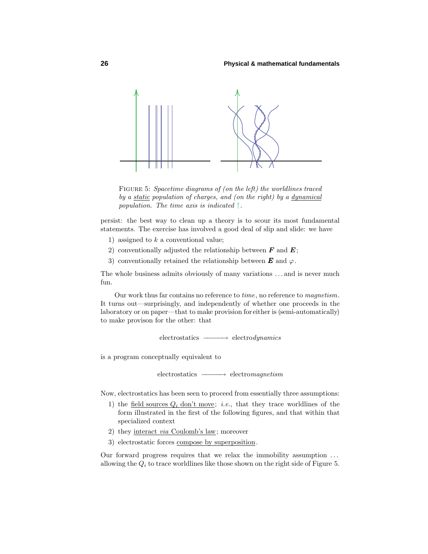

FIGURE 5: Spacetime diagrams of (on the left) the worldlines traced by a static population of charges, and (on the right) by a dynamical population. The time axis is indicated  $\uparrow$ .

persist: the best way to clean up a theory is to scour its most fundamental statements. The exercise has involved a good deal of slip and slide: we have

- 1) assigned to *k* a conventional value;
- 2) conventionally adjusted the relationship between  $\bm{F}$  and  $\bm{E}$ ;
- 3) conventionally retained the relationship between  $\boldsymbol{E}$  and  $\varphi$ .

The whole business admits obviously of many variations *...* and is never much fun.

Our work thus far contains no reference to *time*, no reference to *magnetism*. It turns out—surprisingly, and independently of whether one proceeds in the laboratory or on paper—that to make provision foreither is (semi-automatically) to make provison for the other: that

electrostatics  $\longrightarrow$  electrodynamics

is a program conceptually equivalent to

electrostatics  $\longrightarrow$  electromagnetism

Now, electrostatics has been seen to proceed from essentially three assumptions:

- 1) the field sources  $Q_i$  don't move; *i.e.*, that they trace worldlines of the form illustrated in the first of the following figures, and that within that specialized context
- 2) they interact *via* Coulomb's law; moreover
- 3) electrostatic forces compose by superposition.

Our forward progress requires that we relax the immobility assumption *...* allowing the  $Q_i$  to trace worldlines like those shown on the right side of Figure 5.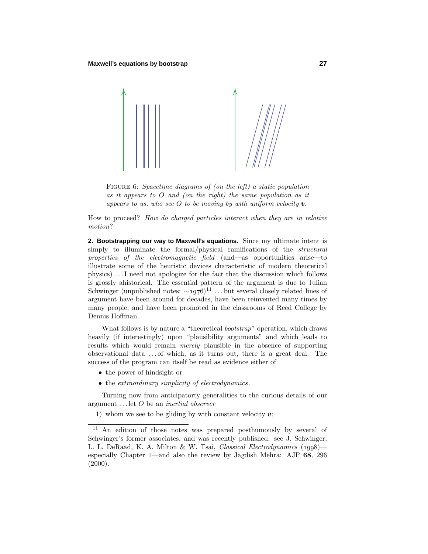

FIGURE 6: Spacetime diagrams of (on the left) a static population as it appears to *O* and (on the right) the same population as it appears to us, who see *O* to be moving by with uniform velocity *v*.

How to proceed? How do charged particles interact when they are in relative motion?

**2. Bootstrapping our way to Maxwell's equations.** Since my ultimate intent is simply to illuminate the formal/physical ramifications of the *structural* properties of the electromagnetic field (and—as opportunities arise—to illustrate some of the heuristic devices characteristic of modern theoretical physics) *...*I need not apologize for the fact that the discussion which follows is grossly ahistorical. The essential pattern of the argument is due to Julian Schwinger (unpublished notes:  $\sim$ 1976)<sup>11</sup> ... but several closely related lines of argument have been around for decades, have been reinvented many times by many people, and have been promoted in the classrooms of Reed College by Dennis Hoffman.

What follows is by nature a "theoretical *bootstrap*" operation, which draws heavily (if interestingly) upon "plausibility arguments" and which leads to results which would remain merely plausible in the absence of supporting observational data *...* of which, as it turns out, there is a great deal. The success of the program can itself be read as evidence either of

- the power of hindsight or
- the *extraordinary simplicity of electrodynamics*.

Turning now from anticipatorty generalities to the curious details of our argument *...* let *O* be an inertial observer

1) whom we see to be gliding by with constant velocity  $v$ ;

<sup>&</sup>lt;sup>11</sup> An edition of those notes was prepared posthumously by several of Schwinger's former associates, and was recently published: see J. Schwinger, L. L. DeRaad, K. A. Milton & W. Tsai, Classical Electrodynamics (1998)– especially Chapter 1—and also the review by Jagdish Mehra: AJP **68**, 296  $(2000).$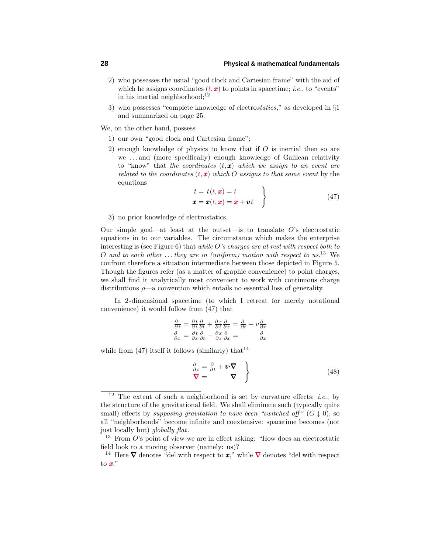- 2) who possesses the usual "good clockand Cartesian frame" with the aid of which he assigns coordinates  $(t, x)$  to points in spacetime; *i.e.*, to "events" in his inertial neighborhood; $^{12}$
- 3) who possesses "complete knowledge of electrostatics," as developed in §1 and summarized on page 25.

We, on the other hand, possess

- 1) our own "good clockand Cartesian frame";
- 2) enough knowledge of physics to know that if *O* is inertial then so are we *...* and (more specifically) enough knowledge of Galilean relativity to "know" that the coordinates  $(t, x)$  which we assign to an event are related to the coordinates  $(t, x)$  which *O* assigns to that same event by the equations

$$
\begin{aligned}\n t &= t(t, \mathbf{x}) = t \\
 \mathbf{x} &= \mathbf{x}(t, \mathbf{x}) = \mathbf{x} + \mathbf{v}t\n \end{aligned}
$$
\n(47)

3) no prior knowledge of electrostatics.

Our simple goal—at least at the outset—is to translate *O*'s electrostatic equations in to our variables. The circumstance which makes the enterprise interesting is (see Figure 6) that while *O*'s charges are at rest with respect both to *O* and to each other ... they are <u>in (uniform) motion with respect to us.</u><sup>13</sup> We confront therefore a situation intermediate between those depicted in Figure 5. Though the figures refer (as a matter of graphic convenience) to point charges, we shall find it analytically most convenient to work with continuous charge distributions  $\rho$ —a convention which entails no essential loss of generality.

In 2-dimensional spacetime (to which I retreat for merely notational convenience) it would follow from (47) that

$$
\frac{\partial}{\partial t} = \frac{\partial t}{\partial t} \frac{\partial}{\partial t} + \frac{\partial x}{\partial t} \frac{\partial}{\partial x} = \frac{\partial}{\partial t} + v \frac{\partial}{\partial x}
$$

$$
\frac{\partial}{\partial x} = \frac{\partial t}{\partial x} \frac{\partial}{\partial t} + \frac{\partial x}{\partial x} \frac{\partial}{\partial x} = \frac{\partial}{\partial x}
$$

while from  $(47)$  itself it follows (similarly) that  $14$ 

$$
\frac{\partial}{\partial t} = \frac{\partial}{\partial t} + \mathbf{v} \cdot \nabla \qquad \qquad \left\}
$$
\n
$$
\nabla = \qquad \nabla \qquad \qquad \right\}
$$
\n(48)

<sup>&</sup>lt;sup>12</sup> The extent of such a neighborhood is set by curvature effects; *i.e.*, by the structure of the gravitational field. We shall eliminate such (typically quite small) effects by *supposing gravitation to have been "switched off"*  $(G \mid 0)$ , so all "neighborhoods" become infinite and coextensive: spacetime becomes (not just locally but) *globally flat*.

<sup>13</sup> From *O*'s point of view we are in effect asking: "How does an electrostatic field look to a moving observer (namely: us)?

<sup>&</sup>lt;sup>14</sup> Here  $\nabla$  denotes "del with respect to  $x$ ," while  $\nabla$  denotes "del with respect" to *x*."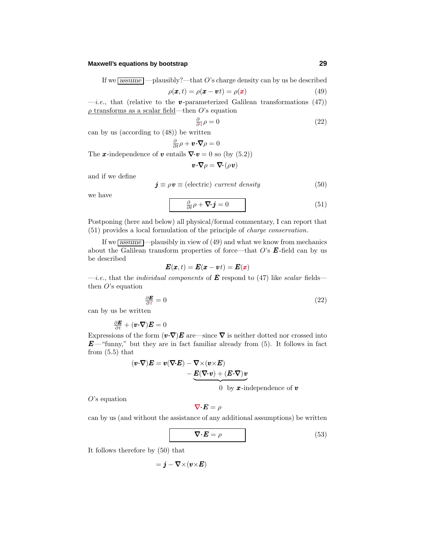### **Maxwell's equations by bootstrap 29**

If we assume  $\Box$  plausibly?—that *O*'s charge density can by us be described

$$
\rho(\pmb{x},t) = \rho(\pmb{x} - \pmb{v}t) = \rho(\pmb{x})\tag{49}
$$

 $-i.e.,$  that (relative to the **v**-parameterized Galilean transformations (47)) *ρ* transforms as a scalar field—then *O*'s equation

$$
\frac{\partial}{\partial t}\rho = 0\tag{22}
$$

can by us (according to (48)) be written

$$
\frac{\partial}{\partial t}\rho + \boldsymbol{v}\boldsymbol{\cdot}\boldsymbol{\nabla}\rho = 0
$$

The **x**-independence of **v** entails  $\nabla \cdot \mathbf{v} = 0$  so (by (5.2))

$$
\boldsymbol{v}{\boldsymbol{\cdot}}\boldsymbol{\nabla}\rho=\boldsymbol{\nabla}{\boldsymbol{\cdot}}(\rho\boldsymbol{v})
$$

and if we define

$$
\mathbf{j} \equiv \rho \mathbf{v} \equiv \text{(electric)} \text{ current density} \tag{50}
$$

we have

$$
\frac{\partial}{\partial t}\rho + \nabla \cdot \mathbf{j} = 0 \tag{51}
$$

Postponing (here and below) all physical/formal commentary, I can report that (51) provides a local formulation of the principle of charge conservation.

If we  $\overline{assume}$  -plausibly in view of  $(49)$  and what we know from mechanics about the Galilean transform properties of force—that *O*'s *E* -field can by us be described

$$
\boldsymbol{E}(\boldsymbol{x},t) = \boldsymbol{E}(\boldsymbol{x} - \boldsymbol{v}t) = \boldsymbol{E}(\boldsymbol{x})
$$

 $-i.e.,$  that the *individual components* of **E** respond to (47) like scalar fields then *O*'s equation

$$
\frac{\partial \mathbf{E}}{\partial t} = 0 \tag{22}
$$

can by us be written

$$
\frac{\partial \boldsymbol{E}}{\partial t} + (\boldsymbol{v} \boldsymbol{\cdot} \boldsymbol{\nabla}) \boldsymbol{E} = 0
$$

Expressions of the form  $(v\cdot\nabla)E$  are—since  $\nabla$  is neither dotted nor crossed into *E*—"funny," but they are in fact familiar already from (5). It follows in fact from (5.5) that

$$
(\boldsymbol{v} \cdot \nabla) \boldsymbol{E} = \boldsymbol{v} (\nabla \cdot \boldsymbol{E}) - \nabla \times (\boldsymbol{v} \times \boldsymbol{E})
$$
  
- 
$$
\underbrace{\boldsymbol{E} (\nabla \cdot \boldsymbol{v}) + (\boldsymbol{E} \cdot \nabla) \boldsymbol{v}}_{0 \text{ by } \boldsymbol{x} \text{-independence of } \boldsymbol{v}}
$$

*O*'s equation

 $\nabla \cdot \boldsymbol{E} = \rho$ 

can by us (and without the assistance of any additional assumptions) be written

$$
\nabla \cdot \boldsymbol{E} = \rho \tag{53}
$$

It follows therefore by (50) that

$$
= \textbf{\textit{j}} - \boldsymbol{\nabla} \times (\textbf{\textit{v}} \times \textbf{\textit{E}})
$$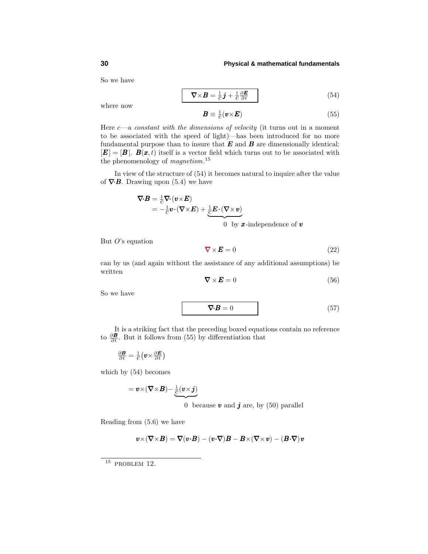So we have

$$
\nabla \times \boldsymbol{B} = \frac{1}{c} \boldsymbol{j} + \frac{1}{c} \frac{\partial \boldsymbol{E}}{\partial t}
$$
 (54)

where now

$$
\boldsymbol{B} \equiv \frac{1}{c} (\boldsymbol{v} \times \boldsymbol{E}) \tag{55}
$$

Here  $c$ —a constant with the dimensions of velocity (it turns out in a moment to be associated with the speed of light)—has been introduced for no more fundamental purpose than to insure that  $E$  and  $B$  are dimensionally identical:  $[\mathbf{E}] = [\mathbf{B}]$ .  $\mathbf{B}(\mathbf{x}, t)$  itself is a vector field which turns out to be associated with the phenomenology of *magnetism*.<sup>15</sup>

In view of the structure of (54) it becomes natural to inquire after the value of  $\nabla \cdot \vec{B}$ . Drawing upon (5.4) we have

$$
\nabla \cdot \boldsymbol{B} = \frac{1}{c} \nabla \cdot (\boldsymbol{v} \times \boldsymbol{E})
$$
  
=  $-\frac{1}{c} \boldsymbol{v} \cdot (\nabla \times \boldsymbol{E}) + \underbrace{\frac{1}{c} \boldsymbol{E} \cdot (\nabla \times \boldsymbol{v})}_{0 \text{ by } \boldsymbol{x}\text{-independence of } \boldsymbol{v}}$ 

But *O*'s equation

$$
\nabla \times \boldsymbol{E} = 0 \tag{22}
$$

can by us (and again without the assistance of any additional assumptions) be written

$$
\nabla \times \boldsymbol{E} = 0 \tag{56}
$$

So we have

$$
\nabla \cdot \boldsymbol{B} = 0 \tag{57}
$$

It is a striking fact that the preceding boxed equations contain no reference to  $\frac{\partial \mathbf{B}}{\partial t}$ . But it follows from (55) by differentiation that

$$
\frac{\partial \pmb{B}}{\partial t} = \frac{1}{C} \big(\pmb{v} \!\times\! \frac{\partial \pmb{E}}{\partial t}\big)
$$

which by (54) becomes

$$
= \boldsymbol{v} \times (\boldsymbol{\nabla} \times \boldsymbol{B}) - \underbrace{\frac{1}{C} (\boldsymbol{v} \times \boldsymbol{j})}{}
$$

0 because *v* and *j* are, by (50) parallel

Reading from (5.6) we have

$$
\pmb{v}\times\! (\pmb{\nabla}\!\times\!\pmb{B}) = \pmb{\nabla}\!\left(\pmb{v}\!\cdot\!\pmb{B}\right) - \big(\pmb{v}\!\cdot\!\pmb{\nabla})\pmb{B} - \pmb{B}\!\times\!\left(\pmb{\nabla}\!\times\pmb{v}\right) - \big(\pmb{B}\!\cdot\!\pmb{\nabla}\big)\pmb{v}
$$

 $15$  PROBLEM 12.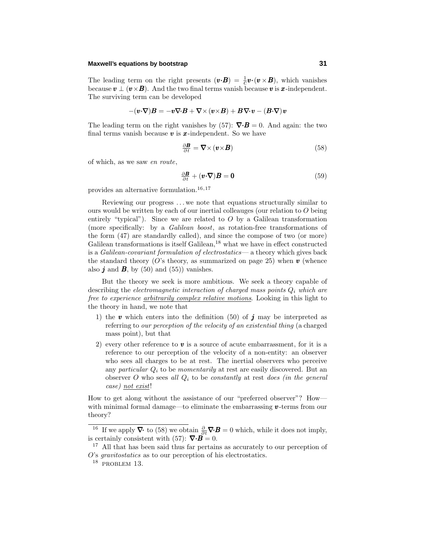### **Maxwell's equations by bootstrap 31**

The leading term on the right presents  $(\mathbf{v} \cdot \mathbf{B}) = \frac{1}{c} \mathbf{v} \cdot (\mathbf{v} \times \mathbf{B})$ , which vanishes because  $v \perp (v \times B)$ . And the two final terms vanish because v is x-independent. The surviving term can be developed

$$
-(\boldsymbol{v}\boldsymbol{\cdot}\boldsymbol{\nabla})\boldsymbol{B}=-\boldsymbol{v}\boldsymbol{\nabla}\boldsymbol{\cdot}\boldsymbol{B}+\boldsymbol{\nabla}\times(\boldsymbol{v}\times\boldsymbol{B})+\boldsymbol{B}\boldsymbol{\nabla}\boldsymbol{\cdot}\boldsymbol{v}-(\boldsymbol{B}\boldsymbol{\cdot}\boldsymbol{\nabla})\boldsymbol{v}
$$

The leading term on the right vanishes by  $(57)$ :  $\nabla \cdot \bm{B} = 0$ . And again: the two final terms vanish because  $v$  is  $x$ -independent. So we have

$$
\frac{\partial \mathbf{B}}{\partial t} = \nabla \times (\mathbf{v} \times \mathbf{B}) \tag{58}
$$

of which, as we saw en route,

$$
\frac{\partial \mathbf{B}}{\partial t} + (\mathbf{v} \cdot \nabla) \mathbf{B} = \mathbf{0} \tag{59}
$$

provides an alternative formulation.16*,*<sup>17</sup>

Reviewing our progress *...* we note that equations structurally similar to ours would be written by each of our inertial colleauges (our relation to *O* being entirely "typical"). Since we are related to  $O$  by a Galilean transformation (more specifically: by a Galilean boost, as rotation-free transformations of the form (47) are standardly called), and since the compose of two (or more) Galilean transformations is itself Galilean, $^{18}$  what we have in effect constructed is a Galilean-covariant formulation of electrostatics— a theory which gives back the standard theory  $(O's$  theory, as summarized on page 25) when  $v$  (whence also  $\boldsymbol{j}$  and  $\boldsymbol{B}$ , by (50) and (55)) vanishes.

But the theory we seek is more ambitious. We seek a theory capable of describing the electromagnetic interaction of charged mass points *Q<sup>i</sup>* which are free to experience arbitrarily complex relative motions. Looking in this light to the theory in hand, we note that

- 1) the *v* which enters into the definition (50) of *j* may be interpreted as referring to our perception of the velocity of an existential thing (a charged mass point), but that
- 2) every other reference to  $\boldsymbol{v}$  is a source of acute embarrassment, for it is a reference to our perception of the velocity of a non-entity: an observer who sees all charges to be at rest. The inertial observers who perceive any particular *Q<sup>i</sup>* to be momentarily at rest are easily discovered. But an observer O who sees all  $Q_i$  to be constantly at rest does (in the general case) not exist!

How to get along without the assistance of our "preferred observer"? How with minimal formal damage—to eliminate the embarrassing **v**-terms from our theory?

<sup>&</sup>lt;sup>16</sup> If we apply  $\nabla \cdot$  to (58) we obtain  $\frac{\partial}{\partial t} \nabla \cdot \boldsymbol{B} = 0$  which, while it does not imply, is certainly consistent with (57):  $\nabla \cdot \mathbf{B} = 0$ .

<sup>&</sup>lt;sup>17</sup> All that has been said thus far pertains as accurately to our perception of *O*'s gravitostatics as to our perception of his electrostatics.

<sup>18</sup> problem 13.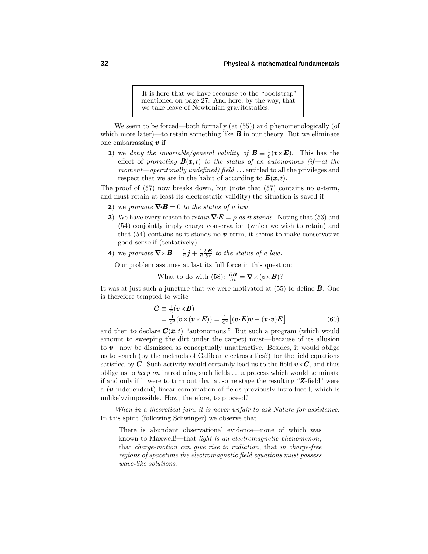It is here that we have recourse to the "bootstrap" mentioned on page 27. And here, by the way, that we take leave of Newtonian gravitostatics.

We seem to be forced—both formally (at  $(55)$ ) and phenomenologically (of which more later)—to retain something like  $\boldsymbol{B}$  in our theory. But we eliminate one embarrassing *v* if

**1**) we deny the invariable/general validity of  $\mathbf{B} \equiv \frac{1}{c}(\mathbf{v} \times \mathbf{E})$ . This has the effect of promoting  $\mathbf{B}(\mathbf{x},t)$  to the status of an autonomous (if—at the moment—operatonally undefined) field *...* entitled to all the privileges and respect that we are in the habit of according to  $\mathbf{E}(\mathbf{x}, t)$ .

The proof of  $(57)$  now breaks down, but (note that  $(57)$  contains no  $v$ -term, and must retain at least its electrostatic validity) the situation is saved if

- **2**) we promote  $\nabla \cdot \mathbf{B} = 0$  to the status of a law.
- **3**) We have every reason to retain  $\nabla \cdot \mathbf{E} = \rho$  as it stands. Noting that (53) and (54) conjointly imply charge conservation (which we wish to retain) and that  $(54)$  contains as it stands no *v*-term, it seems to make conservative good sense if (tentatively)
- **4**) we promote  $\nabla \times \mathbf{B} = \frac{1}{c}\mathbf{j} + \frac{1}{c}\frac{\partial \mathbf{E}}{\partial t}$  to the status of a law.

Our problem assumes at last its full force in this question:

What to do with (58): 
$$
\frac{\partial \mathbf{B}}{\partial t} = \nabla \times (\mathbf{v} \times \mathbf{B})
$$
?

It was at just such a juncture that we were motivated at (55) to define *B*. One is therefore tempted to write

$$
\mathbf{C} \equiv \frac{1}{C}(\mathbf{v} \times \mathbf{B})
$$
  
=  $\frac{1}{C^2}(\mathbf{v} \times (\mathbf{v} \times \mathbf{E})) = \frac{1}{C^2} [(\mathbf{v} \cdot \mathbf{E}) \mathbf{v} - (\mathbf{v} \cdot \mathbf{v}) \mathbf{E}]$  (60)

and then to declare  $C(x, t)$  "autonomous." But such a program (which would amount to sweeping the dirt under the carpet) must—because of its allusion to *v*—now be dismissed as conceptually unattractive. Besides, it would oblige us to search (by the methods of Galilean electrostatics?) for the field equations satisfied by  $\mathbf{C}$ . Such activity would certainly lead us to the field  $v \times \mathbf{C}$ , and thus oblige us to keep on introducing such fields *...* a process which would terminate if and only if it were to turn out that at some stage the resulting "*Z*-field" were a (*v* -independent) linear combination of fields previously introduced, which is unlikely/impossible. How, therefore, to proceed?

When in a theoretical jam, it is never unfair to ask Nature for assistance. In this spirit (following Schwinger) we observe that

There is abundant observational evidence—none of which was known to Maxwell!—that light is an electromagnetic phenomenon, that charge-motion can give rise to radiation, that in charge-free regions of spacetime the electromagnetic field equations must possess wave-like solutions .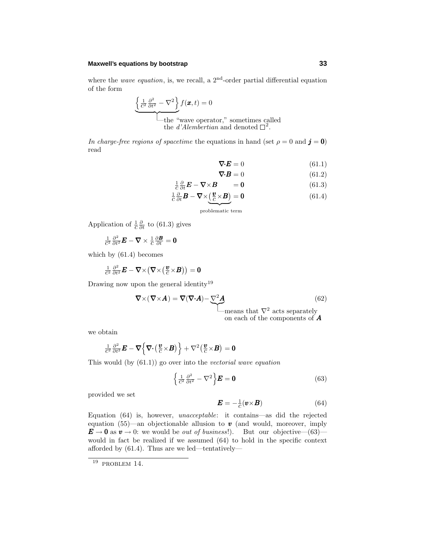### **Maxwell's equations by bootstrap 33**

where the *wave equation*, is, we recall, a  $2<sup>nd</sup>$ -order partial differential equation of the form

$$
\underbrace{\left\{\frac{1}{c^2} \frac{\partial^2}{\partial t^2} - \nabla^2\right\}}_{\text{the "wave operator," sometimes called the } d'Alembertian and denoted  $\square^2$ .}
$$

In charge-free regions of spacetime the equations in hand (set  $\rho = 0$  and  $\mathbf{j} = \mathbf{0}$ ) read

$$
\nabla \cdot \boldsymbol{E} = 0 \tag{61.1}
$$

$$
\nabla \cdot \boldsymbol{B} = 0 \tag{61.2}
$$

$$
\frac{1}{c} \frac{\partial}{\partial t} \boldsymbol{E} - \boldsymbol{\nabla} \times \boldsymbol{B} = \mathbf{0} \tag{61.3}
$$

$$
\frac{1}{c}\frac{\partial}{\partial t}\mathbf{B} - \nabla \times \left(\frac{\mathbf{v}}{c} \times \mathbf{B}\right) = \mathbf{0}
$$
 (61.4)

 problematic term

Application of  $\frac{1}{c} \frac{\partial}{\partial t}$  to (61.3) gives

$$
\tfrac{1}{c^2} \tfrac{\partial^2}{\partial t^2} \boldsymbol{E} - \boldsymbol{\nabla} \times \tfrac{1}{c} \tfrac{\partial \boldsymbol{B}}{\partial t} = \boldsymbol{0}
$$

which by (61.4) becomes

$$
\tfrac{1}{\mathcal{C}^2}\tfrac{\partial^2}{\partial t^2}\bm{E}-\bm{\nabla}\times\left(\bm{\nabla}\times\left(\frac{\bm{v}}{\mathcal{C}}\!\times\!\bm{B}\right)\right)=\bm{0}
$$

Drawing now upon the general identity<sup>19</sup>

$$
\nabla \times (\nabla \times \mathbf{A}) = \nabla (\nabla \cdot \mathbf{A}) - \underbrace{\nabla^2 \mathbf{A}}_{-\text{means that } \nabla^2 \text{ acts separately}} \tag{62}
$$

—means that <sup>∇</sup><sup>2</sup> acts separately on each of the components of *A*

we obtain

$$
\frac{1}{c^2} \frac{\partial^2}{\partial t^2} \boldsymbol{E} - \boldsymbol{\nabla} \left\{ \boldsymbol{\nabla} \cdot \left( \frac{\boldsymbol{v}}{c} \times \boldsymbol{B} \right) \right\} + \nabla^2 \left( \frac{\boldsymbol{v}}{c} \times \boldsymbol{B} \right) = \boldsymbol{0}
$$

This would  $(by (61.1))$  go over into the *vectorial wave equation* 

$$
\left\{\frac{1}{c^2}\frac{\partial^2}{\partial t^2} - \nabla^2\right\}\boldsymbol{E} = \mathbf{0}
$$
\n(63)

provided we set

$$
\boldsymbol{E} = -\frac{1}{c}(\boldsymbol{v} \times \boldsymbol{B}) \tag{64}
$$

Equation (64) is, however, unacceptable: it contains—as did the rejected equation  $(55)$ —an objectionable allusion to  $v$  (and would, moreover, imply  $\mathbf{E} \to \mathbf{0}$  as  $\mathbf{v} \to 0$ : we would be *out of business*!). But our objective—(63) would in fact be realized if we assumed (64) to hold in the specific context afforded by (61.4). Thus are we led—tentatively—

 $19$  PROBLEM 14.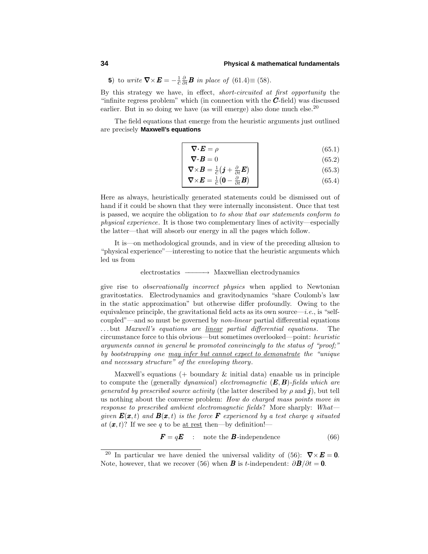**5**) to write 
$$
\nabla \times \mathbf{E} = -\frac{1}{c} \frac{\partial}{\partial t} \mathbf{B}
$$
 in place of (61.4)  $\equiv$  (58).

By this strategy we have, in effect, short-circuited at first opportunity the "infinite regress problem" which (in connection with the *C*-field) was discussed earlier. But in so doing we have (as will emerge) also done much else.<sup>20</sup>

The field equations that emerge from the heuristic arguments just outlined are precisely **Maxwell's equations**

$$
\nabla \cdot \boldsymbol{E} = \rho \tag{65.1}
$$

$$
\nabla \cdot \boldsymbol{B} = 0 \tag{65.2}
$$

$$
\nabla \times \mathbf{B} = \frac{1}{c} \left( \mathbf{j} + \frac{\partial}{\partial t} \mathbf{E} \right)
$$
(65.3)  

$$
\nabla \times \mathbf{F} = \frac{1}{c} \left( \mathbf{0} - \frac{\partial}{\partial t} \mathbf{E} \right)
$$
(65.4)

$$
\nabla \times \boldsymbol{E} = \frac{1}{C} \left( \boldsymbol{0} - \frac{\partial}{\partial t} \boldsymbol{B} \right) \tag{65.4}
$$

Here as always, heuristically generated statements could be dismissed out of hand if it could be shown that they were internally inconsistent. Once that test is passed, we acquire the obligation to to show that our statements conform to physical experience. It is those two complementary lines of activity—especially the latter—that will absorb our energy in all the pages which follow.

It is—on methodological grounds, and in view of the preceding allusion to "physical experience"—interesting to notice that the heuristic arguments which led us from

### electrostatics –––→ Maxwellian electrodynamics

give rise to observationally incorrect physics when applied to Newtonian gravitostatics. Electrodynamics and gravitodynamics "share Coulomb's law in the static approximation" but otherwise differ profoundly. Owing to the equivalence principle, the gravitational field acts as its own source—i.e., is "selfcoupled"—and so must be governed by non-linear partial differential equations *...* but Maxwell's equations are linear partial differential equations. The circumstance force to this obvious—but sometimes overlooked—point: heuristic arguments cannot in general be promoted convincingly to the status of "proof;" by bootstrapping one may infer but cannot expect to demonstrate the "unique and necessary structure" of the enveloping theory.

Maxwell's equations  $(+)$  boundary  $\&$  initial data) enaable us in principle to compute the (generally dynamical) electromagnetic (*E, B*)-fields which are *generated by prescribed source activity* (the latter described by  $\rho$  and **j**), but tell us nothing about the converse problem: How do charged mass points move in response to prescribed ambient electromagnetic fields? More sharply: Whatgiven  $\mathbf{E}(\mathbf{x},t)$  and  $\mathbf{B}(\mathbf{x},t)$  is the force **F** experienced by a test charge q situated at  $(\mathbf{x}, t)$ ? If we see q to be at rest then—by definition!—

$$
\boldsymbol{F} = q\boldsymbol{E} \quad : \quad \text{note the } \boldsymbol{B}\text{-independence} \tag{66}
$$

<sup>&</sup>lt;sup>20</sup> In particular we have denied the universal validity of (56):  $\nabla \times E = 0$ . Note, however, that we recover (56) when *B* is *t*-independent:  $\partial \mathbf{B}/\partial t = 0$ .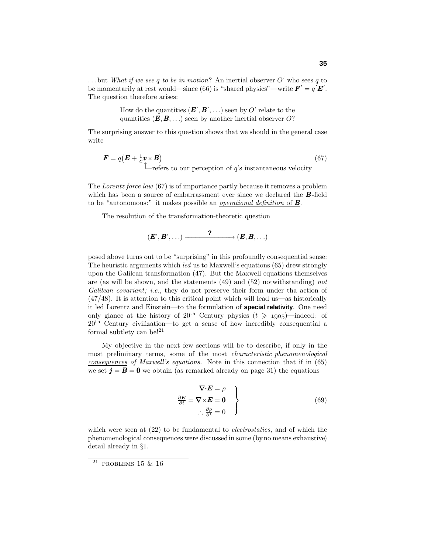*...* but What if we see *q* to be in motion? An inertial observer *O* who sees *q* to be momentarily at rest would—since (66) is "shared physics"—write  $F' = q'E'$ . The question therefore arises:

> How do the quantities  $(E', B', \ldots)$  seen by  $O'$  relate to the quantities  $(E, B, \ldots)$  seen by another inertial observer *O*?

The surprising answer to this question shows that we should in the general case write

$$
\mathbf{F} = q(\mathbf{E} + \frac{1}{c}\mathbf{v} \times \mathbf{B})
$$
(67)  
...  
refers to our perception of *q*'s instantaneous velocity

The Lorentz force law (67) is of importance partly because it removes a problem which has been a source of embarrassment ever since we declared the *B* -field to be "autonomous:" it makes possible an operational definition of *B*.

The resolution of the transformation-theoretic question

$$
(\boldsymbol{E}',\boldsymbol{B}',\ldots) \stackrel{\boldsymbol{?}}{\xrightarrow{\hspace*{1cm}}} (\boldsymbol{E},\boldsymbol{B},\ldots)
$$

posed above turns out to be "surprising" in this profoundly consequential sense: The heuristic arguments which led us to Maxwell's equations (65) drew strongly upon the Galilean transformation (47). But the Maxwell equations themselves are (as will be shown, and the statements  $(49)$  and  $(52)$  notwithstanding) not Galilean covariant; i.e., they do not preserve their form under tha action of (47/48). It is attention to this critical point which will lead us—as historically it led Lorentz and Einstein—to the formulation of **special relativity**. One need only glance at the history of 20<sup>th</sup> Century physics  $(t \geq 1905)$ —indeed: of  $20<sup>th</sup>$  Century civilization—to get a sense of how incredibly consequential a formal subtlety can be! $^{21}$ 

My objective in the next few sections will be to describe, if only in the most preliminary terms, some of the most *characteristic phenomenological* consequences of Maxwell's equations. Note in this connection that if in (65) we set  $\mathbf{j} = \mathbf{B} = \mathbf{0}$  we obtain (as remarked already on page 31) the equations

$$
\nabla \cdot \mathbf{E} = \rho
$$
\n
$$
\frac{\partial \mathbf{E}}{\partial t} = \nabla \times \mathbf{E} = \mathbf{0}
$$
\n
$$
\therefore \frac{\partial \rho}{\partial t} = 0
$$
\n(69)

which were seen at  $(22)$  to be fundamental to *electrostatics*, and of which the phenomenological consequences were discussedin some (byno means exhaustive) detail already in §1.

 $^{21}$  problems 15  $\&$  16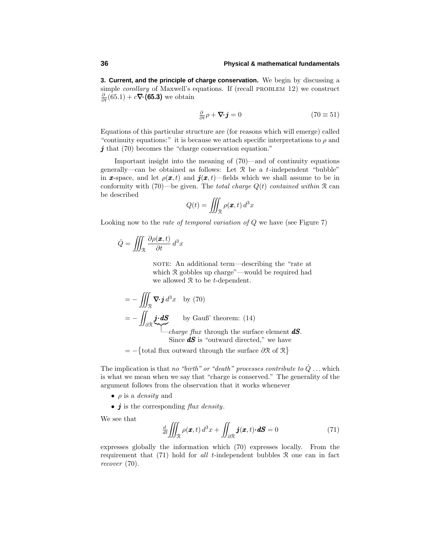**3. Current, and the principle of charge conservation.** We begin by discussing a simple *corollary* of Maxwell's equations. If (recall PROBLEM 12) we construct  $\frac{\partial}{\partial t}(65.1) + c\nabla \cdot (65.3)$  we obtain

$$
\frac{\partial}{\partial t}\rho + \nabla \cdot \mathbf{j} = 0 \tag{70} \equiv 51
$$

Equations of this particular structure are (for reasons which will emerge) called "continuity equations:" it is because we attach specific interpretations to  $\rho$  and *j* that (70) becomes the "charge conservation equation."

Important insight into the meaning of (70)—and of continuity equations generally—can be obtained as follows: Let R be a *t*-independent "bubble" in **x**-space, and let  $\rho(\mathbf{x}, t)$  and  $\mathbf{j}(\mathbf{x}, t)$ —fields which we shall assume to be in conformity with (70)—be given. The *total charge*  $Q(t)$  *contained within*  $\Re$  can be described

$$
Q(t) = \iiint_{\mathcal{R}} \rho(\mathbf{x}, t) d^3x
$$

Looking now to the *rate of temporal variation of Q* we have (see Figure 7)

$$
\dot{Q} = \iiint_{\mathcal{R}} \frac{\partial \rho(\mathbf{x}, t)}{\partial t} d^3x
$$

note: An additional term—describing the "rate at which R gobbles up charge"—would be required had we allowed R to be *t*-dependent.

$$
= - \iiint_{\mathcal{R}} \nabla \cdot \mathbf{j} d^{3}x \text{ by (70)}
$$
  
=  $-\iint_{\partial \mathcal{R}} \mathbf{j} \cdot d\mathbf{S}$  by Gauß' theorem: (14)  
charge flux through the surface element **dS**.  
Since **dS** is "outward directed," we have

= − total flux outward through the surface *∂*R of R

The implication is that no "birth" or "death" processes contribute to  $\dot{Q}$ ... which is what we mean when we say that "charge is conserved." The generality of the argument follows from the observation that it works whenever

- $\bullet$  *ρ* is a *density* and
- *j* is the corresponding *flux density*.

We see that

$$
\frac{d}{dt} \iiint_{\mathcal{R}} \rho(\boldsymbol{x}, t) d^3 x + \iint_{\partial \mathcal{R}} \boldsymbol{j}(\boldsymbol{x}, t) \cdot d\boldsymbol{S} = 0
$$
\n(71)

expresses globally the information which (70) expresses locally. From the requirement that (71) hold for all *t*-independent bubbles R one can in fact recover (70).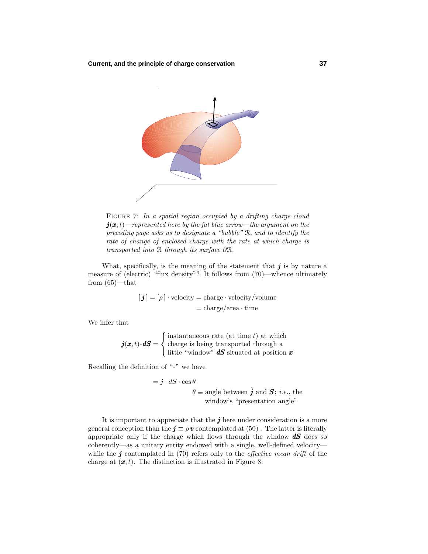

FIGURE 7: In a spatial region occupied by a drifting charge cloud  $\mathbf{j}(\mathbf{x},t)$ —represented here by the fat blue arrow—the argument on the preceding page asks us to designate a "bubble" R, and to identify the rate of change of enclosed charge with the rate at which charge is transported into R through its surface *∂*R.

What, specifically, is the meaning of the statement that *j* is by nature a measure of (electric) "flux density"? It follows from (70)—whence ultimately from  $(65)$ —that

$$
[\mathbf{j}] = [\rho] \cdot \text{velocity} = \text{charge} \cdot \text{velocity}/\text{volume}
$$

$$
= \text{charge}/\text{area} \cdot \text{time}
$$

We infer that

$$
\boldsymbol{j}(\boldsymbol{x},t)\cdot d\boldsymbol{S} = \begin{cases} \text{ instantaneous rate (at time } t \text{) at which} \\ \text{charge is being transported through a} \\ \text{little "window" } d\boldsymbol{S} \text{ situated at position } \boldsymbol{x} \end{cases}
$$

Recalling the definition of "·" we have

$$
= j \cdot dS \cdot \cos \theta
$$
  

$$
\theta \equiv \text{angle between } \hat{j} \text{ and } S; \text{ i.e., the window's "presentation angle"}
$$

It is important to appreciate that the *j* here under consideration is a more general conception than the  $j \equiv \rho \mathbf{v}$  contemplated at (50). The latter is literally appropriate only if the charge which flows through the window *dS* does so coherently—as a unitary entity endowed with a single, well-defined velocity while the  $j$  contemplated in (70) refers only to the *effective mean drift* of the charge at  $(x, t)$ . The distinction is illustrated in Figure 8.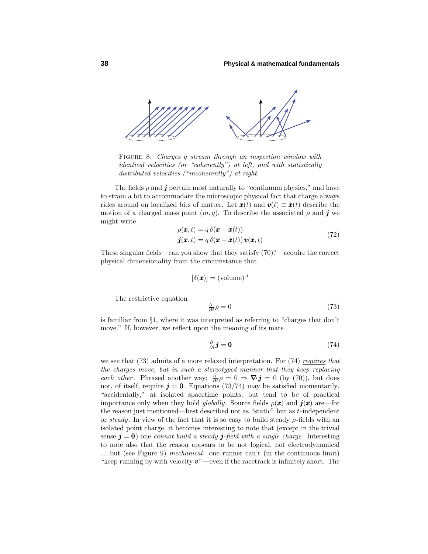

Figure 8: Charges *q* stream through an inspection window with identical velocities (or "coherently") at left, and with statistically distributed velocities ("incoherently") at right.

The fields  $\rho$  and  $\boldsymbol{j}$  pertain most naturally to "continuum physics," and have to strain a bit to accommodate the microscopic physical fact that charge always rides around on localized bits of matter. Let  $\mathbf{x}(t)$  and  $\mathbf{v}(t) \equiv \dot{\mathbf{x}}(t)$  describe the motion of a charged mass point  $(m, q)$ . To describe the associated  $\rho$  and **j** we might write

$$
\rho(\mathbf{x},t) = q \,\delta(\mathbf{x} - \mathbf{x}(t)) \n\mathbf{j}(\mathbf{x},t) = q \,\delta(\mathbf{x} - \mathbf{x}(t)) \,\mathbf{v}(\mathbf{x},t)
$$
\n(72)

These singular fields—can you show that they satisfy (70)?—acquire the correct physical dimensionality from the circumstance that

$$
[\delta(\pmb{x})]=(\mathrm{volume})^{-1}
$$

The restrictive equation

$$
\frac{\partial}{\partial t}\rho = 0\tag{73}
$$

is familiar from §1, where it was interpreted as referring to "charges that don't move." If, however, we reflect upon the meaning of its mate

$$
\frac{\partial}{\partial t}\mathbf{j} = \mathbf{0} \tag{74}
$$

we see that  $(73)$  admits of a more relaxed interpretation. For  $(74)$  requires that the charges move, but in such a stereotyped manner that they keep replacing each other. Phrased another way:  $\frac{\partial}{\partial t} \rho = 0 \Rightarrow \nabla \cdot \mathbf{j} = 0$  (by (70)), but does not, of itself, require  $j = 0$ . Equations (73/74) may be satisfied momentarily, "accidentally," at isolated spacetime points, but tend to be of practical importance only when they hold *globally*. Source fields  $\rho(\mathbf{x})$  and  $\mathbf{j}(\mathbf{x})$  are—for the reason just mentioned—best described not as "static" but as *t*-independent or steady. In view of the fact that it is so easy to build steady  $\rho$ -fields with an isolated point charge, it becomes interesting to note that (except in the trivial sense  $\mathbf{j} = \mathbf{0}$ ) one *cannot build a steady*  $\mathbf{j}$ -field with a single charge. Interesting to note also that the reason appears to be not logical, not electrodynamical *...* but (see Figure 9) mechanical: one runner can't (in the continuous limit) "keep running by with velocity  $v$ "—even if the racetrack is infinitely short. The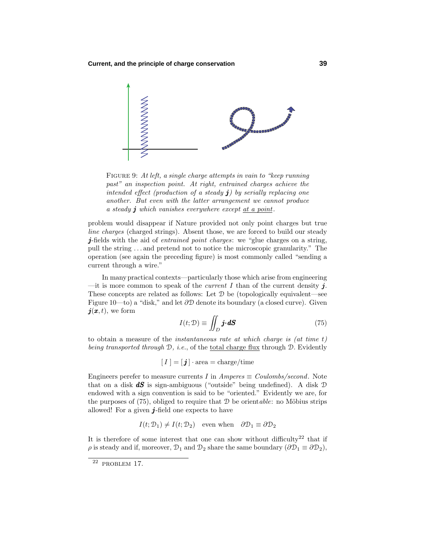

FIGURE 9: At left, a single charge attempts in vain to "keep running" past" an inspection point. At right, entrained charges achieve the intended effect (production of a steady *j*) by serially replacing one another. But even with the latter arrangement we cannot produce a steady *j* which vanishes everywhere except at a point.

problem would disappear if Nature provided not only point charges but true line charges (charged strings). Absent those, we are forced to build our steady *j*-fields with the aid of *entrained point charges*: we "glue charges on a string, pull the string *...* and pretend not to notice the microscopic granularity." The operation (see again the preceding figure) is most commonly called "sending a current through a wire."

In manypractical contexts—particularly those which arise from engineering —it is more common to speak of the current *I* than of the current density *j*. These concepts are related as follows: Let  $\mathcal D$  be (topologically equivalent—see Figure 10—to) a "disk," and let *∂*D denote its boundary (a closed curve). Given  $\bm{j}(\bm{x}, t)$ , we form

$$
I(t; \mathcal{D}) \equiv \iint_D \boldsymbol{j} \cdot d\boldsymbol{S} \tag{75}
$$

to obtain a measure of the instantaneous rate at which charge is (at time *t*) being transported through  $\mathcal{D}$ , *i.e.*, of the total charge flux through  $\mathcal{D}$ . Evidently

 $[I] = [j] \cdot \text{area} = \text{charge} / \text{time}$ 

Engineers perefer to measure currents *I* in  $Amperes \equiv Coulombs/second$ . Note that on a disk *dS* is sign-ambiguous ("outside" being undefined). A disk D endowed with a sign convention is said to be "oriented." Evidently we are, for the purposes of (75), obliged to require that  $\mathcal D$  be orientable: no Möbius strips allowed! For a given  $j$ -field one expects to have

$$
I(t; \mathcal{D}_1) \neq I(t; \mathcal{D}_2) \quad \text{even when} \quad \partial \mathcal{D}_1 \equiv \partial \mathcal{D}_2
$$

It is therefore of some interest that one can show without difficulty<sup>22</sup> that if  $\rho$  is steady and if, moreover,  $\mathcal{D}_1$  and  $\mathcal{D}_2$  share the same boundary  $(\partial \mathcal{D}_1 \equiv \partial \mathcal{D}_2)$ ,

 $22$  PROBLEM 17.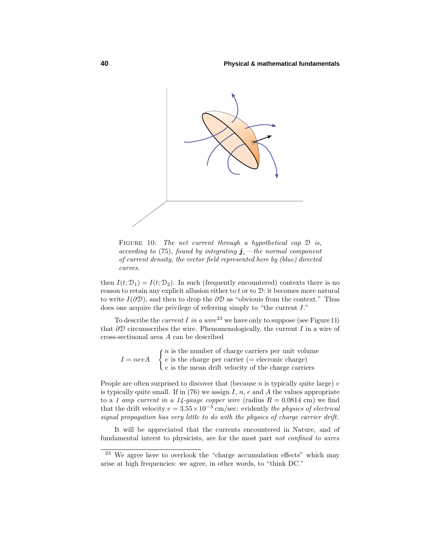

FIGURE 10: The net current through a hypothetical cap  $\mathcal D$  is, according to (75), found by integrating *j*⊥—the normal component of current density, the vector field represented here by (blue) directed curves.

then  $I(t; \mathcal{D}_1) = I(t; \mathcal{D}_2)$ . In such (frequently encountered) contexts there is no reason to retain any explicit allusion either to *t* or to D: it becomes more natural to write *I*(*∂*D), and then to drop the *∂*D as "obviouis from the context." Thus does one acquire the privilege of referring simply to "the current *I*."

To describe the *current I in a wire*<sup>23</sup> we have only to suppose (see Figure 11) that *∂*D circumscribes the wire. Phenomenologically, the current *I* in a wire of cross-sectiuonal area *A* can be described

 $I = nevA$   $\begin{cases} n \text{ is the number of charge carriers per unit volume} \\ e \text{ is the charge per carrier } (= \text{electronic charge}) \end{cases}$ *v* is the mean drift velocity of the charge carriers

People are often surprised to discover that (because *n* is typically quite large) *v* is typically quite small. If in  $(76)$  we assign *I*, *n*, *e* and *A* the values appropriate to a 1 amp current in a 14-gauge copper wire (radius  $R = 0.0814$  cm) we find that the drift velocity  $v = 3.55 \times 10^{-3}$  cm/sec: evidently the physics of electrical signal propagation has very little to do with the physics of charge carrier drift.

It will be appreciated that the currents encountered in Nature, and of fundamental interst to physicists, are for the most part not confined to wires

<sup>23</sup> We agree here to overlook the "charge accumulation effects" which may arise at high frequencies: we agree, in other words, to "think DC."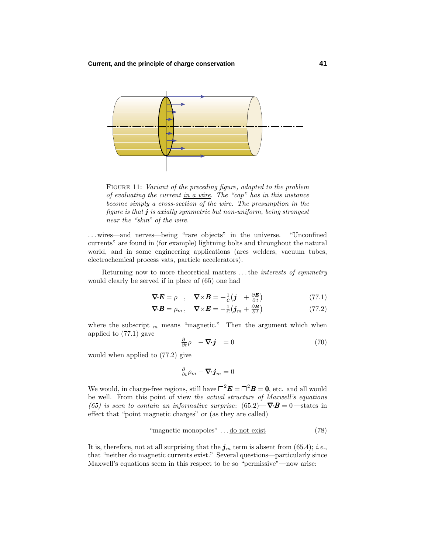

FIGURE 11: Variant of the preceding figure, adapted to the problem of evaluating the current in a wire. The "cap" has in this instance become simply a cross-section of the wire. The presumption in the figure is that *j* is axially symmetric but non-uniform, being strongest near the "skin" of the wire.

*...* wires—and nerves—being "rare objects" in the universe. "Unconfined currents" are found in (for example) lightning bolts and throughout the natural world, and in some engineering applications (arcs welders, vacuum tubes, electrochemical process vats, particle accelerators).

Returning now to more theoretical matters *...*the interests of symmetry would clearly be served if in place of (65) one had

$$
\nabla \cdot \mathbf{E} = \rho \quad , \quad \nabla \times \mathbf{B} = +\frac{1}{c} \left( \mathbf{j} + \frac{\partial \mathbf{E}}{\partial t} \right) \tag{77.1}
$$

$$
\nabla \cdot \boldsymbol{B} = \rho_m \,, \quad \nabla \times \boldsymbol{E} = -\frac{1}{c} \left( \boldsymbol{j}_m + \frac{\partial \boldsymbol{B}}{\partial t} \right) \tag{77.2}
$$

where the subscript  $_m$  means "magnetic." Then the argument which when applied to (77.1) gave

$$
\frac{\partial}{\partial t}\rho + \nabla \cdot \mathbf{j} = 0 \tag{70}
$$

would when applied to (77.2) give

$$
\frac{\partial}{\partial t}\rho_m + \nabla \cdot \boldsymbol{j}_m = 0
$$

We would, in charge-free regions, still have  $\Box^2 \bm{E} = \Box^2 \bm{B} = \bm{0}$ , etc. and all would be well. From this point of view the actual structure of Maxwell's equations (65) is seen to contain an informative surprise:  $(65.2) - \nabla \cdot \mathbf{B} = 0$  —states in effect that "point magnetic charges" or (as they are called)

$$
"magnetic monopoles" ... do not exist (78)
$$

It is, therefore, not at all surprising that the  $j<sub>m</sub>$  term is absent from (65.4); *i.e.*, that "neither do magnetic currents exist." Several questions—particularly since Maxwell's equations seem in this respect to be so "permissive"—now arise: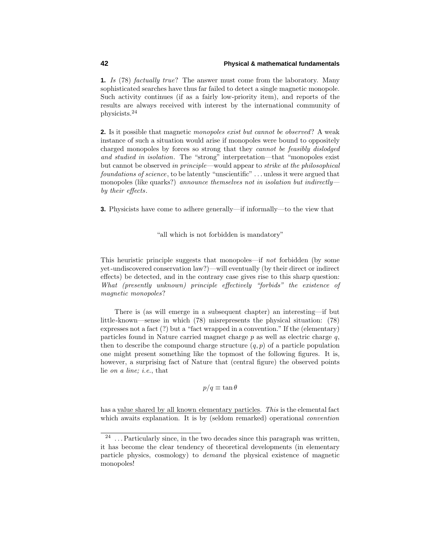**1.** Is (78) factually true? The answer must come from the laboratory. Many sophisticated searches have thus far failed to detect a single magnetic monopole. Such activity continues (if as a fairly low-priority item), and reports of the results are always received with interest by the international community of physicists.<sup>24</sup>

**2.** Is it possible that magnetic monopoles exist but cannot be observed? A weak instance of such a situation would arise if monopoles were bound to oppositely charged monopoles by forces so strong that they cannot be feasibly dislodged and studied in isolation. The "strong" interpretation—that "monopoles exist but cannot be observed in principle—would appear to strike at the philosophical foundations of science, to be latently "unscientific" *...* unless it were argued that monopoles (like quarks?) announce themselves not in isolation but indirectly by their effects.

**3.** Physicists have come to adhere generally—if informally—to the view that

"all which is not forbidden is mandatory"

This heuristic principle suggests that monopoles—if not forbidden (by some yet-undiscovered conservation law?)—will eventually (by their direct or indirect effects) be detected, and in the contrary case gives rise to this sharp question: What (presently unknown) principle effectively "forbids" the existence of magnetic monopoles?

There is (as will emerge in a subsequent chapter) an interesting—if but little-known—sense in which (78) misrepresents the physical situation: (78) expresses not a fact (?) but a "fact wrapped in a convention." If the (elementary) particles found in Nature carried magnet charge *p* as well as electric charge *q*, then to describe the compound charge structure  $(q, p)$  of a particle population one might present something like the topmost of the following figures. It is, however, a surprising fact of Nature that (central figure) the observed points lie on a line; i.e., that

$$
p/q\equiv\tan\theta
$$

has a value shared by all known elementary particles. This is the elemental fact which awaits explanation. It is by (seldom remarked) operational *convention* 

<sup>&</sup>lt;sup>24</sup> ...Particularly since, in the two decades since this paragraph was written, it has become the clear tendency of theoretical developments (in elementary particle physics, cosmology) to demand the physical existence of magnetic monopoles!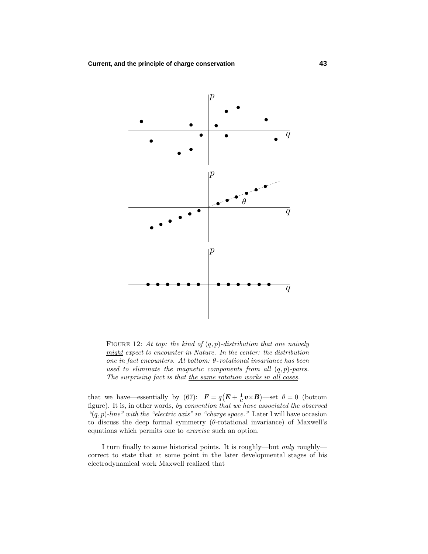

FIGURE 12: At top: the kind of  $(q, p)$ -distribution that one naively might expect to encounter in Nature. In the center: the distribution one in fact encounters. At bottom: *θ*-rotational invariance has been used to eliminate the magnetic components from all (*q, p*)-pairs. The surprising fact is that the same rotation works in all cases.

that we have—essentially by (67):  $\mathbf{F} = q(\mathbf{E} + \frac{1}{c}\mathbf{v} \times \mathbf{B})$ —set  $\theta = 0$  (bottom figure). It is, in other words, by convention that we have associated the observed " $(q, p)$ -line" with the "electric axis" in "charge space." Later I will have occasion to discuss the deep formal symmetry (*θ*-rotational invariance) of Maxwell's equations which permits one to exercise such an option.

I turn finally to some historical points. It is roughly—but only roughly correct to state that at some point in the later developmental stages of his electrodynamical work Maxwell realized that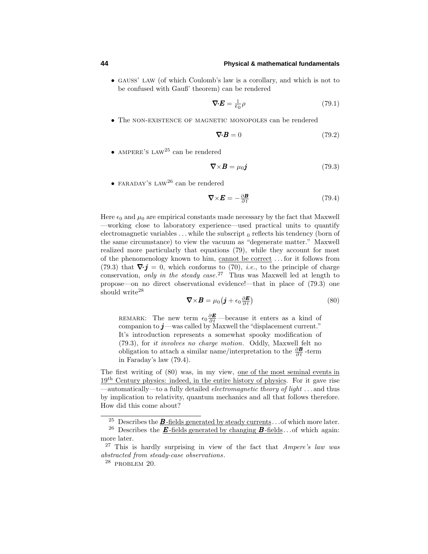• gauss' law (of which Coulomb's law is a corollary, and which is not to be confused with Gauß' theorem) can be rendered

$$
\nabla \cdot \boldsymbol{E} = \frac{1}{\epsilon_0} \rho \tag{79.1}
$$

• The NON-EXISTENCE OF MAGNETIC MONOPOLES can be rendered

$$
\nabla \cdot \boldsymbol{B} = 0 \tag{79.2}
$$

• AMPERE'S LAW<sup>25</sup> can be rendered

$$
\nabla \times \boldsymbol{B} = \mu_0 \boldsymbol{j} \tag{79.3}
$$

• FARADAY'S LAW<sup>26</sup> can be rendered

$$
\nabla \times \boldsymbol{E} = -\frac{\partial \boldsymbol{B}}{\partial t} \tag{79.4}
$$

Here  $\epsilon_0$  and  $\mu_0$  are empirical constants made necessary by the fact that Maxwell —working close to laboratory experience—used practical units to quantify electromagnetic variables  $\dots$  while the subscript  $_0$  reflects his tendency (born of the same circumstance) to view the vacuum as "degenerate matter." Maxwell realized more particularly that equations (79), while they account for most of the phenomenology known to him, cannot be correct *...* for it follows from (79.3) that  $\nabla \cdot \mathbf{j} = 0$ , which conforms to (70), *i.e.*, to the principle of charge conservation, only in the steady case.<sup>27</sup> Thus was Maxwell led at length to propose—on no direct observational evidence!—that in place of (79.3) one should write<sup>28</sup>

$$
\nabla \times \boldsymbol{B} = \mu_0 \left( \boldsymbol{j} + \epsilon_0 \frac{\partial \boldsymbol{E}}{\partial t} \right) \tag{80}
$$

REMARK: The new term  $\epsilon_0 \frac{\partial \bm{E}}{\partial t}$  —because it enters as a kind of companion to *j* —was called by Maxwell the"displacement current." It's introduction represents a somewhat spooky modification of (79.3), for it involves no charge motion. Oddly, Maxwell felt no obligation to attach a similar name/interpretation to the  $\frac{\partial \mathbf{B}}{\partial t}$ -term in Faraday's law (79.4).

The first writing of (80) was, in my view, one of the most seminal events in  $19<sup>th</sup>$  Century physics: indeed, in the entire history of physics. For it gave rise —automatically—to a fully detailed electromagnetic theory of light *...* and thus by implication to relativity, quantum mechanics and all that follows therefore. How did this come about?

<sup>&</sup>lt;sup>25</sup> Describes the  $\underline{B}$ -fields generated by steady currents...of which more later.

<sup>26</sup> Describes the *E* -fields generated by changing *B* -fields*...*of which again: more later.

 $27$  This is hardly surprising in view of the fact that Ampere's law was abstracted from steady-case observations.

 $28$  PROBLEM 20.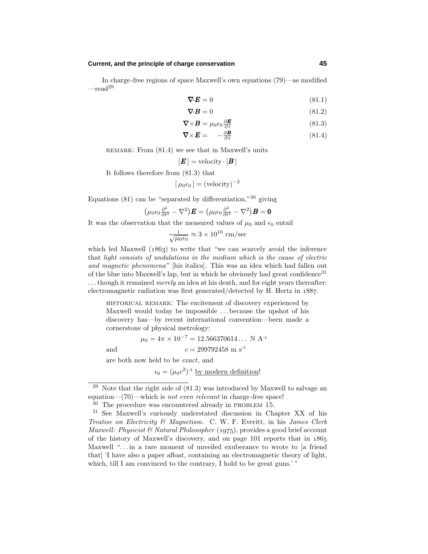### **Current, and the principle of charge conservation 45**

In charge-free regions of space Maxwell's own equations (79)—as modified —read<sup>29</sup>

$$
\nabla \cdot \boldsymbol{E} = 0 \tag{81.1}
$$

$$
\nabla \cdot \boldsymbol{B} = 0 \tag{81.2}
$$

$$
\nabla \times \boldsymbol{B} = \mu_0 \epsilon_0 \frac{\partial \boldsymbol{E}}{\partial t} \tag{81.3}
$$

$$
\nabla \times \boldsymbol{E} = -\frac{\partial \boldsymbol{B}}{\partial t} \tag{81.4}
$$

REMARK: From  $(81.4)$  we see that in Maxwell's units

$$
[\boldsymbol{E}] = \text{velocity} \cdot [\boldsymbol{B}]
$$

It follows therefore from (81.3) that

$$
[\,\mu_0\epsilon_0\,]=(\text{velocity})^{-2}
$$

Equations  $(81)$  can be "separated by differentiation,"<sup>30</sup> giving

$$
\left(\mu_0 \epsilon_0 \frac{\partial^2}{\partial t^2} - \nabla^2\right) \boldsymbol{E} = \left(\mu_0 \epsilon_0 \frac{\partial^2}{\partial t^2} - \nabla^2\right) \boldsymbol{B} = \boldsymbol{0}
$$

It was the observation that the measured values of  $\mu_0$  and  $\epsilon_0$  entail

$$
\frac{1}{\sqrt{\mu_0 \epsilon_0}} \approx 3 \times 10^{10} \text{ cm/sec}
$$

which led Maxwell  $(1863)$  to write that "we can scarcely avoid the inference that light consists of undulations in the medium which is the cause of electric and magnetic phenomena" [his italics]. This was an idea which had fallen out of the blue into Maxwell's lap, but in which he obviously had great confidence  $31$ *...*though it remained merely an idea at his death, and for eight years thereafter: electromagnetic radiation was first generated/detected by H. Hertz in  $1887$ .

historical remark: The excitement of discovery experienced by Maxwell would today be impossible *...* because the upshot of his discovery has—by recent international convention—been made a cornerstone of physical metrology:

 $\mu_0 = 4\pi \times 10^{-7} = 12.566370614...$  N A<sup>-1</sup> and  $c = 299792458 \text{ m s}^{-1}$ 

are both now held to be exact, and

 $\epsilon_0 = (\mu_0 c^2)^{-1}$  by modern definition!

 $29$  Note that the right side of  $(81.3)$  was introduced by Maxwell to salvage an equation—(70)—which is *not even relevant* in charge-free space!

<sup>30</sup> The procedure was encountered already in problem 15.

<sup>31</sup> See Maxwell's curiously understated discussion in Chapter XX of his Treatise on Electricity & Magnetism. C. W. F. Everitt, in his James Clerk Maxwell: Physicist & Natural Philosopher (1975), provides a good brief account of the history of Maxwell's discovery, and on page 101 reports that in Maxwell "*...* in a rare moment of unveiled exuberance to wrote to [a friend that] 'I have also a paper afloat, containing an electromagnetic theory of light, which, till I am convinced to the contrary, I hold to be great guns.'"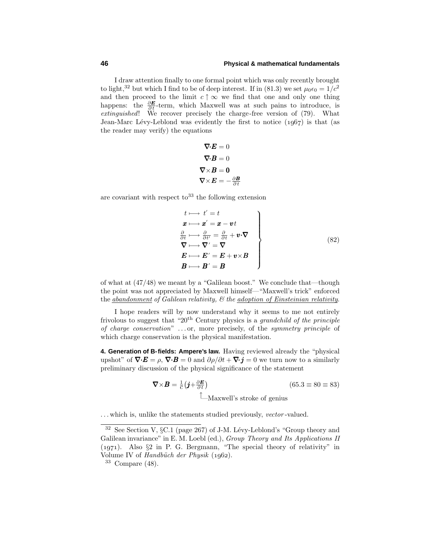I draw attention finally to one formal point which was only recently brought to light,<sup>32</sup> but which I find to be of deep interest. If in (81.3) we set  $\mu_0 \epsilon_0 = 1/c^2$ and then proceed to the limit  $c \uparrow \infty$  we find that one and only one thing happens: the  $\frac{\partial E}{\partial t}$ -term, which Maxwell was at such pains to introduce, is extinguished! We recover precisely the charge-free version of (79). What Jean-Marc Lévy-Leblond was evidently the first to notice  $(1967)$  is that (as the reader may verify) the equations

$$
\nabla \cdot \mathbf{E} = 0
$$

$$
\nabla \cdot \mathbf{B} = 0
$$

$$
\nabla \times \mathbf{B} = 0
$$

$$
\nabla \times \mathbf{E} = -\frac{\partial \mathbf{B}}{\partial t}
$$

are covariant with respect  $\mathrm{to}^{33}$  the following extension

$$
t \longmapsto t' = t
$$
  
\n
$$
x \longmapsto x' = x - vt
$$
  
\n
$$
\frac{\partial}{\partial t} \longmapsto \frac{\partial}{\partial t'} = \frac{\partial}{\partial t} + v \cdot \nabla
$$
  
\n
$$
\nabla \longmapsto \nabla' = \nabla
$$
  
\n
$$
E \longmapsto E' = E + v \times B
$$
  
\n
$$
B \longmapsto B' = B
$$
\n(82)

of what at  $(47/48)$  we meant by a "Galilean boost." We conclude that—though the point was not appreciated by Maxwell himself—"Maxwell's trick" enforced the *abandonment* of Galilean relativity,  $\mathcal{B}$  the *adoption of Einsteinian relativity*.

I hope readers will by now understand why it seems to me not entirely frivolous to suggest that "20<sup>th</sup> Century physics is a *grandchild of the principle* of charge conservation" *...* or, more precisely, of the symmetry principle of which charge conservation is the physical manifestation.

**4. Generation of B-fields: Ampere's law.** Having reviewed already the "physical upshot" of  $\nabla \cdot \vec{E} = \rho$ ,  $\nabla \cdot \vec{B} = 0$  and  $\partial \rho / \partial t + \nabla \cdot \vec{j} = 0$  we turn now to a similarly preliminary discussion of the physical significance of the statement

$$
\nabla \times \mathbf{B} = \frac{1}{c} \left( \mathbf{j} + \frac{\partial \mathbf{E}}{\partial t} \right)
$$
 (65.3 = 80 = 83)  
 
$$
\hat{\mathbf{L}}_{\text{Maxwell's stroke of genius}}
$$

*...* which is, unlike the statements studied previously, vector -valued.

<sup>&</sup>lt;sup>32</sup> See Section V,  $\S C.1$  (page 267) of J-M. Lévy-Leblond's "Group theory and Galilean invariance" in E. M. Loebl (ed.), Group Theory and Its Applications II  $(1971)$ . Also §2 in P. G. Bergmann, "The special theory of relativity" in Volume IV of Handbüch der Physik  $(1962)$ .

 $33$  Compare (48).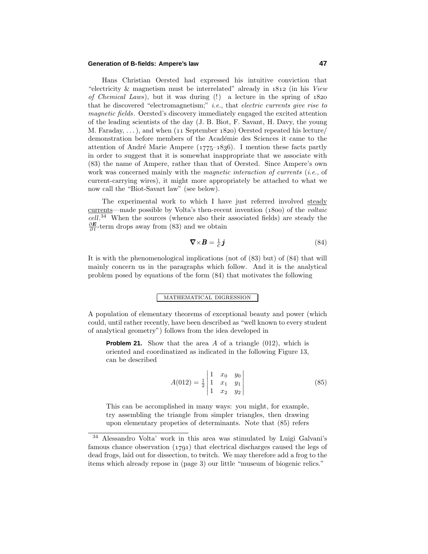#### **Generation of B-fields: Ampere's law 47**

Hans Christian Oersted had expressed his intuitive conviction that "electricity  $\&$  magnetism must be interrelated" already in  $1812$  (in his View of Chemical Laws), but it was during  $(!)$  a lecture in the spring of  $1820$ that he discovered "electromagnetism;" i.e., that electric currents give rise to magnetic fields. Oersted's discovery immediately engaged the excited attention of the leading scientists of the day (J. B. Biot, F. Savant, H. Davy, the young M. Faraday, ...), and when (11 September 1820) Oersted repeated his lecture/ demonstration before members of the Académie des Sciences it came to the attention of André Marie Ampere ( $1775-1836$ ). I mention these facts partly in order to suggest that it is somewhat inappropriate that we associate with (83) the name of Ampere, rather than that of Oersted. Since Ampere's own work was concerned mainly with the *magnetic interaction of currents* (*i.e.*, of current-carrying wires), it might more appropriately be attached to what we now call the "Biot-Savart law" (see below).

The experimental work to which I have just referred involved steady  $\frac{\text{currents}}{\text{} - \text{made possible}}$  by Volta's then-recent invention (1800) of the voltaic cell. <sup>34</sup> When the sources (whence also their associated fields) are steady the *∂E*<sub>*∂t*</sub> -term drops away from (83) and we obtain

$$
\nabla \times \boldsymbol{B} = \frac{1}{c} \boldsymbol{j} \tag{84}
$$

It is with the phenomenological implications (not of (83) but) of (84) that will mainly concern us in the paragraphs which follow. And it is the analytical problem posed by equations of the form (84) that motivates the following

# mathematical digression

A population of elementary theorems of exceptional beauty and power (which could, until rather recently, have been described as "well known to every student of analytical geometry") follows from the idea developed in

**Problem 21.** Show that the area *A* of a triangle (012), which is oriented and coordinatized as indicated in the following Figure 13, can be described

$$
A(012) = \frac{1}{2} \begin{vmatrix} 1 & x_0 & y_0 \\ 1 & x_1 & y_1 \\ 1 & x_2 & y_2 \end{vmatrix}
$$
 (85)

This can be accomplished in many ways: you might, for example, try assembling the triangle from simpler triangles, then drawing upon elementary propeties of determinants. Note that (85) refers

<sup>34</sup> Alessandro Volta' work in this area was stimulated by Luigi Galvani's famous chance observation  $(1791)$  that electrical discharges caused the legs of dead frogs, laid out for dissection, to twitch. We may therefore add a frog to the items which already repose in (page 3) our little "museum of biogenic relics."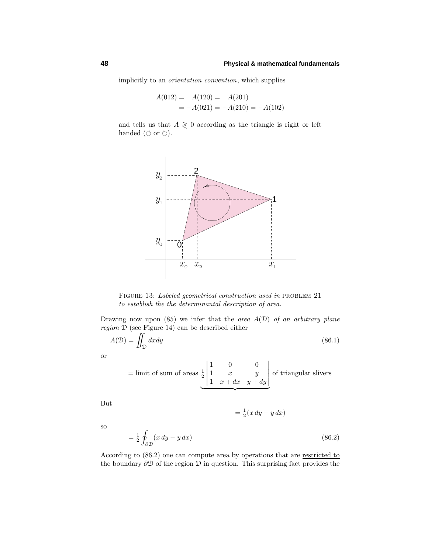implicitly to an orientation convention, which supplies

$$
A(012) = A(120) = A(201)
$$
  
= -A(021) = -A(210) = -A(102)

and tells us that  $A \geq 0$  according as the triangle is right or left handed ( $\circ$  or  $\circ$ ).



FIGURE 13: Labeled geometrical construction used in PROBLEM 21 to establish the the determinantal description of area.

Drawing now upon (85) we infer that the area *A*(D) of an arbitrary plane region D (see Figure 14) can be described either

$$
A(\mathcal{D}) = \iint_{\mathcal{D}} dx dy \tag{86.1}
$$

or

= limit of sum of areas 
$$
\frac{1}{2}\begin{vmatrix} 1 & 0 & 0 \\ 1 & x & y \\ 1 & x + dx & y + dy \end{vmatrix}
$$
 of triangular slivers

But

$$
= \frac{1}{2}(x\,dy - y\,dx)
$$

so

$$
=\frac{1}{2}\oint_{\partial\mathcal{D}}(x\,dy-y\,dx)\tag{86.2}
$$

According to (86.2) one can compute area by operations that are restricted to the boundary *∂*D of the region D in question. This surprising fact provides the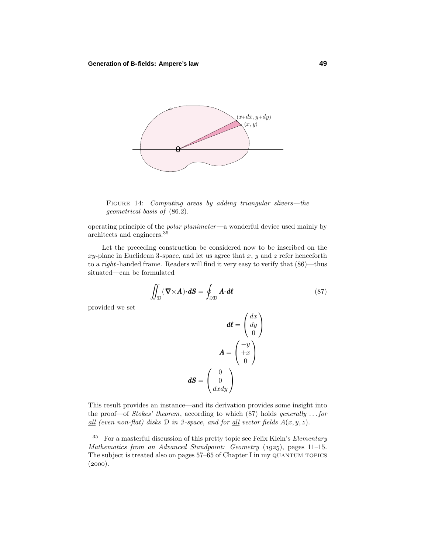

FIGURE 14: Computing areas by adding triangular slivers—the geometrical basis of (86.2).

operating principle of the polar planimeter—a wonderful device used mainly by architects and engineers.<sup>35</sup>

Let the preceding construction be considered now to be inscribed on the *xy*-plane in Euclidean 3-space, and let us agree that *x*, *y* and *z* refer henceforth to a *right*-handed frame. Readers will find it very easy to verify that  $(86)$ —thus situated—can be formulated

$$
\iint_{\mathcal{D}} (\mathbf{\nabla} \times \mathbf{A}) \cdot d\mathbf{S} = \oint_{\partial \mathcal{D}} \mathbf{A} \cdot d\mathbf{\ell}
$$
\n(87)

provided we set

$$
d\ell = \begin{pmatrix} dx \\ dy \\ 0 \end{pmatrix}
$$

$$
A = \begin{pmatrix} -y \\ +x \\ 0 \end{pmatrix}
$$

$$
dS = \begin{pmatrix} 0 \\ 0 \\ dx dy \end{pmatrix}
$$

This result provides an instance—and its derivation provides some insight into the proof—of Stokes'theorem, according to which (87) holds generally *...* for  $all$  (even non-flat) disks  $D$  in 3-space, and for <u>all</u> vector fields  $A(x, y, z)$ .

 $35$  For a masterful discussion of this pretty topic see Felix Klein's *Elementary* Mathematics from an Advanced Standpoint: Geometry  $(1925)$ , pages 11–15. The subject is treated also on pages 57–65 of Chapter I in my QUANTUM TOPICS  $(2000).$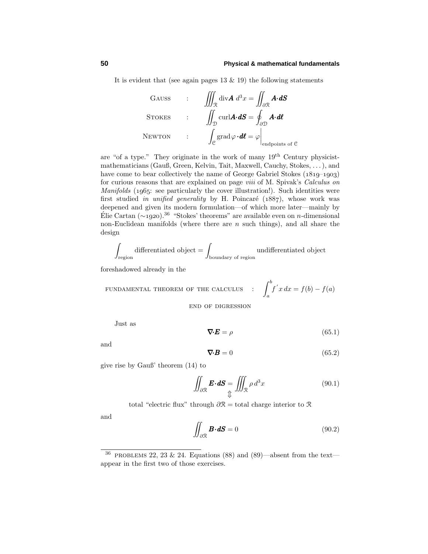It is evident that (see again pages  $13 \& 19$ ) the following statements

Gauss : 
$$
\iiint_{\mathcal{R}} \text{div} \mathbf{A} \, d^3x = \iint_{\partial \mathcal{R}} \mathbf{A} \cdot d\mathbf{S}
$$
  
\nSTOKES : 
$$
\iint_{\mathcal{D}} \text{curl} \mathbf{A} \cdot d\mathbf{S} = \oint_{\partial \mathcal{D}} \mathbf{A} \cdot d\mathbf{\ell}
$$
  
\nNEWTON : 
$$
\int_{\mathcal{C}} \text{grad } \varphi \cdot d\mathbf{\ell} = \varphi \Big|_{\text{endpoints of } \mathcal{C}}
$$

are "of a type." They originate in the work of many 19th Century physicistmathematicians (Gauß, Green, Kelvin, Tait, Maxwell, Cauchy, Stokes, *...*), and have come to bear collectively the name of George Gabriel Stokes  $(1819-1903)$ for curious reasons that are explained on page *viii* of M. Spivak's *Calculus on* Manifolds (1965: see particularly the cover illustration!). Such identities were first studied in unified generality by H. Poincaré  $(1887)$ , whose work was deepened and given its modern formulation—of which more later—mainly by Élie Cartan ( $\sim$ 1920).<sup>36</sup> "Stokes' theorems" are available even on *n*-dimensional non-Euclidean manifolds (where there are *n* such things), and all share the design

$$
\int_{\text{region}} \text{ differentiated object} = \int_{\text{boundary of region}} \text{undifferentiated object}
$$

foreshadowed already in the

FUNDAMENTAL THEOREM OF THE CALCULUS : 
$$
\int_{a}^{b} f' x dx = f(b) - f(a)
$$

END OF DIGRESSION

Just as

$$
\nabla \cdot \mathbf{E} = \rho \tag{65.1}
$$

and

$$
\nabla \cdot \boldsymbol{B} = 0 \tag{65.2}
$$

give rise by Gauß' theorem (14) to

$$
\iint_{\partial \mathcal{R}} \mathbf{E} \cdot d\mathbf{S} = \iiint_{\mathcal{R}} \rho \, d^3 x \tag{90.1}
$$

total "electric flux" through *∂*R = total charge interior to R

and

$$
\iint_{\partial \mathcal{R}} \boldsymbol{B} \cdot d\boldsymbol{S} = 0 \tag{90.2}
$$

<sup>&</sup>lt;sup>36</sup> PROBLEMS 22, 23 & 24. Equations (88) and (89)—absent from the text appear in the first two of those exercises.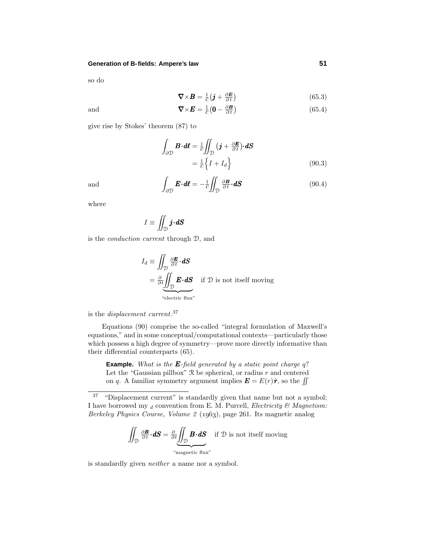so do

$$
\nabla \times \boldsymbol{B} = \frac{1}{c} \left( \boldsymbol{j} + \frac{\partial \boldsymbol{E}}{\partial t} \right) \tag{65.3}
$$

and 
$$
\nabla \times \boldsymbol{E} = \frac{1}{c} \left( \boldsymbol{0} - \frac{\partial \boldsymbol{B}}{\partial t} \right)
$$
(65.4)

give rise by Stokes' theorem (87) to

$$
\int_{\partial \mathcal{D}} \boldsymbol{B} \cdot d\boldsymbol{\ell} = \frac{1}{c} \iint_{\mathcal{D}} (\boldsymbol{j} + \frac{\partial \boldsymbol{E}}{\partial t}) \cdot d\boldsymbol{S}
$$
\n
$$
= \frac{1}{c} \left\{ I + I_d \right\} \tag{90.3}
$$

and

$$
\int_{\partial \mathcal{D}} \boldsymbol{E} \cdot d\boldsymbol{\ell} = -\frac{1}{c} \iint_{\mathcal{D}} \frac{\partial \boldsymbol{B}}{\partial t} \cdot d\boldsymbol{S}
$$
\n(90.4)

where

$$
I \equiv \iint_{\mathcal{D}} \boldsymbol{j} \cdot d\boldsymbol{S}
$$

is the conduction current through D, and

$$
I_d \equiv \iint_{\mathcal{D}} \frac{\partial \mathbf{E}}{\partial t} \cdot d\mathbf{S}
$$
  
=  $\frac{\partial}{\partial t} \iint_{\mathcal{D}} \mathbf{E} \cdot d\mathbf{S}$  if  $\mathcal{D}$  is not itself moving  
"electric flux"

is the *displacement current*.<sup>37</sup>

Equations (90) comprise the so-called "integral formulation of Maxwell's equations," and in some conceptual/computational contexts—particularly those which possess a high degree of symmetry—prove more directly informative than their differential counterparts (65).

**Example.** What is the *E*-field generated by a static point charge *q*? Let the "Gaussian pillbox" R be spherical, or radius *r* and centered on *q*. A familiar symmetry argument implies  $\mathbf{E} = E(r)\hat{r}$ , so the  $\iint$ 

<sup>37</sup> "Displacement current" is standardly given that name but not a symbol; I have borrowed my  $_d$  convention from E. M. Purcell, *Electricity* & Magnetism: Berkeley Physics Course, Volume  $2$  (1963), page 261. Its magnetic analog

$$
\iint_{\mathcal{D}} \frac{\partial \mathbf{B}}{\partial t} \cdot d\mathbf{S} = \underbrace{\frac{\partial}{\partial t} \iint_{\mathcal{D}} \mathbf{B} \cdot d\mathbf{S}}_{\text{``magnetic flux''}}
$$
 if  $\mathcal{D}$  is not itself moving

is standardly given neither a name nor a symbol.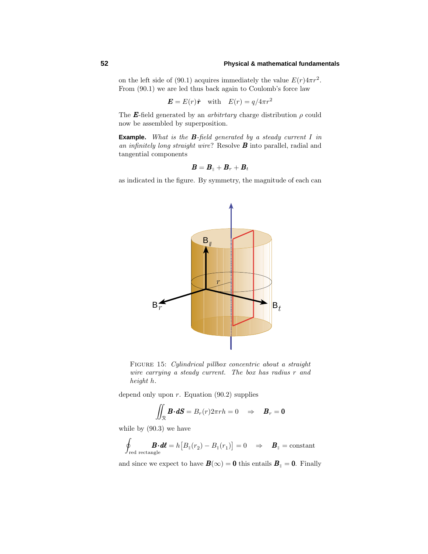on the left side of (90.1) acquires immediately the value  $E(r)4\pi r^2$ . From (90.1) we are led thus back again to Coulomb's force law

$$
\boldsymbol{E} = E(r)\hat{\boldsymbol{r}} \quad \text{with} \quad E(r) = q/4\pi r^2
$$

The **E**-field generated by an *arbitrary* charge distribution  $\rho$  could now be assembled by superposition.

**Example.** What is the *B*-field generated by a steady current *I* in an infinitely long straight wire? Resolve *B* into parallel, radial and tangential components

$$
\boldsymbol{B} = \boldsymbol{B}_{\parallel} + \boldsymbol{B}_{r} + \boldsymbol{B}_{t}
$$

as indicated in the figure. By symmetry, the magnitude of each can



FIGURE 15: Cylindrical pillbox concentric about a straight wire carrying a steady current. The box has radius *r* and height *h*.

depend only upon *r*. Equation (90.2) supplies

$$
\iint_{\mathcal{R}} \boldsymbol{B} \cdot d\boldsymbol{S} = B_r(r) 2\pi rh = 0 \quad \Rightarrow \quad \boldsymbol{B}_r = \boldsymbol{0}
$$

while by (90.3) we have

$$
\oint_{\text{red rectangle}} \mathbf{B} \cdot \mathbf{d}\mathbf{\ell} = h \big[ B_{\parallel}(r_2) - B_{\parallel}(r_1) \big] = 0 \quad \Rightarrow \quad \mathbf{B}_{\parallel} = \text{constant}
$$

and since we expect to have  $\mathbf{B}(\infty)=\mathbf{0}$  this entails  $\mathbf{B}_{\parallel}=\mathbf{0}$ . Finally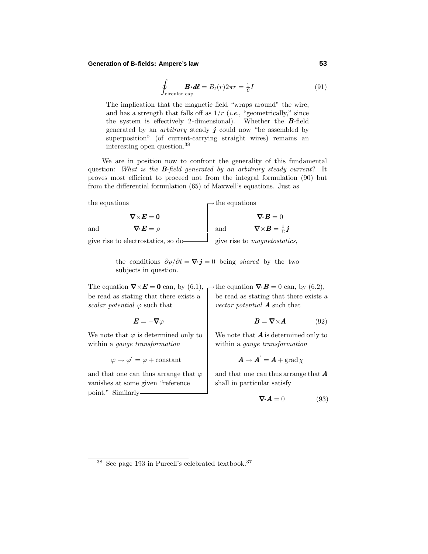#### **Generation of B-fields: Ampere's law 53**

$$
\oint_{\text{circular cap}} \mathbf{B} \cdot \mathbf{d}\mathbf{\ell} = B_t(r) 2\pi r = \frac{1}{c} I \tag{91}
$$

The implication that the magnetic field "wraps around" the wire, and has a strength that falls off as  $1/r$  (*i.e.*, "geometrically," since the system is effectively 2-dimensional). Whether the *B*-field generated by an arbitrary steady *j* could now"be assembled by superposition" (of current-carrying straight wires) remains an interesting open question.<sup>38</sup>

We are in position now to confront the generality of this fundamental question: What is the **B**-field generated by an arbitrary steady current? It proves most efficient to proceed not from the integral formulation (90) but from the differential formulation (65) of Maxwell's equations. Just as

| the equations                               | $\rightarrow$ the equations                                        |
|---------------------------------------------|--------------------------------------------------------------------|
| $\nabla\times E=0$                          | $\boldsymbol{\nabla} \cdot \boldsymbol{B} = 0$                     |
| $\nabla \cdot \boldsymbol{E} = \rho$<br>and | $\nabla \times \boldsymbol{B} = \frac{1}{C} \boldsymbol{j}$<br>and |
|                                             |                                                                    |

give rise to electrostatics, so do give rise to magnetostatics,

the conditions  $\partial \rho / \partial t = \nabla \cdot \mathbf{j} = 0$  being *shared* by the two subjects in question.

The equation  $\nabla \times \mathbf{E} = \mathbf{0}$  can, by (6.1),  $\rightarrow$  the equation  $\nabla \cdot \mathbf{B} = 0$  can, by (6.2), be read as stating that there exists a scalar potential  $\varphi$  such that vector potential **A** such that

$$
\mathbf{E}=-\mathbf{\nabla}\varphi
$$

We note that  $\varphi$  is determined only to We note that **A** is determined only to within a gauge transformation  $\vert$  within a gauge transformation

$$
\varphi \to \varphi' = \varphi + \text{constant} \qquad \qquad \mathbf{A} \to \mathbf{A}'
$$

and that one can thus arrange that  $\varphi$  and that one can thus arrange that **A** vanishes at some given "reference" shall in particular satisfy point." Similarly

be read as stating that there exists a

$$
\boldsymbol{E} = -\boldsymbol{\nabla}\varphi \qquad \qquad \boldsymbol{B} = \boldsymbol{\nabla}\times\boldsymbol{A} \qquad (92)
$$

$$
\bm{A}\rightarrow \bm{A}^{'}=\bm{A}+\mathrm{grad}\,\chi
$$

$$
\nabla \cdot \mathbf{A} = 0 \tag{93}
$$

 $^{38}$  See page 193 in Purcell's celebrated textbook.  $^{37}$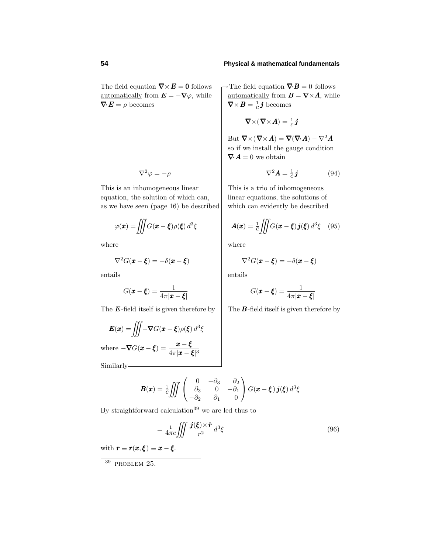The field equation  $\nabla \times \mathbf{E} = \mathbf{0}$  follows<br>automatically from  $\mathbf{E} = -\nabla \varphi$ , while  $\begin{bmatrix} \Delta \text{U} & \Delta \text{U} \\ \Delta \text{U} & \Delta \text{U} \end{bmatrix}$  from  $\mathbf{B} = \nabla \times \mathbf{A}$ , while  $\nabla \cdot \vec{E} = \rho$  becomes

$$
\nabla^2 \varphi = -\rho \qquad \qquad \nabla^2 \mathbf{A} = \frac{1}{c}
$$

This is an inhomogeneous linear This is a trio of inhomogeneous equation, the solution of which can, linear equations, the solutions of as we have seen (page 16) be described which can evidently be described

$$
\varphi(\boldsymbol{x}) = \iiint G(\boldsymbol{x} - \boldsymbol{\xi}) \rho(\boldsymbol{\xi}) d^3 \boldsymbol{\xi} \qquad \qquad \mathbf{A}(\boldsymbol{x}) = \frac{1}{c}
$$

$$
\nabla^2 G(\pmb{x} - \pmb{\xi}) = -\delta(\pmb{x} - \pmb{\xi})
$$

entails entails

$$
G(\pmb{x} - \pmb{\xi}) = \frac{1}{4\pi|\pmb{x} - \pmb{\xi}|}
$$

The  $E$ -field itself is given therefore by  $\parallel$  The  $B$ -field itself is given therefore by

$$
\boldsymbol{E}(\boldsymbol{x}) = \iiint -\nabla G(\boldsymbol{x} - \boldsymbol{\xi})\rho(\boldsymbol{\xi}) d^3\boldsymbol{\xi}
$$
  
where  $-\nabla G(\boldsymbol{x} - \boldsymbol{\xi}) = \frac{\boldsymbol{x} - \boldsymbol{\xi}}{4\pi |\boldsymbol{x} - \boldsymbol{\xi}|^3}$ 

Similarly

$$
\boldsymbol{B}(\boldsymbol{x}) = \frac{1}{c} \iiint \begin{pmatrix} 0 & -\partial_3 & \partial_2 \\ \partial_3 & 0 & -\partial_1 \\ -\partial_2 & \partial_1 & 0 \end{pmatrix} G(\boldsymbol{x} - \boldsymbol{\xi}) \boldsymbol{j}(\boldsymbol{\xi}) d^3 \boldsymbol{\xi}
$$

By straightforward calculation<sup>39</sup> we are led thus to

$$
=\frac{1}{4\pi c}\iiint \frac{\boldsymbol{j}(\boldsymbol{\xi})\times\hat{\boldsymbol{r}}}{r^2}d^3\boldsymbol{\xi}
$$
\n(96)

with  $r \equiv r(x,\xi) \equiv x - \xi$ .

automatically from  $\mathbf{B} = \nabla \times \mathbf{A}$ , while  $\nabla \times \boldsymbol{B} = \frac{1}{c} \boldsymbol{j}$  becomes

$$
\nabla \times (\nabla \times \boldsymbol{A}) = \frac{1}{C} \boldsymbol{j}
$$

But  $\nabla \times (\nabla \times \boldsymbol{A}) = \nabla(\nabla \cdot \boldsymbol{A}) - \nabla^2 \boldsymbol{A}$ so if we install the gauge condition  $\nabla \cdot \mathbf{A} = 0$  we obtain

$$
\nabla^2 \mathbf{A} = \frac{1}{c} \mathbf{j} \tag{94}
$$

$$
\mathbf{A}(\mathbf{x}) = \frac{1}{c} \iiint G(\mathbf{x} - \xi) \mathbf{j}(\xi) d^3 \xi \quad (95)
$$

where where where where where  $\blacksquare$ 

$$
\nabla^2 G(\mathbf{x} - \boldsymbol{\xi}) = -\delta(\mathbf{x} - \boldsymbol{\xi}) \qquad \qquad \nabla^2 G(\mathbf{x} - \boldsymbol{\xi}) = -\delta(\mathbf{x} - \boldsymbol{\xi})
$$

$$
\frac{1}{4\pi|\boldsymbol{x}-\boldsymbol{\xi}|} \qquad G(\boldsymbol{x}-\boldsymbol{\xi}) = \frac{1}{4\pi|\boldsymbol{x}-\boldsymbol{\xi}|}
$$

 $39$  PROBLEM 25.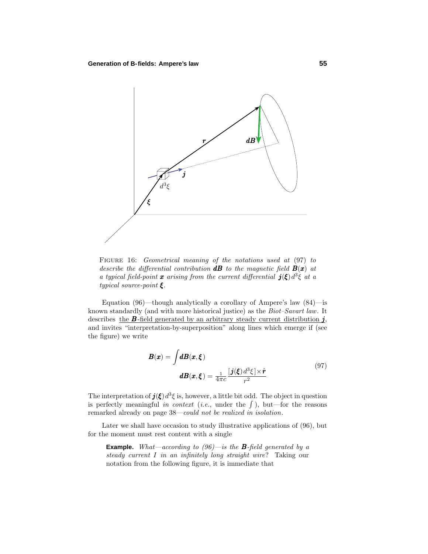

Figure 16: Geometrical meaning of the notations used at (97) to describe the differential contribution  $dB$  to the magnetic field  $B(x)$  at a typical field-point **x** arising from the current differential  $\mathbf{j}(\xi) d^3 \xi$  at a typical source-point *ξ*.

Equation  $(96)$ —though analytically a corollary of Ampere's law  $(84)$ —is known standardly (and with more historical justice) as the Biot–Savart law. It describes the  $\vec{B}$ -field generated by an arbitrary steady current distribution  $\vec{j}$ , and invites "interpretation-by-superposition" along lines which emerge if (see the figure) we write

$$
B(x) = \int dB(x,\xi)
$$
  

$$
dB(x,\xi) = \frac{1}{4\pi c} \frac{[j(\xi) d^3 \xi] \times \hat{r}}{r^2}
$$
(97)

The interpretation of  $\mathbf{j}(\xi) d^3 \xi$  is, however, a little bit odd. The object in question is perfectly meaningful in context (i.e., under the  $\int$ ), but—for the reasons remarked already on page 38—could not be realized in isolation.

Later we shall have occasion to study illustrative applications of (96), but for the moment must rest content with a single

**Example.** What—according to  $(96)$ —is the **B**-field generated by a steady current *I* in an infinitely long straight wire? Taking our notation from the following figure, it is immediate that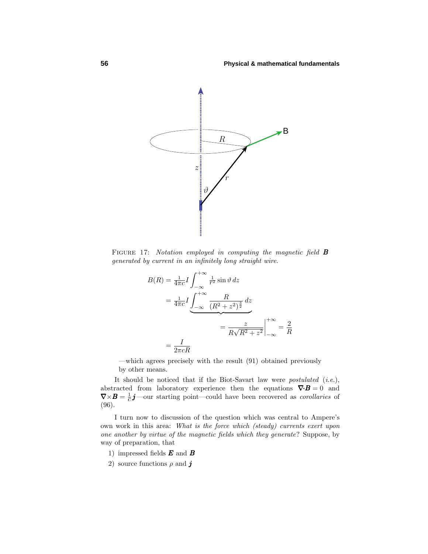

Figure 17: Notation employed in computing the magnetic field *B* generated by current in an infinitely long straight wire.

$$
B(R) = \frac{1}{4\pi c} I \int_{-\infty}^{+\infty} \frac{1}{r^2} \sin \vartheta \, dz
$$
  

$$
= \frac{1}{4\pi c} I \underbrace{\int_{-\infty}^{+\infty} \frac{R}{(R^2 + z^2)^{\frac{3}{2}}} dz}
$$
  

$$
= \frac{z}{R\sqrt{R^2 + z^2}} \Big|_{-\infty}^{+\infty} = \frac{2}{R}
$$
  

$$
= \frac{I}{2\pi cR}
$$

—which agrees precisely with the result (91) obtained previously by other means.

It should be noticed that if the Biot-Savart law were *postulated*  $(i.e.,)$ abstracted from laboratory experience then the equations  $\nabla \cdot \boldsymbol{B} = 0$  and  $\nabla \times \mathbf{B} = \frac{1}{c} \mathbf{j}$  —our starting point—could have been recovered as *corollaries* of (96).

I turn nowto discussion of the question which was central to Ampere's own work in this area: What is the force which (steady) currents exert upon one another by virtue of the magnetic fields which they generate? Suppose, by way of preparation, that

- 1) impressed fields *E* and *B*
- 2) source functions *ρ* and *j*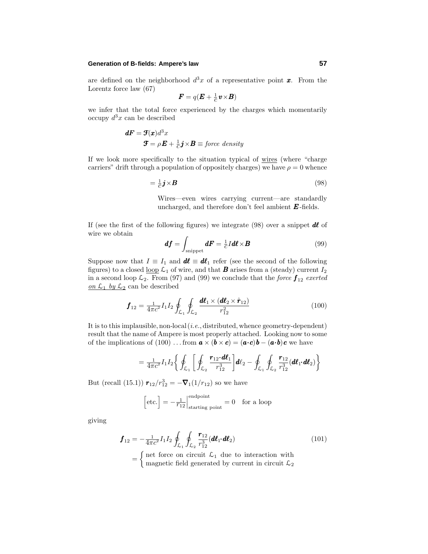#### **Generation of B-fields: Ampere's law 57**

are defined on the neighborhood  $d^3x$  of a representative point **x**. From the Lorentz force law  $(67)$ 

$$
\boldsymbol{F} = q(\boldsymbol{E} + \frac{1}{C}\boldsymbol{v} \times \boldsymbol{B})
$$

we infer that the total force experienced by the charges which momentarily occupy  $d^3x$  can be described

$$
dF = \mathcal{F}(x)d^3x
$$
  

$$
\mathcal{F} = \rho E + \frac{1}{C}j \times B \equiv force\ density
$$

If we look more specifically to the situation typical of wires (where "charge carriers" drift through a population of oppositely charges) we have  $\rho = 0$  whence

$$
=\frac{1}{c}\boldsymbol{j}\times\boldsymbol{B}\tag{98}
$$

Wires—even wires carrying current—are standardly uncharged, and therefore don't feel ambient *E* -fields.

If (see the first of the following figures) we integrate  $(98)$  over a snippet **dl** of wire we obtain

$$
df = \int_{\text{snippet}} dF = \frac{1}{c} I d\ell \times B \tag{99}
$$

Suppose now that  $I \equiv I_1$  and  $d\ell \equiv d\ell_1$  refer (see the second of the following figures) to a closed <u>loop</u>  $\mathcal{L}_1$  of wire, and that *B* arises from a (steady) current  $I_2$ in a second loop  $\mathcal{L}_2$ . From (97) and (99) we conclude that the *force*  $f_{12}$  exerted on  $\mathcal{L}_1$  by  $\mathcal{L}_2$  can be described

$$
\boldsymbol{f}_{12} = \frac{1}{4\pi c^2} I_1 I_2 \oint_{\mathcal{L}_1} \oint_{\mathcal{L}_2} \frac{d\boldsymbol{\ell}_1 \times (d\boldsymbol{\ell}_2 \times \hat{\boldsymbol{r}}_{12})}{r_{12}^2} \tag{100}
$$

It is to this implausible, non-local  $(i.e., distributed, whence geometry-dependent)$ result that the name of Ampere is most properly attached. Looking nowto some of the implications of (100)  $\ldots$  from  $\mathbf{a} \times (\mathbf{b} \times \mathbf{c}) = (\mathbf{a} \cdot \mathbf{c}) \mathbf{b} - (\mathbf{a} \cdot \mathbf{b}) \mathbf{c}$  we have

$$
= \frac{1}{4\pi c^2} I_1 I_2 \bigg\{ \oint_{\mathcal{L}_1} \bigg[ \oint_{\mathcal{L}_2} \frac{r_{12} \cdot d\ell_1}{r_{12}^3} \bigg] d\ell_2 - \oint_{\mathcal{L}_1} \oint_{\mathcal{L}_2} \frac{r_{12}}{r_{12}^3} (d\ell_1 \cdot d\ell_2) \bigg\}
$$

But (recall (15.1))  $r_{12}/r_{12}^3 = -\nabla_1(1/r_{12})$  so we have

$$
\left[\text{etc.}\right] = -\frac{1}{r_{12}} \Big|_{\text{starting point}}^{\text{endpoint}} = 0 \quad \text{for a loop}
$$

giving

$$
\boldsymbol{f}_{12} = -\frac{1}{4\pi c^2} I_1 I_2 \oint_{\mathcal{L}_1} \oint_{\mathcal{L}_2} \frac{\boldsymbol{r}_{12}}{r_{12}^3} (\boldsymbol{d} \boldsymbol{\ell}_1 \cdot \boldsymbol{d} \boldsymbol{\ell}_2) \tag{101}
$$

 $=\begin{cases}$  net force on circuit  $\mathcal{L}_1$  due to interaction with magnetic field generated by current in circuit  $\mathcal{L}_2$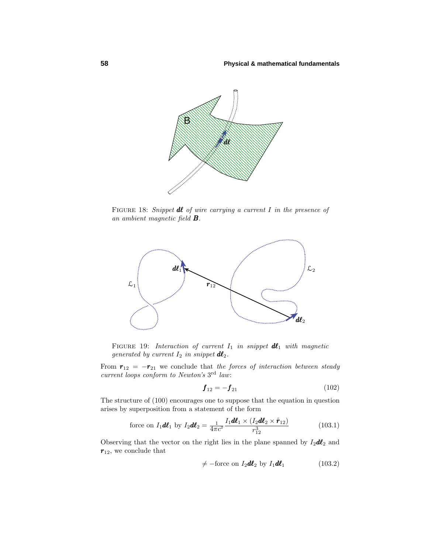

FIGURE 18: Snippet **dl** of wire carrying a current  $I$  in the presence of an ambient magnetic field *B*.



FIGURE 19: Interaction of current  $I_1$  in snippet  $d\ell_1$  with magnetic generated by current  $I_2$  in snippet  $d\ell_2$ .

From  $r_{12} = -r_{21}$  we conclude that the forces of interaction between steady current loops conform to Newton's 3rd law:

$$
\bm{f}_{12} = -\bm{f}_{21} \tag{102}
$$

The structure of (100) encourages one to suppose that the equation in question arises by superposition from a statement of the form

force on 
$$
I_1 d\ell_1
$$
 by  $I_2 d\ell_2 = \frac{1}{4\pi c^2} \frac{I_1 d\ell_1 \times (I_2 d\ell_2 \times \hat{r}_{12})}{r_{12}^3}$  (103.1)

Observing that the vector on the right lies in the plane spanned by  $I_2 d l_2$  and *r*12, we conclude that

$$
\neq -\text{force on } I_2 \mathbf{d}\mathbf{\ell}_2 \text{ by } I_1 \mathbf{d}\mathbf{\ell}_1 \tag{103.2}
$$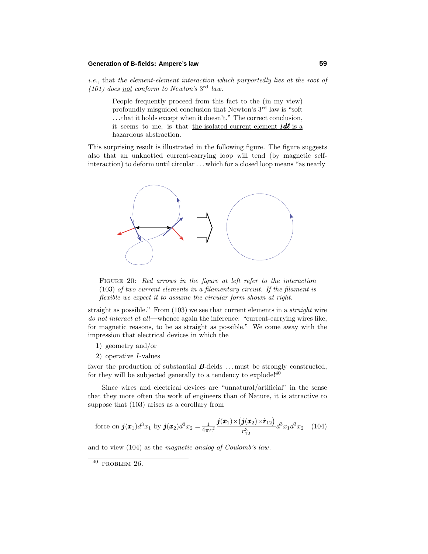### **Generation of B-fields: Ampere's law 59**

i.e., that the element-element interaction which purportedly lies at the root of (101) does not conform to Newton's  $3<sup>rd</sup>$  law.

People frequently proceed from this fact to the (in my view) profoundly misguided conclusion that Newton's 3rd lawis "soft *...*that it holds except when it doesn't." The correct conclusion, it seems to me, is that the isolated current element *Idl* is a hazardous abstraction.

This surprising result is illustrated in the following figure. The figure suggests also that an unknotted current-carrying loop will tend (by magnetic selfinteraction) to deform until circular *...* which for a closed loop means "as nearly



Figure 20: Red arrows in the figure at left refer to the interaction (103) of two current elements in a filamentary circuit. If the filament is flexible we expect it to assume the circular form shown at right.

straight as possible." From (103) we see that current elements in a *straight* wire do not interact at all—whence again the inference: "current-carrying wires like, for magnetic reasons, to be as straight as possible." We come away with the impression that electrical devices in which the

- 1) geometry and/or
- 2) operative *I*-values

favor the production of substantial *B*-fields *...* must be strongly constructed, for they will be subjected generally to a tendency to explode!<sup>40</sup>

Since wires and electrical devices are "unnatural/artificial" in the sense that they more often the work of engineers than of Nature, it is attractive to suppose that (103) arises as a corollary from

force on 
$$
\mathbf{j}(x_1) d^3 x_1
$$
 by  $\mathbf{j}(x_2) d^3 x_2 = \frac{1}{4\pi c^2} \frac{\mathbf{j}(x_1) \times (\mathbf{j}(x_2) \times \hat{\mathbf{r}}_{12})}{r_{12}^3} d^3 x_1 d^3 x_2$  (104)

and to view (104) as the magnetic analog of Coulomb's law.

 $40$  PROBLEM 26.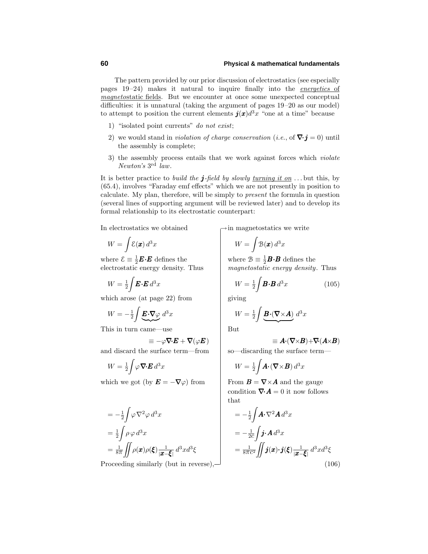The pattern provided by our prior discussion of electrostatics (see especially pages 19–24) makes it natural to inquire finally into the energetics of magnetostatic fields. But we encounter at once some unexpected conceptual difficulties: it is unnatural (taking the argument of pages 19–20 as our model) to attempt to position the current elements  $\mathbf{j}(\mathbf{x})d^3x$  "one at a time" because

- 1) "isolated point currents" do not exist;
- 2) we would stand in *violation of charge conservation* (*i.e.*, of  $\nabla \cdot \mathbf{j} = 0$ ) until the assembly is complete;
- 3) the assembly process entails that we work against forces which *violate* Newton's 3<sup>rd</sup> law.

It is better practice to *build the j*-field by slowly <u>turning it on</u>  $\ldots$  but this, by (65.4), involves "Faraday emf effects" which we are not presently in position to calculate. My plan, therefore, will be simply to present the formula in question (several lines of supporting argument will be reviewed later) and to develop its formal relationship to its electrostatic counterpart:

$$
W = \int \mathcal{E}(\boldsymbol{x}) \, d^3x \qquad W =
$$

where  $\mathcal{E} \equiv \frac{1}{2} \mathbf{E} \cdot \mathbf{E}$  defines the where  $\mathcal{B} \equiv \frac{1}{2}$ 

$$
W = \frac{1}{2} \int \mathbf{E} \cdot \mathbf{E} \, d^3 x \qquad W = \frac{1}{2}
$$

which arose (at page 22) from  $\qquad$  giving

$$
W = -\frac{1}{2} \int \underbrace{\boldsymbol{E} \cdot \boldsymbol{\nabla} \varphi}_{\cdot} d^3 x
$$

This in turn came—use But

$$
\equiv -\varphi \boldsymbol{\nabla} \cdot \boldsymbol{E} + \boldsymbol{\nabla}(\varphi \boldsymbol{E})
$$

and discard the surface term—from so—discarding the surface term—

$$
W = \frac{1}{2} \int \varphi \, \nabla \cdot \boldsymbol{E} \, d^3 x \qquad W = \frac{1}{2}
$$

which we got (by  $\mathbf{E} = -\nabla \varphi$ ) from  $\mathbf{B} = \nabla \times \mathbf{A}$  and the gauge

$$
= -\frac{1}{2} \int \varphi \nabla^2 \varphi d^3 x
$$
  
\n
$$
= \frac{1}{2} \int \rho \varphi d^3 x
$$
  
\n
$$
= \frac{1}{8\pi} \iint \rho(\boldsymbol{x}) \rho(\boldsymbol{\xi}) \frac{1}{|\boldsymbol{x} - \boldsymbol{\xi}|} d^3 x d^3 \boldsymbol{\xi}
$$
  
\n
$$
= -\frac{1}{2\pi} \int \rho(\boldsymbol{x}) \rho(\boldsymbol{\xi}) \frac{1}{|\boldsymbol{x} - \boldsymbol{\xi}|} d^3 x d^3 \boldsymbol{\xi}
$$
  
\n
$$
= \frac{1}{8\pi c}
$$

In electrostatics we obtained  $\rightarrow$ in magnetostatics we write

$$
W = \int \mathcal{B}(\boldsymbol{x}) \, d^3x
$$

where  $\mathcal{B} \equiv \frac{1}{2} \mathbf{B} \cdot \mathbf{B}$  defines the electrostatic energy density. Thus magnetostatic energy density. Thus

$$
W = \frac{1}{2} \int \boldsymbol{B} \cdot \boldsymbol{B} \, d^3 x \tag{105}
$$

$$
\rho \, d^3x \qquad \qquad W = \frac{1}{2} \int \underbrace{\boldsymbol{B} \cdot (\nabla \times \boldsymbol{A})}_{\text{D} \to \infty} \, d^3x
$$

$$
\equiv -\varphi \nabla \cdot \bm{E} + \bm{\nabla}(\varphi \bm{E}) \qquad \qquad \equiv \bm{A} \cdot (\bm{\nabla} \times \bm{B}) + \bm{\nabla}(\bm{A} \times \bm{B})
$$

$$
W = \frac{1}{2} \int \mathbf{A} \cdot (\mathbf{\nabla} \times \mathbf{B}) \, d^3x
$$

condition  $\nabla \cdot \mathbf{A} = 0$  it now follows that

$$
= -\frac{1}{2} \int \varphi \nabla^2 \varphi d^3 x
$$
  
\n
$$
= \frac{1}{2} \int \rho \varphi d^3 x
$$
  
\n
$$
= \frac{1}{8\pi} \int \rho(\mathbf{x}) \rho(\xi) \frac{1}{|\mathbf{x} - \xi|} d^3 x d^3 \xi
$$
  
\n
$$
= -\frac{1}{2c} \int \mathbf{j} \cdot \mathbf{A} d^3 x
$$
  
\n
$$
= -\frac{1}{2c} \int \mathbf{j} \cdot \mathbf{A} d^3 x
$$
  
\n
$$
= \frac{1}{8\pi c^2} \int \mathbf{j}(\mathbf{x}) \cdot \mathbf{j}(\xi) \frac{1}{|\mathbf{x} - \xi|} d^3 x d^3 \xi
$$
  
\nProceeding similarly (but in reverse).  
\n(106)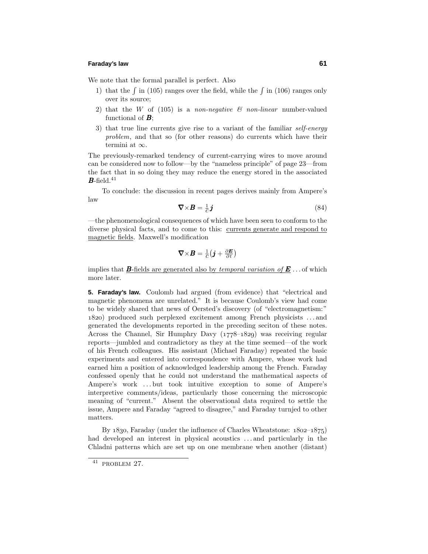## **Faraday's law 61**

We note that the formal parallel is perfect. Also

- 1) that the  $\int$  in (105) ranges over the field, while the  $\int$  in (106) ranges only over its source;
- 2) that the *W* of (105) is a non-negative  $\mathcal{B}$  non-linear number-valued functional of *B*;
- 3) that true line currents give rise to a variant of the familiar self-energy problem, and that so (for other reasons) do currents which have their termini at  $\infty$ .

The previously-remarked tendency of current-carrying wires to move around can be considered now to follow—by the "nameless principle" of page 23—from the fact that in so doing they may reduce the energy stored in the associated  $B$ -field.<sup>41</sup>

To conclude: the discussion in recent pages derives mainly from Ampere's law

$$
\nabla \times \boldsymbol{B} = \frac{1}{c} \boldsymbol{j} \tag{84}
$$

—the phenomenological consequences of which have been seen to conform to the diverse physical facts, and to come to this: currents generate and respond to magnetic fields. Maxwell's modification

$$
\nabla \times \boldsymbol{B} = \frac{1}{c} \big( \boldsymbol{j} + \frac{\partial \boldsymbol{E}}{\partial t} \big)
$$

implies that **B**-fields are generated also by temporal variation of  $\mathbf{E}$ ... of which more later.

**5. Faraday's law.** Coulomb had argued (from evidence) that "electrical and magnetic phenomena are unrelated." It is because Coulomb's view had come to be widely shared that news of Oersted's discovery (of "electromagnetism:" ) produced such perplexed excitement among French physicists *...* and generated the developments reported in the preceding seciton of these notes. Across the Channel, Sir Humphry Davy  $(1778-1829)$  was receiving regular reports—jumbled and contradictory as they at the time seemed—of the work of his French colleagues. His assistant (Michael Faraday) repeated the basic experiments and entered into correspondence with Ampere, whose work had earned him a position of acknowledged leadership among the French. Faraday confessed openly that he could not understand the mathematical aspects of Ampere's work *...* but took intuitive exception to some of Ampere's interpretive comments/ideas, particularly those concerning the microscopic meaning of "current." Absent the observational data required to settle the issue, Ampere and Faraday "agreed to disagree," and Faraday turnjed to other matters.

By  $1830$ , Faraday (under the influence of Charles Wheatstone:  $1802-1875$ ) had developed an interest in physical acoustics *...* and particularly in the Chladni patterns which are set up on one membrane when another (distant)

 $41$  PROBLEM 27.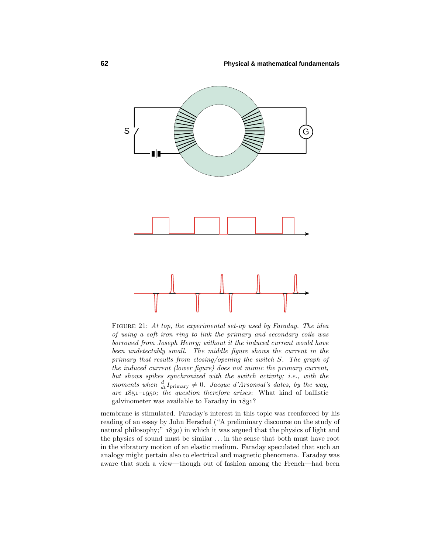

FIGURE 21: At top, the experimental set-up used by Faraday. The idea of using a soft iron ring to link the primary and secondary coils was borrowed from Joseph Henry; without it the induced current would have been undetectably small. The middle figure shows the current in the primary that results from closing/opening the switch *S*. The graph of the induced current (lower figure) does not mimic the primary current, but shows spikes synchronized with the switch activity; i.e., with the moments when  $\frac{d}{dt}I_{\text{primary}} \neq 0$ . Jacque d'Arsonval's dates, by the way, are  $1851-1950$ ; the question therefore arises: What kind of ballistic galvinometer was available to Faraday in  $1831$ ?

membrane is stimulated. Faraday's interest in this topic was reenforced by his reading of an essay by John Herschel ("A preliminary discourse on the study of natural philosophy;" 1830) in which it was argued that the physics of light and the physics of sound must be similar *...* in the sense that both must have root in the vibratory motion of an elastic medium. Faraday speculated that such an analogy might pertain also to electrical and magnetic phenomena. Faraday was aware that such a view—though out of fashion among the French—had been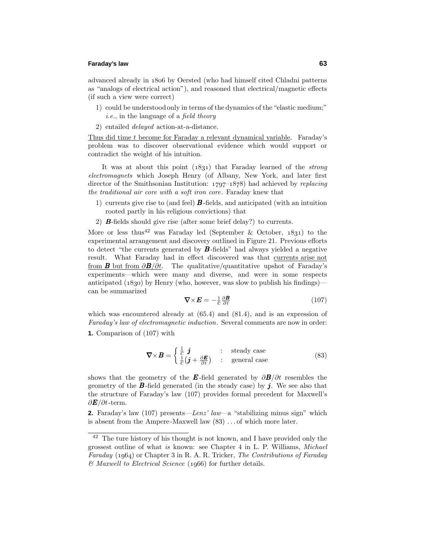#### **Faraday's law 63**

advanced already in 1806 by Oersted (who had himself cited Chladni patterns as "analogs of electrical action"), and reasoned that electrical/magnetic effects (if such a view were correct)

- 1) could be understoodonly in terms of the dynamics of the"elastic medium;" i.e., in the language of a field theory
- 2) entailed delayed action-at-a-distance.

Thus did time *t* become for Faraday a relevant dynamical variable. Faraday's problem was to discover observational evidence which would support or contradict the weight of his intuition.

It was at about this point  $(1831)$  that Faraday learned of the *strong* electromagnets which Joseph Henry (of Albany, New York, and later first director of the Smithsonian Institution:  $1797-1878$ ) had achieved by *replacing* the traditional air core with a soft iron core. Faraday knew that

- 1) currents give rise to (and feel) *B* -fields, and anticipated (with an intuition rooted partly in his religious convictions) that
- 2) *B*-fields should give rise (after some brief delay?) to currents.

More or less thus<sup>42</sup> was Faraday led (September & October,  $1831$ ) to the experimental arrangement and discovery outlined in Figure 21. Previous efforts to detect "the currents generated by *B* -fields" had always yielded a negative result. What Faraday had in effect discovered was that currents arise not from *B* but from *∂B/∂t*. The qualitative/quantitative upshot of Faraday's experiments—which were many and diverse, and were in some respects anticipated  $(1830)$  by Henry (who, however, was slow to publish his findings) can be summarized

$$
\nabla \times \boldsymbol{E} = -\frac{1}{c} \frac{\partial \boldsymbol{B}}{\partial t} \tag{107}
$$

which was encountered already at (65.4) and (81.4), and is an expression of Faraday's law of electromagnetic induction. Several comments are now in order: **1.** Comparison of (107) with

$$
\nabla \times \boldsymbol{B} = \begin{cases} \frac{1}{C} \boldsymbol{j} & \text{: steady case} \\ \frac{1}{C} (\boldsymbol{j} + \frac{\partial \boldsymbol{E}}{\partial t}) & \text{: general case} \end{cases}
$$
(83)

shows that the geometry of the *E* -field generated by *∂B/∂t* resembles the geometry of the *B* -field generated (in the steady case) by *j*. We see also that the structure of Faraday's law (107) provides formal precedent for Maxwell's *∂E/∂t*-term.

**2.** Faraday's law (107) presents—Lenz' law—a "stabilizing minus sign" which is absent from the Ampere-Maxwell law (83) *...* of which more later.

<sup>42</sup> The ture history of his thought is not known, and I have provided only the grossest outline of what is known: see Chapter 4 in L. P. Williams, Michael Faraday  $(1964)$  or Chapter 3 in R. A. R. Tricker, The Contributions of Faraday  $\mathscr$  Maxwell to Electrical Science (1966) for further details.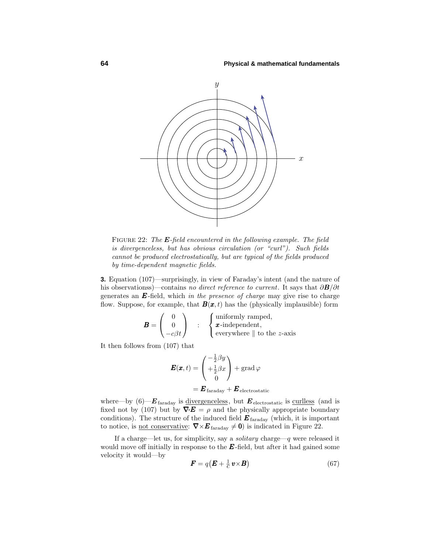

FIGURE 22: The **E**-field encountered in the following example. The field is divergenceless, but has obvious circulation (or "curl"). Such fields cannot be produced electrostatically, but are typical of the fields produced by time-dependent magnetic fields.

**3.** Equation (107)—surprisingly, in view of Faraday's intent (and the nature of his observationss)—contains no direct reference to current. It says that *∂B/∂t* generates an *E* -field, which in the presence of charge may give rise to charge flow. Suppose, for example, that  $\mathbf{B}(\mathbf{x},t)$  has the (physically implausible) form

$$
\boldsymbol{B} = \begin{pmatrix} 0 \\ 0 \\ -c\beta t \end{pmatrix} : \begin{cases} \text{uniformly ramped,} \\ \boldsymbol{x}\text{-independent,} \\ \text{everywhere} \parallel \text{to the } z\text{-axis} \end{cases}
$$

It then follows from (107) that

$$
\mathbf{E}(\mathbf{x},t) = \begin{pmatrix} -\frac{1}{2}\beta y \\ +\frac{1}{2}\beta x \\ 0 \end{pmatrix} + \text{grad }\varphi
$$

$$
= \mathbf{E}_{\text{faraday}} + \mathbf{E}_{\text{electrostatic}}
$$

where—by  $(6)$ — $E$ <sub>faraday</sub> is <u>divergenceless</u>, but  $E$ <sub>electrostatic</sub> is curlless (and is fixed not by (107) but by  $\nabla \cdot \vec{E} = \rho$  and the physically appropriate boundary conditions). The structure of the induced field  $E_{\text{faraday}}$  (which, it is important to notice, is <u>not conservative</u>:  $\nabla \times \mathbf{E}_{\text{faraday}} \neq \mathbf{0}$  is indicated in Figure 22.

If a charge—let us, for simplicity, say a solitary charge—*q* were released it would move off initially in response to the **E**-field, but after it had gained some velocity it would—by

$$
\boldsymbol{F} = q(\boldsymbol{E} + \frac{1}{c}\boldsymbol{v} \times \boldsymbol{B})
$$
\n(67)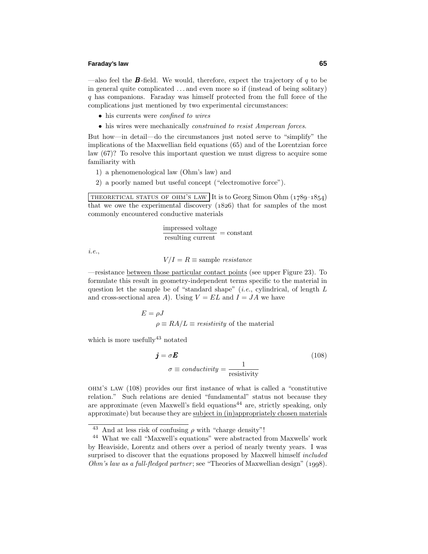#### **Faraday's law 65**

—also feel the **B**-field. We would, therefore, expect the trajectory of  $q$  to be in general quite complicated *...* and even more so if (instead of being solitary) *q* has companions. Faraday was himself protected from the full force of the complications just mentioned by two experimental circumstances:

- his currents were *confined to wires*
- his wires were mechanically constrained to resist Amperean forces.

But how—in detail—do the circumstances just noted serve to "simplify" the implications of the Maxwellian field equations (65) and of the Lorentzian force law (67)? To resolve this important question we must digress to acquire some familiarity with

- 1) a phenomenological law (Ohm's law) and
- 2) a poorly named but useful concept ("electromotive force").

THEORETICAL STATUS OF OHM'S LAW It is to Georg Simon Ohm  $(1789-1854)$ that we owe the experimental discovery  $(1826)$  that for samples of the most commonly encountered conductive materials

 $\frac{1}{\text{measured voltage}} = \text{constant}$ 

i.e.,

$$
V/I = R \equiv \text{sample resistance}
$$

—resistance between those particular contact points (see upper Figure 23). To formulate this result in geometry-independent terms specific to the material in question let the sample be of "standard shape" (i.e., cylindrical, of length *L* and cross-sectional area *A*). Using  $V = EL$  and  $I = JA$  we have

$$
E=\rho J
$$
  

$$
\rho\equiv RA/L\equiv resistivity\text{ of the material}
$$

which is more usefully  $43$  notated

$$
\mathbf{j} = \sigma \mathbf{E} \tag{108}
$$
\n
$$
\sigma \equiv \text{conductivity} = \frac{1}{\text{resistivity}}
$$

ohm's law (108) provides our first instance of what is called a "constitutive relation." Such relations are denied "fundamental" status not because they are approximate (even Maxwell's field equations<sup>44</sup> are, strictly speaking, only approximate) but because they are subject in (in)appropriately chosen materials

And at less risk of confusing  $\rho$  with "charge density"!

<sup>44</sup> What we call "Maxwell's equations" were abstracted from Maxwells' work by Heaviside, Lorentz and others over a period of nearly twenty years. I was surprised to discover that the equations proposed by Maxwell himself *included* Ohm's law as a full-fledged partner; see "Theories of Maxwellian design"  $(1998)$ .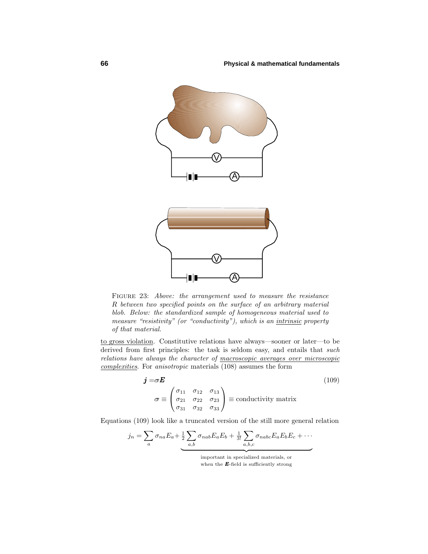

FIGURE 23: Above: the arrangement used to measure the resistance *R* between two specified points on the surface of an arbitrary material blob. Below: the standardized sample of homogeneous material used to measure "resistivity" (or "conductivity"), which is an intrinsic property of that material.

to gross violation. Constitutive relations have always—sooner or later—to be derived from first principles: the task is seldom easy, and entails that such relations have always the character of macroscopic averages over microscopic complexities. For anisotropic materials (108) assumes the form

$$
\mathbf{j} = \sigma \mathbf{E}
$$
\n
$$
\sigma \equiv \begin{pmatrix} \sigma_{11} & \sigma_{12} & \sigma_{13} \\ \sigma_{21} & \sigma_{22} & \sigma_{23} \\ \sigma_{31} & \sigma_{32} & \sigma_{33} \end{pmatrix} \equiv \text{conductivity matrix}
$$
\n(109)

Equations (109) look like a truncated version of the still more general relation

$$
j_n = \sum_a \sigma_{na} E_a + \frac{1}{2} \sum_{a,b} \sigma_{nab} E_a E_b + \frac{1}{3!} \sum_{a,b,c} \sigma_{nabc} E_a E_b E_c + \cdots
$$

 important in specialized materials, or when the *E*-field is sufficiently strong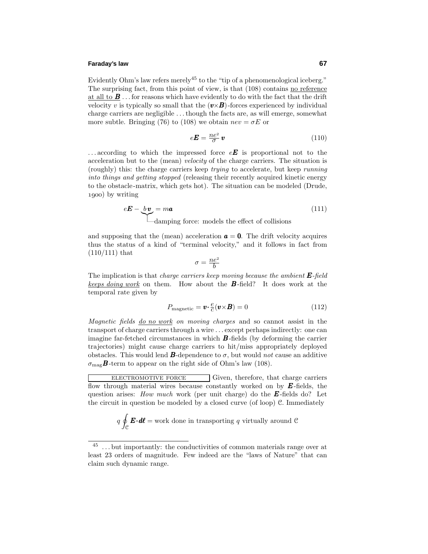### **Faraday's law 67**

Evidently Ohm's law refers merely<sup>45</sup> to the "tip of a phenomenological iceberg." The surprising fact, from this point of view, is that (108) contains no reference at all to *B ...* for reasons which have evidently to do with the fact that the drift velocity *v* is typically so small that the  $(\boldsymbol{v} \times \boldsymbol{B})$ -forces experienced by individual charge carriers are negligible *...*though the facts are, as will emerge, somewhat more subtle. Bringing (76) to (108) we obtain  $nev = \sigma E$  or

$$
e\mathbf{E} = \frac{ne^2}{\sigma}\mathbf{v} \tag{110}
$$

*...* according to which the impressed force *eE* is proportional not to the acceleration but to the (mean) velocity of the charge carriers. The situation is (roughly) this: the charge carriers keep trying to accelerate, but keep running into things and getting stopped (releasing their recently acquired kinetic energy to the obstacle-matrix, which gets hot). The situation can be modeled (Drude, ) by writing

$$
e\mathbf{E} - \underbrace{b\,\mathbf{v}}_{\text{damping force: models the effect of collisions}} \tag{111}
$$

and supposing that the (mean) acceleration  $\boldsymbol{a} = \boldsymbol{0}$ . The drift velocity acquires thus the status of a kind of "terminal velocity," and it follows in fact from (110/111) that

$$
\sigma = \frac{n e^{\scriptscriptstyle 2}}{b}
$$

The implication is that charge carriers keep moving because the ambient *E*-field keeps doing work on them. How about the *B* -field? It does work at the temporal rate given by

$$
P_{\text{magnetic}} = \boldsymbol{v} \cdot \frac{e}{c} (\boldsymbol{v} \times \boldsymbol{B}) = 0 \tag{112}
$$

Magnetic fields do no work on moving charges and so cannot assist in the transport of charge carriers through a wire *...* except perhaps indirectly: one can imagine far-fetched circumstances in which  $\boldsymbol{B}$ -fields (by deforming the carrier trajectories) might cause charge carriers to hit/miss appropriately deployed obstacles. This would lend  $\boldsymbol{B}$ -dependence to  $\sigma$ , but would not cause an additive  $\sigma_{\text{mag}}$ **B**-term to appear on the right side of Ohm's law (108).

ELECTROMOTIVE FORCE Given, therefore, that charge carriers flow through material wires because constantly worked on by *E* -fields, the question arises: How much work (per unit charge) do the *E* -fields do? Let the circuit in question be modeled by a closed curve (of loop) C. Immediately

> *q*  $\mathcal{E} \cdot d\ell = \text{work}$  done in transporting *q* virtually around C

<sup>45</sup> *...* but importantly: the conductivities of common materials range over at least 23 orders of magnitude. Few indeed are the "laws of Nature" that can claim such dynamic range.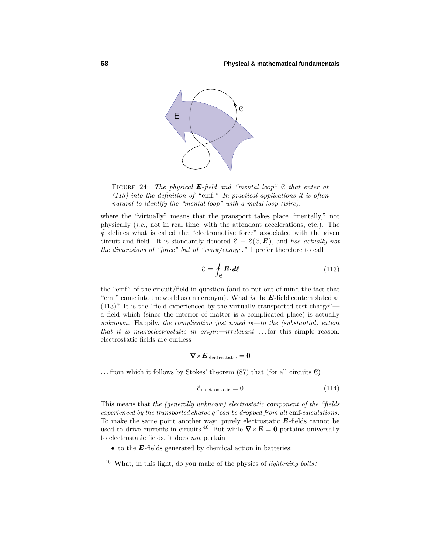

FIGURE 24: The physical **E**-field and "mental loop" C that enter at  $(113)$  into the definition of "emf." In practical applications it is often natural to identify the "mental loop" with a <u>metal</u> loop (wire).

where the "virtually" means that the pransport takes place "mentally," not physically (i.e., not in real time, with the attendant accelerations, etc.). The  $\oint$  defines what is called the "electromotive force" associated with the given circuit and field. It is standardly denoted  $\mathcal{E} \equiv \mathcal{E}(\mathcal{C}, \mathbf{E})$ , and has actually not the dimensions of "force" but of "work/charge." I prefer therefore to call

$$
\mathcal{E} \equiv \oint_{\mathcal{C}} \boldsymbol{E} \cdot \boldsymbol{d\ell} \tag{113}
$$

the "emf" of the circuit/field in question (and to put out of mind the fact that "emf" came into the world as an acronym). What is the *E* -field contemplated at (113)? It is the "field experienced by the virtually transported test charge" a field which (since the interior of matter is a complicated place) is actually unknown. Happily, the complication just noted is—to the (substantial) extent that it is microelectrostatic in origin—irrelevant *...* for this simple reason: electrostatic fields are curlless

# $\nabla \times \boldsymbol{E}_{\text{electrostatic}} = \boldsymbol{0}$

*...* from which it follows by Stokes' theorem (87) that (for all circuits C)

$$
\mathcal{E}_{\text{electrostatic}} = 0 \tag{114}
$$

This means that the (generally unknown) electrostatic component of the "fields experienced by the transported charge *q*"can be dropped from all emf-calculations. To make the same point another way: purely electrostatic *E* -fields cannot be used to drive currents in circuits.<sup>46</sup> But while  $\nabla \times \vec{E} = 0$  pertains universally to electrostatic fields, it does not pertain

• to the **E**-fields generated by chemical action in batteries;

 $^{46}$  What, in this light, do you make of the physics of lightening bolts?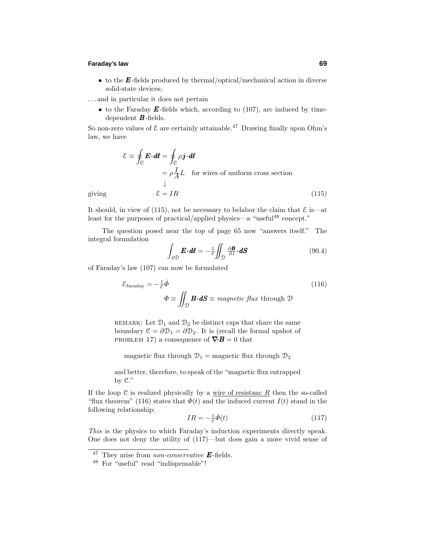### **Faraday's law 69**

• to the *E* -fields produced by thermal/optical/mechanical action in diverse solid-state devices;

*...* and in particular it does not pertain

 $\bullet$  to the Faraday  $\boldsymbol{E}$ -fields which, according to (107), are induced by timedependent *B* -fields.

So non-zero values of  $\mathcal E$  are certainly attainable.<sup>47</sup> Drawing finally upon Ohm's law, we have

$$
\mathcal{E} \equiv \oint_{\mathcal{C}} \boldsymbol{E} \cdot \boldsymbol{d\ell} = \oint_{\mathcal{C}} \rho \boldsymbol{j} \cdot \boldsymbol{d\ell}
$$
  
=  $\rho \frac{I}{A} L$  for wires of uniform cross section  
giving 
$$
\mathcal{E} = IR
$$
 (115)

It should, in view of (115), not be necessary to belabor the claim that  $\mathcal E$  is—at

The question posed near the top of page 65 now "answers itself." The integral formulation

least for the purposes of practical/applied physics—a "useful<sup>48</sup> concept."

$$
\int_{\partial \mathcal{D}} \boldsymbol{E} \cdot d\boldsymbol{\ell} = -\frac{1}{c} \iint_{\mathcal{D}} \frac{\partial \boldsymbol{B}}{\partial t} \cdot d\boldsymbol{S}
$$
\n(90.4)

of Faraday's law (107) can now be formulated

$$
\mathcal{E}_{\text{faraday}} = -\frac{1}{c}\dot{\phi}
$$
\n
$$
\Phi \equiv \iint_{\mathcal{D}} \mathbf{B} \cdot d\mathbf{S} \equiv magnetic \, flux \, through \, \mathcal{D}
$$
\n(116)

REMARK: Let  $\mathcal{D}_1$  and  $\mathcal{D}_2$  be distinct caps that share the same boundary  $C = \partial \mathcal{D}_1 = \partial \mathcal{D}_2$ . It is (recall the formal upshot of PROBLEM 17) a consequence of  $\nabla \cdot \boldsymbol{B} = 0$  that

magnetic flux through  $\mathcal{D}_1$  = magnetic flux through  $\mathcal{D}_2$ 

and better, therefore, to speak of the "magnetic flux entrapped by C."

If the loop  $C$  is realized physically by a <u>wire of resistanc  $R$ </u> then the so-called "flux theorem" (116) states that  $\Phi(t)$  and the induced current  $I(t)$  stand in the following relationship:

$$
IR = -\frac{1}{c}\dot{\Phi}(t) \tag{117}
$$

This is the physics to which Faraday's induction experiments directly speak. One does not deny the utility of (117)—but does gain a more vivid sense of

<sup>47</sup> They arise from non-conservative *E* -fields.

<sup>48</sup> For "useful" read "indispensable"!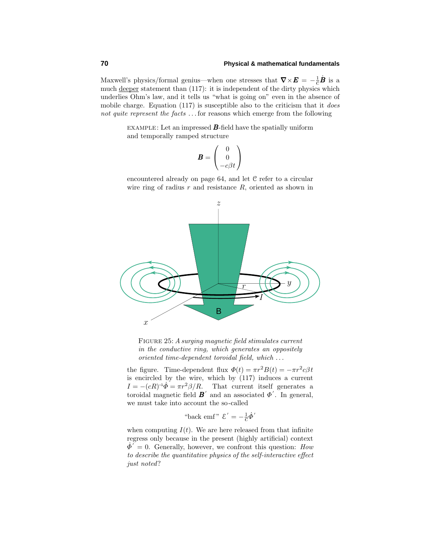Maxwell's physics/formal genius—when one stresses that  $\nabla \times \vec{E} = -\frac{1}{c}\vec{B}$  is a much deeper statement than (117): it is independent of the dirty physics which underlies Ohm's law, and it tells us "what is going on" even in the absence of mobile charge. Equation (117) is susceptible also to the criticism that it *does* not quite represent the facts ... for reasons which emerge from the following

> example: Let an impressed *B*-field have the spatially uniform and temporally ramped structure

$$
\boldsymbol{B} = \begin{pmatrix} 0 \\ 0 \\ -c\beta t \end{pmatrix}
$$

encountered already on page 64, and let C refer to a circular wire ring of radius *r* and resistance *R*, oriented as shown in



FIGURE 25: A surging magnetic field stimulates current in the conductive ring, which generates an oppositely oriented time-dependent toroidal field, which *...*

the figure. Time-dependent flux  $\Phi(t) = \pi r^2 B(t) = -\pi r^2 c \beta t$ is encircled by the wire, which by (117) induces a current  $I = -(cR)^{-1}\dot{\Phi} = \pi r^2 \beta / R$ . That current itself generates a toroidal magnetic field  $\boldsymbol{B}'$  and an associated  $\boldsymbol{\Phi}'$ . In general, we must take into account the so-called

"back emf" 
$$
\mathcal{E}' = -\frac{1}{c}\dot{\Phi}'
$$

when computing  $I(t)$ . We are here released from that infinite regress only because in the present (highly artificial) context  $\dot{\phi}' = 0$ . Generally, however, we confront this question: How to describe the quantitative physics of the self-interactive effect just noted?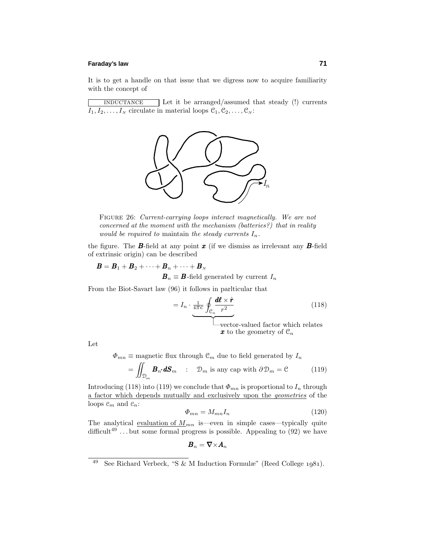### **Faraday's law 71**

It is to get a handle on that issue that we digress now to acquire familiarity with the concept of

inductance Let it be arranged/assumed that steady (!) currents  $I_1, I_2, \ldots, I_N$  circulate in material loops  $\mathcal{C}_1, \mathcal{C}_2, \ldots, \mathcal{C}_N$ :



FIGURE 26: Current-carrying loops interact magnetically. We are not concerned at the moment with the mechanism (batteries?) that in reality would be required to maintain the steady currents  $I_n$ .

the figure. The *B*-field at any point *x* (if we dismiss as irrelevant any *B*-field of extrinsic origin) can be described

$$
B = B_1 + B_2 + \dots + B_n + \dots + B_N
$$
  

$$
B_n \equiv B
$$
-field generated by current  $I_n$ 

From the Biot-Savart law (96) it follows in parlticular that

$$
=I_n \cdot \underbrace{\frac{1}{4\pi c} \oint_{\mathcal{C}_n} \frac{d\ell \times \hat{r}}{r^2}}_{\text{vector-valued factor which relates}}
$$
(118)

—vector-valued factor which relates  $x$  to the geometry of  $\mathcal{C}_n$ 

Let

 $\Phi_{mn} \equiv$  magnetic flux through  $\mathcal{C}_m$  due to field generated by  $I_n$ 

$$
= \iint_{\mathcal{D}_m} \boldsymbol{B}_n \cdot d\boldsymbol{S}_m \quad : \quad \mathcal{D}_m \text{ is any cap with } \partial \mathcal{D}_m = \mathcal{C} \tag{119}
$$

Introducing (118) into (119) we conclude that  $\Phi_{mn}$  is proportional to  $I_n$  through a factor which depends mutually and exclusively upon the geometries of the loops  $\mathfrak{e}_m$  and  $\mathfrak{e}_n$ :

$$
\Phi_{mn} = M_{mn} I_n \tag{120}
$$

The analytical <u>evaluation of  $M_{mn}$ </u> is—even in simple cases—typically quite difficult<sup>49</sup> ... but some formal progress is possible. Appealing to  $(92)$  we have

$$
\boldsymbol{B}_n = \boldsymbol{\nabla}\times\boldsymbol{A}_n
$$

 $^{49}$  See Richard Verbeck, "S & M Induction Formulæ" (Reed College 1981).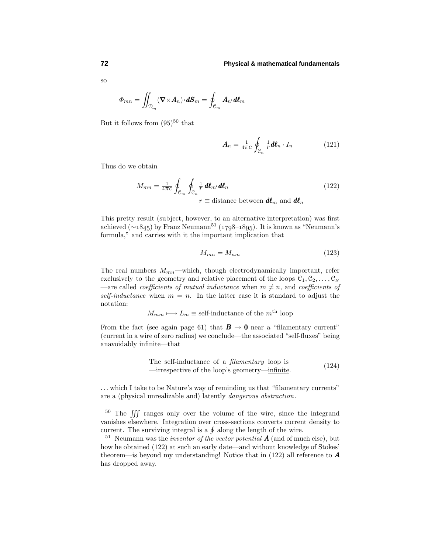$$
\mathbf{\Phi}_{mn}=\iint_{\mathcal{D}_m} (\boldsymbol{\nabla}\times\boldsymbol{A}_n)\boldsymbol{\cdot}d\boldsymbol{S}_m=\oint_{\mathcal{C}_m} \boldsymbol{A}_n\boldsymbol{\cdot}d\boldsymbol{\ell}_m
$$

But it follows from  $(95)^{50}$  that

$$
\boldsymbol{A}_n = \frac{1}{4\pi c} \oint_{\mathcal{C}_n} \frac{1}{r} \boldsymbol{d} \boldsymbol{\ell}_n \cdot \boldsymbol{I}_n \tag{121}
$$

Thus do we obtain

$$
M_{mn} = \frac{1}{4\pi c} \oint_{\mathcal{C}_m} \oint_{\mathcal{C}_n} \frac{1}{r} \, d\ell_m \, d\ell_n
$$
\n
$$
r \equiv \text{distance between } d\ell_m \text{ and } d\ell_n
$$
\n(122)

This pretty result (subject, however, to an alternative interpretation) was first achieved ( $\sim$ 1845) by Franz Neumann<sup>51</sup> (1798–1895). It is known as "Neumann's formula," and carries with it the important implication that

$$
M_{mn} = M_{nm} \tag{123}
$$

The real numbers  $M_{mn}$ —which, though electrodynamically important, refer exclusively to the <u>geometry and relative placement of the loops</u>  $C_1, C_2, \ldots, C_N$ —are called *coefficients of mutual inductance* when  $m \neq n$ , and *coefficients of* self-inductance when  $m = n$ . In the latter case it is standard to adjust the notation:

$$
M_{mm} \longmapsto L_m \equiv \text{self-inductance of the } m^{\text{th}}
$$
 loop

From the fact (see again page 61) that  $\mathbf{B} \to \mathbf{0}$  near a "filamentary current" (current in a wire of zero radius) we conclude—the associated "self-fluxes" being anavoidably infinite—that

The self-inductance of a *filamentary* loop is  
—irrespective of the loop's geometry—infinite. 
$$
(124)
$$

*...* which I take to be Nature's way of reminding us that "filamentary currents" are a (physical unrealizable and) latently dangerous abstraction.

so

<sup>&</sup>lt;sup>50</sup> The  $\iiint$  ranges only over the volume of the wire, since the integrand vanishes elsewhere. Integration over cross-sections converts current density to current. The surviving integral is a  $\oint$  along the length of the wire.

 $51$  Neumann was the *inventor of the vector potential*  $\boldsymbol{A}$  (and of much else), but how he obtained (122) at such an early date—and without knowledge of Stokes' theorem—is beyond my understanding! Notice that in (122) all reference to *A* has dropped away.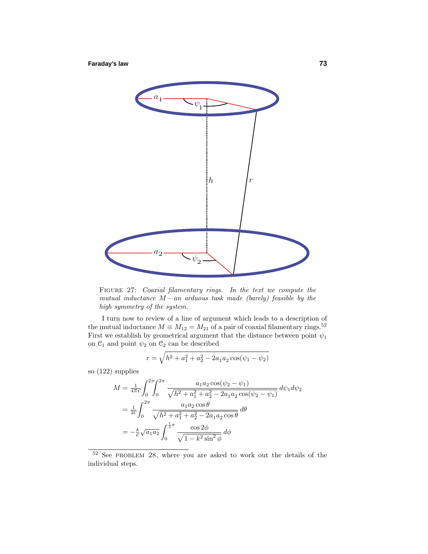

Figure 27: Coaxial filamentary rings. In the text we compute the mutual inductance  $M$ —an arduous task made (barely) feasible by the high symmetry of the system.

I turn now to review of a line of argument which leads to a description of the mutual inductance  $M \equiv M_{12} = M_{21}$  of a pair of coaxial filamentary rings.<sup>52</sup> First we establish by geometrical argument that the distance between point  $\psi_1$ on  $\mathfrak{C}_1$  and point  $\psi_2$  on  $\mathfrak{C}_2$  can be described

$$
r = \sqrt{h^2 + a_1^2 + a_2^2 - 2a_1a_2\cos(\psi_1 - \psi_2)}
$$

so (122) supplies

$$
M = \frac{1}{4\pi c} \int_0^{2\pi} \int_0^{2\pi} \frac{a_1 a_2 \cos(\psi_2 - \psi_1)}{\sqrt{h^2 + a_1^2 + a_2^2 - 2a_1 a_2 \cos(\psi_2 - \psi_1)}} d\psi_1 d\psi_2
$$
  
= 
$$
\frac{1}{2c} \int_0^{2\pi} \frac{a_1 a_2 \cos \theta}{\sqrt{h^2 + a_1^2 + a_2^2 - 2a_1 a_2 \cos \theta}} d\theta
$$
  
= 
$$
-\frac{k}{c} \sqrt{a_1 a_2} \int_0^{\frac{1}{2}\pi} \frac{\cos 2\phi}{\sqrt{1 - k^2 \sin^2 \phi}} d\phi
$$

<sup>52</sup> See problem 28, where youare asked to work out the details of the individual steps.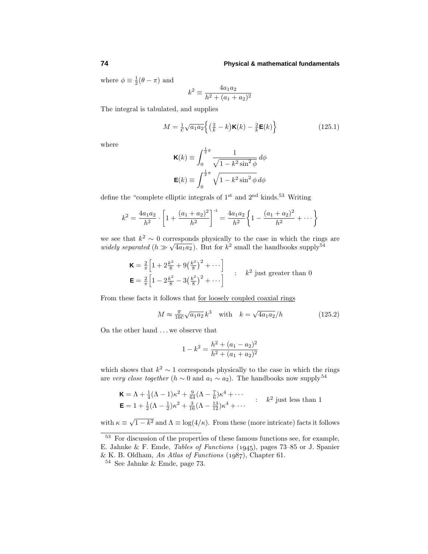### **74 Physical & mathematical fundamentals**

where  $\phi \equiv \frac{1}{2}(\theta - \pi)$  and

$$
k^2 \equiv \frac{4a_1a_2}{h^2 + (a_1 + a_2)^2}
$$

The integral is tabulated, and supplies

$$
M = \frac{1}{c}\sqrt{a_1 a_2} \left\{ \left(\frac{2}{k} - k\right) \mathbf{K}(k) - \frac{2}{k} \mathbf{E}(k) \right\}
$$
(125.1)

where

$$
\mathbf{K}(k) \equiv \int_0^{\frac{1}{2}\pi} \frac{1}{\sqrt{1 - k^2 \sin^2 \phi}} d\phi
$$

$$
\mathbf{E}(k) \equiv \int_0^{\frac{1}{2}\pi} \sqrt{1 - k^2 \sin^2 \phi} d\phi
$$

define the "complete elliptic integrals of  $1<sup>st</sup>$  and  $2<sup>nd</sup>$  kinds.<sup>53</sup> Writing

$$
k^{2} = \frac{4a_{1}a_{2}}{h^{2}} \cdot \left[1 + \frac{(a_{1} + a_{2})^{2}}{h^{2}}\right]^{-1} = \frac{4a_{1}a_{2}}{h^{2}} \left\{1 - \frac{(a_{1} + a_{2})^{2}}{h^{2}} + \cdots\right\}
$$

we see that  $k^2 \sim 0$  corresponds physically to the case in which the rings are widely separated  $(h \gg \sqrt{4a_1a_2})$ . But for  $k^2$  small the handbooks supply<sup>54</sup>

$$
\mathbf{K} = \frac{2}{\pi} \left[ 1 + 2 \frac{k^2}{8} + 9 \left( \frac{k^2}{8} \right)^2 + \cdots \right]
$$
  
\n
$$
\mathbf{E} = \frac{2}{\pi} \left[ 1 - 2 \frac{k^2}{8} - 3 \left( \frac{k^2}{8} \right)^2 + \cdots \right]
$$
 :  $k^2$  just greater than 0

From these facts it follows that for loosely coupled coaxial rings

$$
M \approx \frac{\pi}{16c} \sqrt{a_1 a_2} k^3
$$
 with  $k = \sqrt{4a_1 a_2}/h$  (125.2)

On the other hand *...* we observe that

$$
1 - k^2 = \frac{h^2 + (a_1 - a_2)^2}{h^2 + (a_1 + a_2)^2}
$$

which shows that  $k^2 \sim 1$  corresponds physically to the case in which the rings are very close together ( $h \sim 0$  and  $a_1 \sim a_2$ ). The handbooks now supply<sup>54</sup>

$$
\mathbf{K} = \Lambda + \frac{1}{4}(\Lambda - 1)\kappa^2 + \frac{9}{64}(\Lambda - \frac{7}{6})\kappa^4 + \cdots
$$
  
\n
$$
\mathbf{E} = 1 + \frac{1}{2}(\Lambda - \frac{1}{2})\kappa^2 + \frac{3}{16}(\Lambda - \frac{13}{12})\kappa^4 + \cdots
$$
  $k^2$  just less than 1

with  $\kappa \equiv \sqrt{1 - k^2}$  and  $\Lambda \equiv \log(4/\kappa)$ . From these (more intricate) facts it follows

<sup>&</sup>lt;sup>53</sup> For discussion of the properties of these famous functions see, for example, E. Jahnke & F. Emde, Tables of Functions  $(1945)$ , pages 73–85 or J. Spanier & K. B. Oldham, An Atlas of Functions  $(1987)$ , Chapter 61.

<sup>54</sup> See Jahnke & Emde, page 73.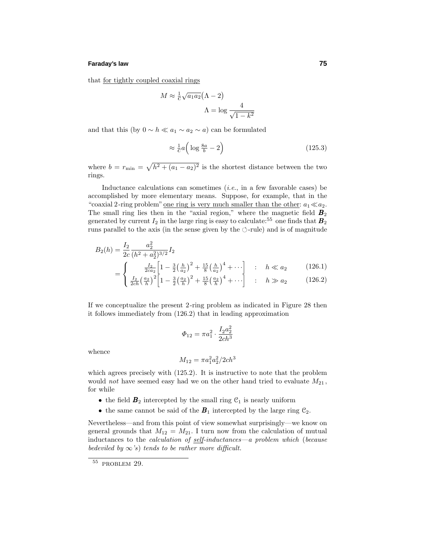# **Faraday's law 75**

that for tightly coupled coaxial rings

$$
M \approx \frac{1}{c} \sqrt{a_1 a_2} (\Lambda - 2)
$$

$$
\Lambda = \log \frac{4}{\sqrt{1 - k^2}}
$$

and that this (by  $0 \sim h \ll a_1 \sim a_2 \sim a$ ) can be formulated

$$
\approx \frac{1}{c}a\left(\log\frac{8a}{b}-2\right) \tag{125.3}
$$

where  $b = r_{\min} = \sqrt{h^2 + (a_1 - a_2)^2}$  is the shortest distance between the two rings.

Inductance calculations can sometimes  $(i.e.,$  in a few favorable cases) be accomplished by more elementary means. Suppose, for example, that in the "coaxial 2-ring problem" <u>one ring is very much smaller than the other</u>:  $a_1 \ll a_2$ . The small ring lies then in the "axial region," where the magnetic field  $B_2$ generated by current  $I_2$  in the large ring is easy to calculate:<sup>55</sup> one finds that  $B_2$ runs parallel to the axis (in the sense given by the  $\circlearrowleft$ -rule) and is of magnitude

$$
B_2(h) = \frac{I_2}{2c} \frac{a_2^2}{(h^2 + a_2^2)^{3/2}} I_2
$$
  
= 
$$
\begin{cases} \frac{I_2}{2ca_2} \left[ 1 - \frac{3}{2} \left( \frac{h}{a_2} \right)^2 + \frac{15}{8} \left( \frac{h}{a_2} \right)^4 + \cdots \right] & \colon h \ll a_2 \\ I_2 \left( \frac{a_2}{2} \right)^2 \left[ 1 - \frac{3}{2} \left( \frac{a_2}{2} \right)^2 + \frac{15}{8} \left( \frac{a_2}{2} \right)^4 + \cdots \right] & \colon h \gg a_2 \end{cases}
$$
(126.1)

$$
\left[\frac{I_2}{2ch} \left(\frac{a_2}{h}\right)^2 \left[1 - \frac{3}{2} \left(\frac{a_2}{h}\right)^2 + \frac{15}{8} \left(\frac{a_2}{h}\right)^4 + \cdots \right] \quad : \quad h \gg a_2 \tag{126.2}
$$

If we conceptualize the present 2-ring problem as indicated in Figure 28 then it follows immediately from (126.2) that in leading approximation

$$
\Phi_{12} = \pi a_1^2 \cdot \frac{I_2 a_2^2}{2c h^3}
$$

whence

$$
M_{12} = \pi a_1^2 a_2^2 / 2ch^3
$$

which agrees precisely with  $(125.2)$ . It is instructive to note that the problem would *not* have seemed easy had we on the other hand tried to evaluate  $M_{21}$ , for while

- the field  $\mathbf{B}_2$  intercepted by the small ring  $\mathcal{C}_1$  is nearly uniform
- the same cannot be said of the  $B_1$  intercepted by the large ring  $\mathcal{C}_2$ .

Nevertheless—and from this point of view somewhat surprisingly—we know on general grounds that  $M_{12} = M_{21}$ . I turn now from the calculation of mutual inductances to the *calculation of self-inductances—a problem which* (because bedeviled by  $\infty$ 's) tends to be rather more difficult.

<sup>55</sup> problem 29.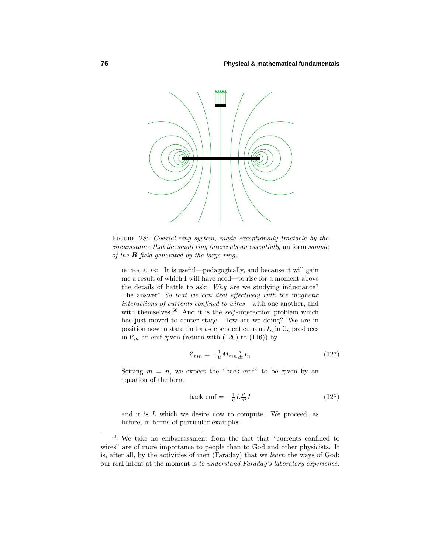

Figure 28: Coaxial ring system, made exceptionally tractable by the circumstance that the small ring intercepts an essentially uniform sample of the *B*-field generated by the large ring.

interlude: It is useful—pedagogically, and because it will gain me a result of which I will have need—to rise for a moment above the details of battle to ask: Why are we studying inductance? The answer" So that we can deal effectively with the magnetic interactions of currents confined to wires—with one another, and with themselves.<sup>56</sup> And it is the *self*-interaction problem which has just moved to center stage. How are we doing? We are in position now to state that a *t*-dependent current  $I_n$  in  $\mathcal{C}_n$  produces in  $\mathcal{C}_m$  an emf given (return with (120) to (116)) by

$$
\mathcal{E}_{mn} = -\frac{1}{c} M_{mn} \frac{d}{dt} I_n \tag{127}
$$

Setting  $m = n$ , we expect the "back emf" to be given by an equation of the form

$$
back emf = -\frac{1}{c}L\frac{d}{dt}I
$$
\n(128)

and it is *L* which we desire now to compute. We proceed, as before, in terms of particular examples.

<sup>56</sup> We take no embarrassment from the fact that "currents confined to wires" are of more importance to people than to God and other physicists. It is, after all, by the activities of men (Faraday) that we learn the ways of God: our real intent at the moment is to understand Faraday's laboratory experience.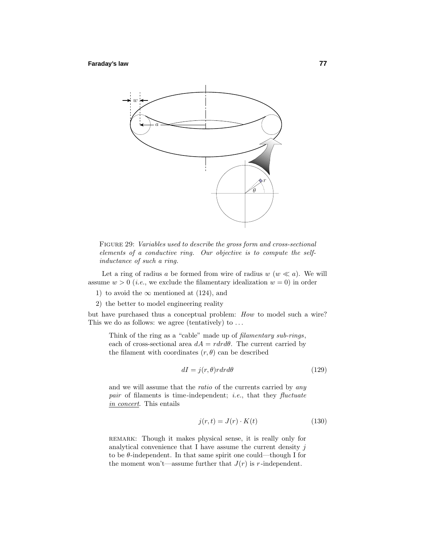

Figure 29: Variables used to describe the gross form and cross-sectional elements of a conductive ring. Our objective is to compute the selfinductance of such a ring.

Let a ring of radius *a* be formed from wire of radius  $w \ (\alpha \ll a)$ . We will assume  $w > 0$  (*i.e.*, we exclude the filamentary idealization  $w = 0$ ) in order

1) to avoid the  $\infty$  mentioned at (124), and

2) the better to model engineering reality

but have purchased thus a conceptual problem: How to model such a wire? This we do as follows: we agree (tentatively) to *...*

Think of the ring as a "cable" made up of *filamentary sub-rings*, each of cross-sectional area  $dA = rdr d\theta$ . The current carried by the filament with coordinates  $(r, \theta)$  can be described

$$
dI = j(r, \theta) r dr d\theta \tag{129}
$$

and we will assume that the *ratio* of the currents carried by any pair of filaments is time-independent; *i.e.*, that they *fluctuate* in concert. This entails

$$
j(r,t) = J(r) \cdot K(t) \tag{130}
$$

remark: Though it makes physical sense, it is really only for analytical convenience that I have assume the current density *j* to be *θ*-independent. In that same spirit one could—though I for the moment won't—assume further that  $J(r)$  is *r*-independent.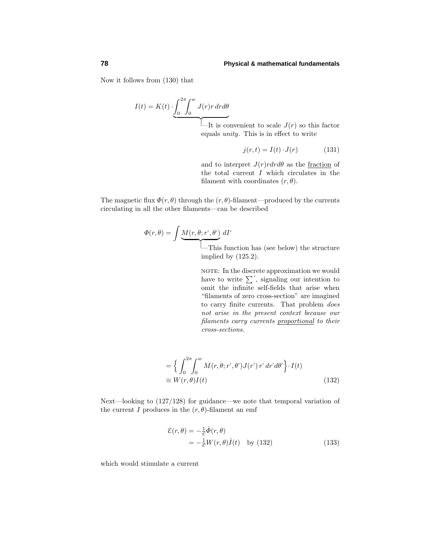Now it follows from (130) that

$$
I(t) = K(t) \cdot \underbrace{\int_0^{2\pi} \int_0^w J(r)r \, dr d\theta}_{\text{It is convenient}}
$$

In to scale  $J(r)$  so this factor equals unity. This is in effect to write

$$
j(r,t) = I(t) \cdot J(r) \tag{131}
$$

and to interpret  $J(r) r dr d\theta$  as the fraction of the total current *I* which circulates in the filament with coordinates  $(r, \theta)$ .

The magnetic flux  $\Phi(r, \theta)$  through the  $(r, \theta)$ -filament—produced by the currents circulating in all the other filaments—can be described

$$
\Phi(r,\theta) = \int \underbrace{M(r,\theta;r',\theta')}_{\text{max}} \, dI
$$

 $\frac{M(r, \theta; r', \theta')}{T}$  dI'<br>This function has (see below) the structure implied by (125.2).

> note: In the discrete approximation we would have to write  $\sum'$ , signaling our intention to omit the infinite self-fields that arise when "filaments of zero cross-section" are imagined to carry finite currents. That problem does not arise in the present context because our filaments carry currents proportional to their cross-sections.

$$
= \left\{ \int_0^{2\pi} \int_0^w M(r, \theta; r', \theta') J(r') r' dr' d\theta' \right\} \cdot I(t)
$$
  
\n
$$
\equiv W(r, \theta) I(t)
$$
\n(132)

Next—looking to (127/128) for guidance—we note that temporal variation of the current *I* produces in the  $(r, \theta)$ -filament an emf

$$
\mathcal{E}(r,\theta) = -\frac{1}{c}\dot{\Phi}(r,\theta)
$$
  
=  $-\frac{1}{c}W(r,\theta)\dot{I}(t)$  by (132) (133)

which would stimulate a current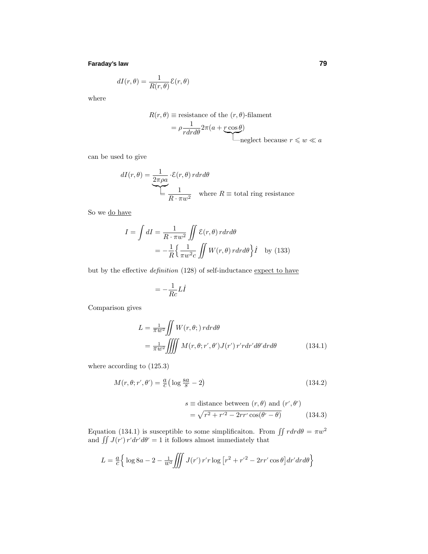# **Faraday's law 79**

$$
dI(r,\theta) = \frac{1}{R(r,\theta)} \mathcal{E}(r,\theta)
$$

where

$$
R(r, \theta) \equiv \text{resistance of the } (r, \theta)\text{-filament}
$$
\n
$$
= \rho \frac{1}{r dr d\theta} 2\pi (a + \underbrace{r \cos \theta}_{\text{neglect because } r \leq w \ll a})
$$

can be used to give

$$
dI(r,\theta) = \underbrace{\frac{1}{2\pi\rho a} \cdot \mathcal{E}(r,\theta) \, r dr d\theta}_{\text{R} \cdot \pi w^2}
$$
 where  $R \equiv$  total ring resistance

So we do have

$$
I = \int dI = \frac{1}{R \cdot \pi w^2} \iint \mathcal{E}(r,\theta) \, r dr d\theta
$$
  
=  $-\frac{1}{R} \left\{ \frac{1}{\pi w^2 c} \iint W(r,\theta) \, r dr d\theta \right\} \dot{I}$  by (133)

but by the effective definition (128) of self-inductance expect to have

$$
= -\frac{1}{Rc}L\dot{I}
$$

Comparison gives

$$
L = \frac{1}{\pi w^2} \iint W(r, \theta; r) dr d\theta
$$
  
= 
$$
\frac{1}{\pi w^2} \iiint M(r, \theta; r', \theta') J(r') r' r dr' d\theta' dr d\theta
$$
 (134.1)

where according to (125.3)

$$
M(r, \theta; r', \theta') = \frac{a}{c} \left( \log \frac{8a}{s} - 2 \right)
$$
 (134.2)

$$
s \equiv \text{distance between } (r, \theta) \text{ and } (r', \theta')
$$

$$
= \sqrt{r^2 + r'^2 - 2rr'\cos(\theta' - \theta)} \qquad (134.3)
$$

Equation (134.1) is susceptible to some simplificaiton. From  $\iint r dr d\theta = \pi w^2$ and  $\iint J(r') r' dr' d\theta' = 1$  it follows almost immediately that

$$
L = \frac{a}{c} \left\{ \log 8a - 2 - \frac{1}{w^2} \iiint J(r') \, r' r \log \left[ r^2 + r'^2 - 2rr' \cos \theta \right] dr' dr d\theta \right\}
$$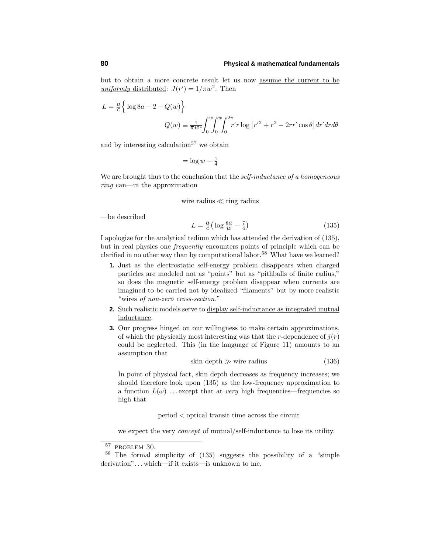#### **80 Physical & mathematical fundamentals**

but to obtain a more concrete result let us now assume the current to be  $uniformly distributed: J(r') = 1/\pi w^2$ . Then

$$
L = \frac{a}{c} \left\{ \log 8a - 2 - Q(w) \right\}
$$

$$
Q(w) \equiv \frac{1}{\pi w^4} \int_0^w \int_0^w \int_0^{2\pi} r' r \log \left[ r'^2 + r^2 - 2rr' \cos \theta \right] dr' dr d\theta
$$

and by interesting calculation<sup>57</sup> we obtain

$$
= \log w - \frac{1}{4}
$$

We are brought thus to the conclusion that the *self-inductance* of a homogeneous ring can—in the approximation

wire radius  $\ll$  ring radius

—be described

$$
L = \frac{a}{c} \left( \log \frac{8a}{w} - \frac{7}{4} \right) \tag{135}
$$

I apologize for the analytical tedium which has attended the derivation of (135), but in real physics one frequently encounters points of principle which can be clarified in no other way than by computational labor.<sup>58</sup> What have we learned?

- **1.** Just as the electrostatic self-energy problem disappears when charged particles are modeled not as "points" but as "pithballs of finite radius," so does the magnetic self-energy problem disappear when currents are imagined to be carried not by idealized "filaments" but by more realistic "wires of non-zero cross-section."
- **2.** Such realistic models serve to display self-inductance as integrated mutual inductance.
- **3.** Our progress hinged on our willingness to make certain approximations, of which the physically most interesting was that the  $r$ -dependence of  $j(r)$ could be neglected. This (in the language of Figure 11) amounts to an assumption that

$$
skin depth \gg wire radius \tag{136}
$$

In point of physical fact, skin depth decreases as frequency increases; we should therefore look upon (135) as the low-frequency approximation to a function  $L(\omega)$  ...except that at *very* high frequencies—frequencies so high that

### period *<* optical transit time across the circuit

we expect the very *concept* of mutual/self-inductance to lose its utility.

<sup>57</sup> problem 30.

<sup>58</sup> The formal simplicity of (135) suggests the possibility of a "simple derivation"*...* which—if it exists—is unknown to me.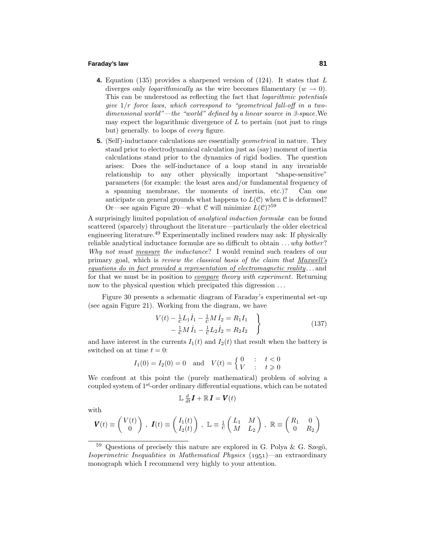#### **Faraday's law 81**

- **4.** Equation (135) provides a sharpened version of (124). It states that *L* diverges only *logarithmically* as the wire becomes filamentary  $(w \rightarrow 0)$ . This can be understood as reflecting the fact that logarithmic potentials give 1*/r* force laws, which correspond to "geometrical fall-off in a twodimensional world"—the "world" defined by a linear source in 3-space.We may expect the logarithmic divergence of *L* to pertain (not just to rings but) generally. to loops of every figure.
- **5.** (Self)-inductance calculations are essentially *geometrical* in nature. They stand prior to electrodynamical calculation just as (say) moment of inertia calculations stand prior to the dynamics of rigid bodies. The question arises: Does the self-inductance of a loop stand in any invariable relationship to any other physically important "shape-sensitive" parameters (for example: the least area and/or fundamental frequency of a spanning membrane, the moments of inertia, etc.)? Can one anticipate on general grounds what happens to  $L(\mathcal{C})$  when  $\mathcal{C}$  is deformed? Or—see again Figure 20—what C will minimize  $L(\mathcal{C})$ ?<sup>59</sup>

A surprisingly limited population of analytical induction formulæ can be found scattered (sparcely) throughout the literature—particularly the older electrical engineering literature.<sup>49</sup> Experimentally inclined readers may ask: If physically reliable analytical inductance formulæ are so difficult to obtain *...*why bother? Why not must measure the inductance? I would remind such readers of our primary goal, which is review the classical basis of the claim that Maxwell's equations do in fact provided a representation of electromagnetic reality*...* and for that we must be in position to compare theory with experiment. Returning now to the physical question which precipated this digression *...*

Figure 30 presents a schematic diagram of Faraday's experimental set-up (see again Figure 21). Working from the diagram, we have

$$
V(t) - \frac{1}{c}L_1\dot{I}_1 - \frac{1}{c}M\dot{I}_2 = R_1I_1
$$
  
-  $\frac{1}{c}M\dot{I}_1 - \frac{1}{c}L_2\dot{I}_2 = R_2I_2$  (137)

and have interest in the currents  $I_1(t)$  and  $I_2(t)$  that result when the battery is switched on at time  $t = 0$ :

$$
I_1(0) = I_2(0) = 0
$$
 and  $V(t) = \begin{cases} 0 & \text{: } t < 0 \\ V & \text{: } t \ge 0 \end{cases}$ 

We confront at this point the (purely mathematical) problem of solving a coupled system of 1st-order ordinary differential equations, which can be notated

$$
\mathbb{L}\frac{d}{dt}\bm{I} + \mathbb{R}\,\bm{I} = \bm{V}(t)
$$

with

$$
\boldsymbol{V}(t) \equiv \begin{pmatrix} V(t) \\ 0 \end{pmatrix} , \ \boldsymbol{I}(t) \equiv \begin{pmatrix} I_1(t) \\ I_2(t) \end{pmatrix} , \ \mathbb{L} \equiv \frac{1}{c} \begin{pmatrix} L_1 & M \\ M & L_2 \end{pmatrix} , \ \mathbb{R} \equiv \begin{pmatrix} R_1 & 0 \\ 0 & R_2 \end{pmatrix}
$$

 $59$  Questions of precisely this nature are explored in G. Polya & G. Szegö, Isoperimetric Inequalities in Mathematical Physics  $(1951)$ —an extraordinary monograph which I recommend very highly to your attention.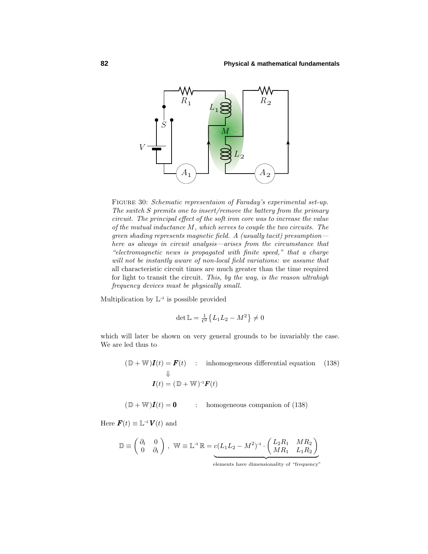

Figure 30: Schematic representaion of Faraday's experimental set-up. The switch *S* premits one to insert/remove the battery from the primary circuit. The principal effect of the soft iron core was to increase the value of the mutual inductance *M*, which serves to couple the two circuits. The green shading represents magnetic field. A (usually tacit) presumption here as always in circuit analysis—arises from the circumstance that "electromagnetic news is propagated with finite speed," that a charge will not be instantly aware of non-local field variations: we assume that all characteristic circuit times are much greater than the time required for light to transit the circuit. This, by the way, is the reason ultrahigh frequency devices must be physically small.

Multiplication by  $\mathbb{L}^{\text{-}1}$  is possible provided

$$
\det \mathbb{L} = \frac{1}{c^2} \{ L_1 L_2 - M^2 \} \neq 0
$$

which will later be shown on very general grounds to be invariably the case. We are led thus to

$$
(\mathbb{D} + \mathbb{W})\mathbf{I}(t) = \mathbf{F}(t) : inhomogeneous differential equation (138)
$$
  

$$
\downarrow
$$
  

$$
\mathbf{I}(t) = (\mathbb{D} + \mathbb{W})^{-1}\mathbf{F}(t)
$$

 $(\mathbb{D} + \mathbb{W})I(t) = 0$  : homogeneous companion of (138)

Here  $\boldsymbol{F}(t) \equiv \mathbb{L}^{-1} \boldsymbol{V}(t)$  and

$$
\mathbb{D} \equiv \begin{pmatrix} \partial_t & 0 \\ 0 & \partial_t \end{pmatrix}, \ \mathbb{W} \equiv \mathbb{L}^{-1} \mathbb{R} = \underbrace{c(L_1L_2 - M^2)^{-1}} \cdot \begin{pmatrix} L_2R_1 & MR_2 \\ MR_1 & L_1R_2 \end{pmatrix}
$$

 elements have dimensionality of "frequency"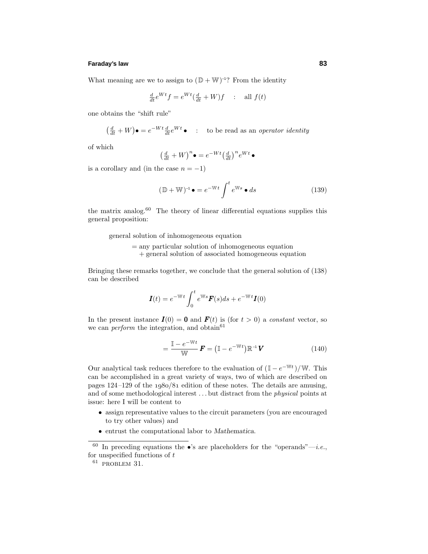# **Faraday's law 83**

What meaning are we to assign to  $(D + W)^{-1}$ ? From the identity

$$
\frac{d}{dt}e^{Wt}f = e^{Wt}(\frac{d}{dt} + W)f \quad : \quad \text{all } f(t)
$$

one obtains the "shift rule"

$$
\left(\frac{d}{dt} + W\right) \bullet = e^{-Wt} \frac{d}{dt} e^{Wt} \bullet \quad : \quad \text{to be read as an operator identity}
$$

of which

$$
\left(\frac{d}{dt} + W\right)^n \bullet = e^{-Wt} \left(\frac{d}{dt}\right)^n e^{Wt} \bullet
$$

is a corollary and (in the case  $n = -1$ )

$$
(\mathbb{D} + \mathbb{W})^{-1} \bullet = e^{-\mathbb{W}t} \int^t e^{\mathbb{W}s} \bullet ds \tag{139}
$$

the matrix analog.<sup>60</sup> The theory of linear differential equations supplies this general proposition:

general solution of inhomogeneous equation

= any particular solution of inhomogeneous equation + general solution of associated homogeneous equation

Bringing these remarks together, we conclude that the general solution of (138) can be described

$$
\boldsymbol{I}(t) = e^{-\mathbb{W}t} \int_0^t e^{\mathbb{W}s} \boldsymbol{F}(s) ds + e^{-\mathbb{W}t} \boldsymbol{I}(0)
$$

In the present instance  $\mathbf{I}(0) = \mathbf{0}$  and  $\mathbf{F}(t)$  is (for  $t > 0$ ) a constant vector, so we can *perform* the integration, and obtain<sup>61</sup>

$$
=\frac{\mathbb{I}-e^{-\mathbb{W}t}}{\mathbb{W}}\boldsymbol{F}=\left(\mathbb{I}-e^{-\mathbb{W}t}\right)\mathbb{R}^{-1}\boldsymbol{V}\tag{140}
$$

Our analytical task reduces therefore to the evaluation of  $(\mathbb{I} - e^{-\mathbb{W}t})/\mathbb{W}$ . This can be accomplished in a great variety of ways, two of which are described on pages  $124-129$  of the  $1980/81$  edition of these notes. The details are amusing, and of some methodological interest *...* but distract from the physical points at issue: here I will be content to

- assign representative values to the circuit parameters (you are encouraged to try other values) and
- entrust the computational labor to *Mathematica*.

<sup>&</sup>lt;sup>60</sup> In preceding equations the •'s are placeholders for the "operands"—*i.e.*, for unspecified functions of *t*

 $61$  PROBLEM 31.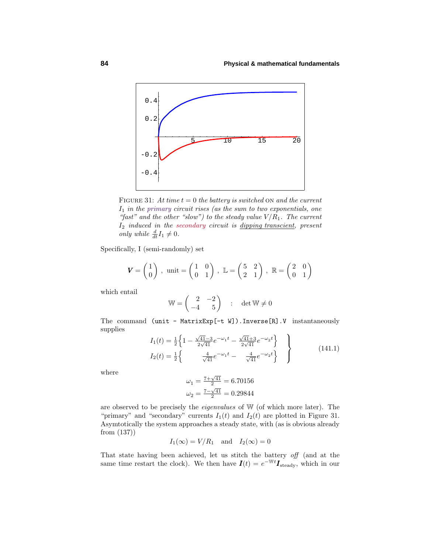

FIGURE 31: At time  $t = 0$  the battery is switched ON and the current  $I_1$  in the primary circuit rises (as the sum to two exponentials, one "fast" and the other "slow") to the steady value  $V/R_1$ . The current *I*<sup>2</sup> induced in the secondary circuit is dipping transcient, present only while  $\frac{d}{dt}I_1 \neq 0$ .

Specifically, I (semi-randomly) set

$$
\boldsymbol{V} = \begin{pmatrix} 1 \\ 0 \end{pmatrix}, \text{ unit} = \begin{pmatrix} 1 & 0 \\ 0 & 1 \end{pmatrix}, \ \mathbb{L} = \begin{pmatrix} 5 & 2 \\ 2 & 1 \end{pmatrix}, \ \mathbb{R} = \begin{pmatrix} 2 & 0 \\ 0 & 1 \end{pmatrix}
$$

which entail

$$
\mathbb{W} = \begin{pmatrix} 2 & -2 \\ -4 & 5 \end{pmatrix} \quad : \quad \det \mathbb{W} \neq 0
$$

The command (unit - MatrixExp[-t W]). Inverse[R]. V instantaneously supplies

$$
I_1(t) = \frac{1}{2} \left\{ 1 - \frac{\sqrt{41} - 3}{2\sqrt{41}} e^{-\omega_1 t} - \frac{\sqrt{41} + 3}{2\sqrt{41}} e^{-\omega_2 t} \right\}
$$
  
\n
$$
I_2(t) = \frac{1}{2} \left\{ \frac{4}{\sqrt{41}} e^{-\omega_1 t} - \frac{4}{\sqrt{41}} e^{-\omega_2 t} \right\}
$$
\n(141.1)

where

$$
\begin{aligned} \omega_1 &= \tfrac{7+\sqrt{41}}{2} = 6.70156 \\ \omega_2 &= \tfrac{7-\sqrt{41}}{2} = 0.29844 \end{aligned}
$$

are observed to be precisely the eigenvalues of W (of which more later). The "primary" and "secondary" currents  $I_1(t)$  and  $I_2(t)$  are plotted in Figure 31. Asymtotically the system approaches a steady state, with (as is obvious already from (137))

$$
I_1(\infty) = V/R_1
$$
 and  $I_2(\infty) = 0$ 

That state having been achieved, let us stitch the battery off (and at the same time restart the clock). We then have  $I(t) = e^{-Wt} I_{\text{steady}}$ , which in our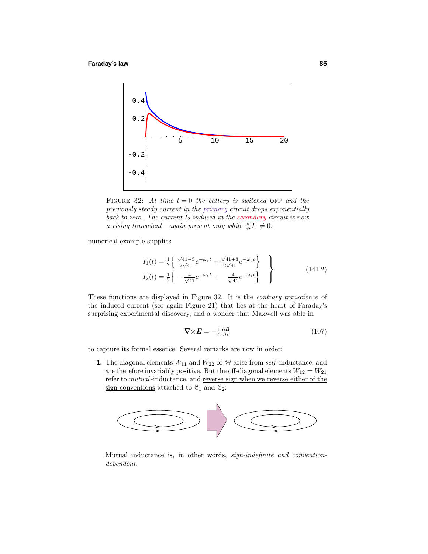

FIGURE 32: At time  $t = 0$  the battery is switched OFF and the previously steady current in the primary circuit drops exponentially back to zero. The current  $I_2$  induced in the secondary circuit is now a <u>rising transcient</u>—again present only while  $\frac{d}{dt}I_1 \neq 0$ .

numerical example supplies

$$
I_1(t) = \frac{1}{2} \left\{ \frac{\sqrt{41} - 3}{2\sqrt{41}} e^{-\omega_1 t} + \frac{\sqrt{41} + 3}{2\sqrt{41}} e^{-\omega_2 t} \right\}
$$
  
\n
$$
I_2(t) = \frac{1}{2} \left\{ -\frac{4}{\sqrt{41}} e^{-\omega_1 t} + \frac{4}{\sqrt{41}} e^{-\omega_2 t} \right\}
$$
\n(141.2)

These functions are displayed in Figure 32. It is the contrary transcience of the induced current (see again Figure 21) that lies at the heart of Faraday's surprising experimental discovery, and a wonder that Maxwell was able in

$$
\nabla \times \boldsymbol{E} = -\frac{1}{c} \frac{\partial \boldsymbol{B}}{\partial t} \tag{107}
$$

to capture its formal essence. Several remarks are now in order:

**1.** The diagonal elements  $W_{11}$  and  $W_{22}$  of W arise from self-inductance, and are therefore invariably positive. But the off-diagonal elements  $W_{12} = W_{21}$ refer to mutual -inductance, and reverse sign when we reverse either of the sign conventions attached to  $\mathcal{C}_1$  and  $\mathcal{C}_2$ :



Mutual inductance is, in other words, sign-indefinite and conventiondependent.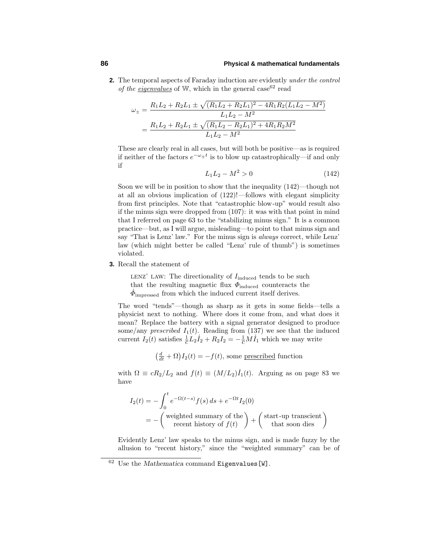#### **86 Physical & mathematical fundamentals**

**2.** The temporal aspects of Faraday induction are evidently under the control of the eigenvalues of W, which in the general case  $62$  read

$$
\omega_{\pm} = \frac{R_1 L_2 + R_2 L_1 \pm \sqrt{(R_1 L_2 + R_2 L_1)^2 - 4R_1 R_2 (L_1 L_2 - M^2)}}{L_1 L_2 - M^2}
$$

$$
= \frac{R_1 L_2 + R_2 L_1 \pm \sqrt{(R_1 L_2 - R_2 L_1)^2 + 4R_1 R_2 M^2}}{L_1 L_2 - M^2}
$$

These are clearly real in all cases, but will both be positive—as is required if neither of the factors  $e^{-\omega_{\pm}t}$  is to blow up catastrophically—if and only if

$$
L_1 L_2 - M^2 > 0 \tag{142}
$$

Soon we will be in position to show that the inequality (142)—though not at all an obvious implication of (122)!—follows with elegant simplicity from first principles. Note that "catastrophic blow-up" would result also if the minus sign were dropped from (107): it was with that point in mind that I referred on page 63 to the "stabilizing minus sign." It is a common practice—but, as I will argue, misleading—to point to that minus sign and say "That is Lenz' law." For the minus sign is *always* correct, while Lenz' law (which might better be called "Lenz' rule of thumb") is sometimes violated.

**3.** Recall the statement of

LENZ' LAW: The directionality of  $I_{induced}$  tends to be such that the resulting magnetic flux  $\Phi_{induced}$  counteracts the  $\dot{\phi}_{\text{impressed}}$  from which the induced current itself derives.

The word "tends"—though as sharp as it gets in some fields—tells a physicist next to nothing. Where does it come from, and what does it mean? Replace the battery with a signal generator designed to produce some/any *prescribed*  $I_1(t)$ . Reading from (137) we see that the induced current  $I_2(t)$  satisfies  $\frac{1}{c}L_2I_2 + R_2I_2 = -\frac{1}{c}MI_1$  which we may write

 $\left(\frac{d}{dt} + \Omega\right)I_2(t) = -f(t)$ , some <u>prescribed</u> function

with  $\Omega \equiv cR_2/L_2$  and  $f(t) \equiv (M/L_2)I_1(t)$ . Arguing as on page 83 we have

$$
I_2(t) = -\int_0^t e^{-\Omega(t-s)} f(s) ds + e^{-\Omega t} I_2(0)
$$
  
= 
$$
-\left(\begin{array}{c} \text{weighted summary of the} \\ \text{recent history of } f(t) \end{array}\right) + \left(\begin{array}{c} \text{start-up transient} \\ \text{that soon dies} \end{array}\right)
$$

Evidently Lenz' law speaks to the minus sign, and is made fuzzy by the allusion to "recent history," since the "weighted summary" can be of

<sup>62</sup> Use the *Mathematica* command Eigenvalues[W].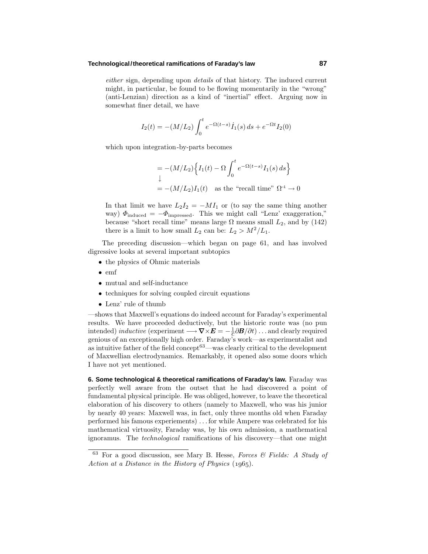#### **Technological/theoretical ramifications of Faraday's law 87**

either sign, depending upon details of that history. The induced current might, in particular, be found to be flowing momentarily in the "wrong" (anti-Lenzian) direction as a kind of "inertial" effect. Arguing now in somewhat finer detail, we have

$$
I_2(t) = -(M/L_2) \int_0^t e^{-\Omega(t-s)} \dot{I}_1(s) \, ds + e^{-\Omega t} I_2(0)
$$

which upon integration-by-parts becomes

$$
= -(M/L_2)\Big\{I_1(t) - \Omega \int_0^t e^{-\Omega(t-s)} I_1(s) ds\Big\}
$$
  

$$
\downarrow
$$
  

$$
= -(M/L_2)I_1(t) \text{ as the "recall time" } \Omega^{-1} \to 0
$$

In that limit we have  $L_2I_2 = -MI_1$  or (to say the same thing another way)  $\Phi_{\text{induced}} = -\Phi_{\text{impressed}}$ . This we might call "Lenz' exaggeration," because "short recall time" means large  $\Omega$  means small  $L_2$ , and by (142) there is a limit to how small  $L_2$  can be:  $L_2 > M^2/L_1$ .

The preceding discussion—which began on page 61, and has involved digressive looks at several important subtopics

- the physics of Ohmic materials
- emf
- mutual and self-inductance
- techniques for solving coupled circuit equations
- Lenz' rule of thumb

—shows that Maxwell's equations do indeed account for Faraday's experimental results. We have proceeded deductively, but the historic route was (no pun intended) *inductive* (experiment  $\longrightarrow \nabla \times \boldsymbol{E} = -\frac{1}{c}\partial \boldsymbol{B}/\partial t$ ) ... and clearly required genious of an exceptionally high order. Faraday's work—as experimentalist and as intuitive father of the field concept<sup>63</sup>—was clearly critical to the development of Maxwellian electrodynamics. Remarkably, it opened also some doors which I have not yet mentioned.

**6. Some technological & theoretical ramifications of Faraday's law.** Faraday was perfectly well aware from the outset that he had discovered a point of fundamental physical principle. He was obliged, however, to leave the theoretical elaboration of his discovery to others (namely to Maxwell, who was his junior by nearly 40 years: Maxwell was, in fact, only three months old when Faraday performed his famous experiements) *...* for while Ampere was celebrated for his mathematical virtuosity, Faraday was, by his own admission, a mathematical ignoramus. The technological ramifications of his discovery—that one might

 $63$  For a good discussion, see Mary B. Hesse, Forces & Fields: A Study of Action at a Distance in the History of Physics  $(1965)$ .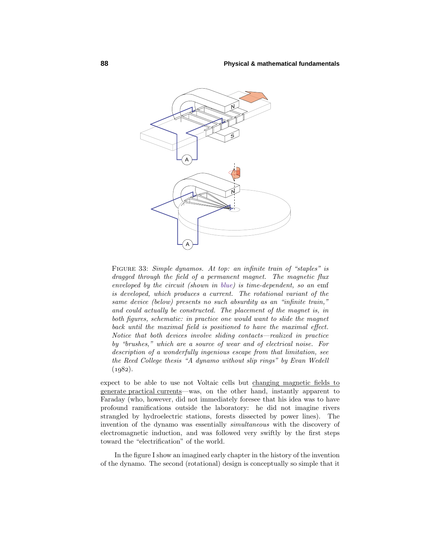

FIGURE 33: Simple dynamos. At top: an infinite train of "staples" is dragged through the field of a permanent magnet. The magnetic flux enveloped by the circuit (shown in blue) is time-dependent, so an emf is developed, which produces a current. The rotational variant of the same device (below) presents no such absurdity as an "infinite train," and could actually be constructed. The placement of the magnet is, in both figures, schematic: in practice one would want to slide the magnet back until the maximal field is positioned to have the maximal effect. Notice that both devices involve sliding contacts—realized in practice by "brushes," which are a source of wear and of electrical noise. For description of a wonderfully ingenious escape from that limitation, see the Reed College thesis "A dynamo without slip rings" by Evan Wedell  $(1982).$ 

expect to be able to use not Voltaic cells but changing magnetic fields to generate practical currents—was, on the other hand, instantly apparent to Faraday (who, however, did not immediately foresee that his idea was to have profound ramifications outside the laboratory: he did not imagine rivers strangled by hydroelectric stations, forests dissected by power lines). The invention of the dynamo was essentially *simultaneous* with the discovery of electromagnetic induction, and was followed very swiftly by the first steps toward the "electrification" of the world.

In the figure I show an imagined early chapter in the history of the invention of the dynamo. The second (rotational) design is conceptually so simple that it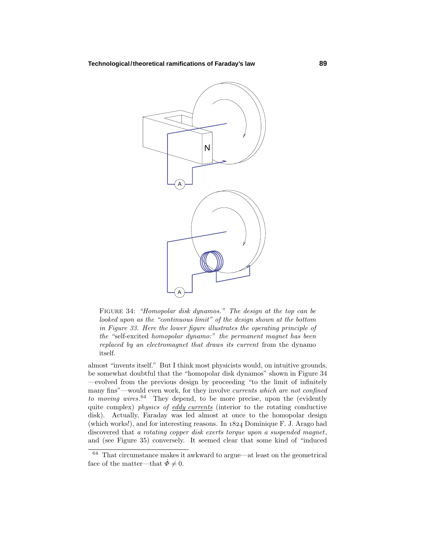

Figure 34: "Homopolar disk dynamos." The design at the top can be looked upon as the "continuous limit" of the design shown at the bottom in Figure 33. Here the lower figure illustrates the operating principle of the "self-excited homopolar dynamo:" the permanent magnet has been replaced by an electromagnet that draws its current from the dynamo itself.

almost "invents itself." But I think most physicists would, on intuitive grounds, be somewhat doubtful that the "homopolar disk dynamos" shown in Figure 34 —evolved from the previous design by proceeding "to the limit of infinitely many fins"—would even work, for they involve *currents which are not confined* to moving wires.<sup>64</sup> They depend, to be more precise, upon the (evidently quite complex) physics of eddy currents (interior to the rotating conductive disk). Actually, Faraday was led almost at once to the homopolar design (which works!), and for interesting reasons. In  $1824$  Dominique F. J. Arago had discovered that a rotating copper disk exerts torque upon a suspended magnet, and (see Figure 35) conversely. It seemed clear that some kind of "induced

 $\overline{64}$  That circumstance makes it awkward to argue—at least on the geometrical face of the matter—that  $\dot{\phi} \neq 0$ .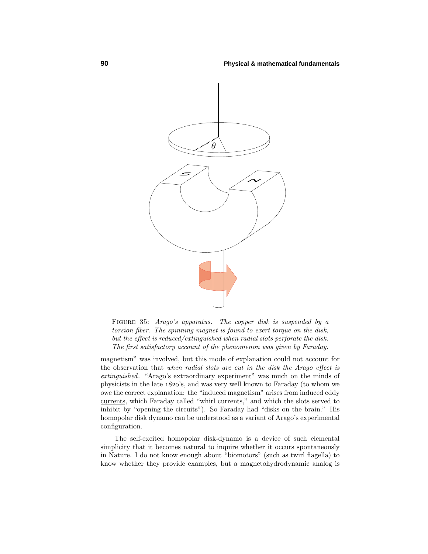

FIGURE 35: Arago's apparatus. The copper disk is suspended by a torsion fiber. The spinning magnet is found to exert torque on the disk, but the effect is reduced/extinguished when radial slots perforate the disk. The first satisfactory account of the phenomenon was given by Faraday.

magnetism" was involved, but this mode of explanation could not account for the observation that when radial slots are cut in the disk the Arago effect is extinguished. "Arago's extraordinary experiment" was much on the minds of physicists in the late  $1820$ 's, and was very well known to Faraday (to whom we owe the correct explanation: the "induced magnetism" arises from induced eddy currents, which Faraday called "whirl currents," and which the slots served to inhibit by "opening the circuits"). So Faraday had "disks on the brain." His homopolar disk dynamo can be understood as a variant of Arago's experimental configuration.

The self-excited homopolar disk-dynamo is a device of such elemental simplicity that it becomes natural to inquire whether it occurs spontaneously in Nature. I do not know enough about "biomotors" (such as twirl flagella) to know whether they provide examples, but a magnetohydrodynamic analog is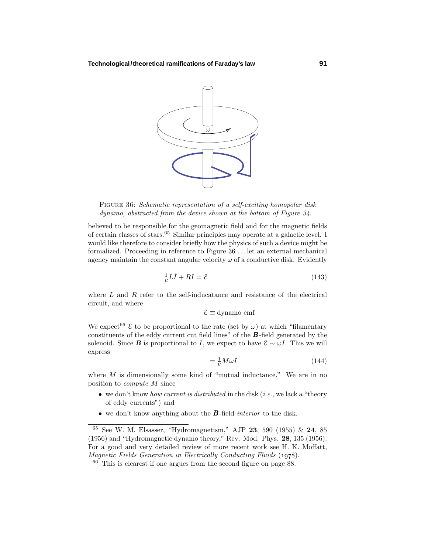

FIGURE 36: Schematic representation of a self-exciting homopolar disk dynamo, abstracted from the device shown at the bottom of Figure 34.

believed to be responsible for the geomagnetic field and for the magnetic fields of certain classes of stars.<sup>65</sup> Similar principles may operate at a galactic level. I would like therefore to consider briefly how the physics of such a device might be formalized. Proceeding in reference to Figure 36 *...* let an external mechanical agency maintain the constant angular velocity  $\omega$  of a conductive disk. Evidently

$$
\frac{1}{c}LI + RI = \mathcal{E} \tag{143}
$$

where *L* and *R* refer to the self-inducatance and resistance of the electrical circuit, and where

$$
\mathcal{E}\equiv{\rm dynamo\,\, emf}
$$

We expect<sup>66</sup>  $\mathcal E$  to be proportional to the rate (set by  $\omega$ ) at which "filamentary constituents of the eddy current cut field lines" of the *B* -field generated by the solenoid. Since **B** is proportional to *I*, we expect to have  $\mathcal{E} \sim \omega I$ . This we will express

$$
=\frac{1}{c}M\omega I\tag{144}
$$

where *M* is dimensionally some kind of "mutual inductance." We are in no position to compute *M* since

- we don't know *how current is distributed* in the disk (*i.e.*, we lack a "theory of eddy currents") and
- we don't know anything about the **B**-field *interior* to the disk.

<sup>65</sup> See W. M. Elsasser, "Hydromagnetism," AJP **23**, 590 (1955) & **24**, 85 (1956) and "Hydromagneticdynamo theory," Rev. Mod. Phys. **28**, 135 (1956). For a good and very detailed review of more recent work see H. K. Moffatt, Magnetic Fields Generation in Electrically Conducting Fluids (1978).

<sup>66</sup> This is clearest if one argues from the second figure on page 88.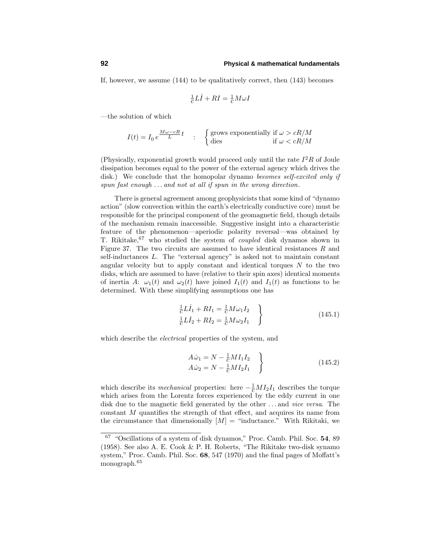If, however, we assume (144) to be qualitatively correct, then (143) becomes

$$
\frac{1}{c}L\dot{I} + RI = \frac{1}{c}M\omega I
$$

—the solution of which

$$
I(t) = I_0 e^{\frac{M\omega - cR}{L}t} \quad : \quad \begin{cases} \text{grows exponentially if } \omega > cR/M \\ \text{dies} \end{cases}
$$

(Physically, exponential growth would proceed only until the rate  $I^2R$  of Joule dissipation becomes equal to the power of the external agency which drives the disk.) We conclude that the homopolar dynamo becomes self-excited only if spun fast enough  $\dots$  and not at all if spun in the wrong direction.

There is general agreement among geophysicists that some kind of "dynamo action" (slow convection within the earth's electrically conductive core) must be responsible for the principal component of the geomagnetic field, though details of the mechanism remain inaccessible. Suggestive insight into a characteristic feature of the phenomenon—aperiodic polarity reversal—was obtained by T. Rikitake, <sup>67</sup> who studied the system of *coupled* disk dynamos shown in Figure 37. The two circuits are assumed to have identical resistances *R* and self-inductances *L*. The "external agency" is asked not to maintain constant angular velocity but to apply constant and identical torques *N* to the two disks, which are assumed to have (relative to their spin axes) identical moments of inertia *A*:  $\omega_1(t)$  and  $\omega_2(t)$  have joined  $I_1(t)$  and  $I_1(t)$  as functions to be determined. With these simplifying assumptions one has

$$
\frac{1}{c}L\dot{I}_1 + RI_1 = \frac{1}{c}M\omega_1 I_2
$$
\n
$$
\frac{1}{c}L\dot{I}_2 + RI_2 = \frac{1}{c}M\omega_2 I_1
$$
\n(145.1)

which describe the *electrical* properties of the system, and

$$
A\dot{\omega}_1 = N - \frac{1}{c} M I_1 I_2 \nA\dot{\omega}_2 = N - \frac{1}{c} M I_2 I_1
$$
\n(145.2)

which describe its *mechanical* properties: here  $-\frac{1}{c}ML_2I_1$  describes the torque which arises from the Lorentz forces experienced by the eddy current in one disk due to the magnetic field generated by the other ...and vice versa. The constant *M* quantifies the strength of that effect, and acquires its name from the circumstance that dimensionally  $[M] =$  "inductance." With Rikitaki, we

<sup>67</sup> "Oscillations of a system of disk dynamos," Proc. Camb. Phil. Soc. **54**, 89 (1958). See also A. E. Cook & P. H. Roberts, "The Rikitake two-disk synamo system," Proc. Camb. Phil. Soc. **68**, 547 (1970) and the final pages of Moffatt's monograph.<sup>65</sup>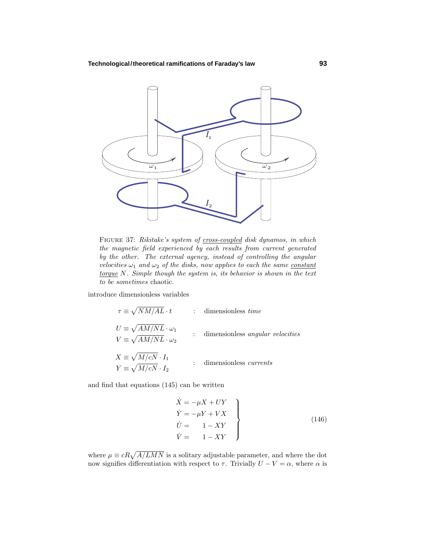**Technological/theoretical ramifications of Faraday's law 93**



FIGURE 37: Rikitake's system of cross-coupled disk dynamos, in which the magnetic field experienced by each results from current generated by the other. The external agency, instead of controlling the angular velocities  $\omega_1$  and  $\omega_2$  of the disks, now applies to each the same <u>constant</u> torque *N*. Simple though the system is, its behavior is shown in the text to be sometimes chaotic.

introduce dimensionless variables

$$
\tau \equiv \sqrt{NM/AL} \cdot t
$$
 : dimensionless *time*  
\n
$$
U \equiv \sqrt{AM/NL} \cdot \omega_1
$$
  
\n
$$
V \equiv \sqrt{AM/NL} \cdot \omega_2
$$
 : dimensionless angular velocities  
\n
$$
X \equiv \sqrt{M/cN} \cdot I_1
$$
  
\n
$$
Y \equiv \sqrt{M/cN} \cdot I_2
$$
 : dimensionless currents

and find that equations (145) can be written

$$
\begin{aligned}\n\dot{X} &= -\mu X + UY \\
\dot{Y} &= -\mu Y + VX \\
\dot{U} &= 1 - XY \\
\dot{V} &= 1 - XY\n\end{aligned}
$$
\n(146)

where  $\mu \equiv cR\sqrt{A/LMN}$  is a solitary adjustable parameter, and where the dot now signifies differentiation with respect to  $\tau$ . Trivially  $U - V = \alpha$ , where  $\alpha$  is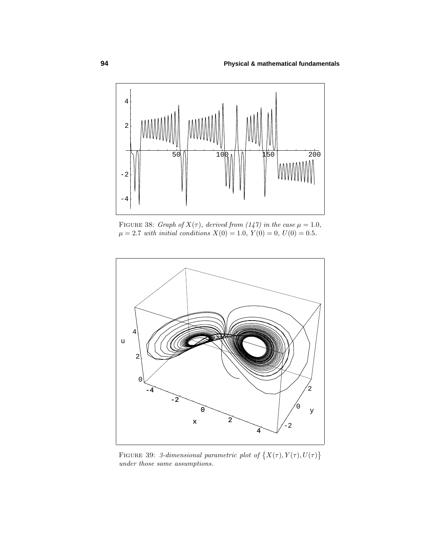

FIGURE 38: Graph of  $X(\tau)$ , derived from (147) in the case  $\mu = 1.0$ ,  $\mu = 2.7$  with initial conditions  $X(0) = 1.0$ ,  $Y(0) = 0$ ,  $U(0) = 0.5$ .



FIGURE 39: 3-dimensional parametric plot of  $\{X(\tau), Y(\tau), U(\tau)\}$ under those same assumptions.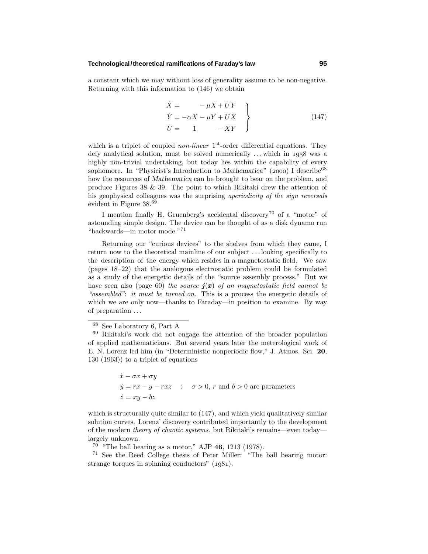#### **Technological/theoretical ramifications of Faraday's law 95**

a constant which we may without loss of generality assume to be non-negative. Returning with this information to (146) we obtain

$$
\begin{aligned}\n\dot{X} &= -\mu X + UY \\
\dot{Y} &= -\alpha X - \mu Y + UX \\
\dot{U} &= 1 \qquad -XY\n\end{aligned}
$$
\n(147)

which is a triplet of coupled *non-linear*  $1<sup>st</sup>$ -order differential equations. They defy analytical solution, must be solved numerically ...which in 1958 was a highly non-trivial undertaking, but today lies within the capability of every sophomore. In "Physicist's Introduction to *Mathematica*" (2000) I describe<sup>68</sup> how the resources of *Mathematica* can be brought to bear on the problem, and produce Figures 38 & 39. The point to which Rikitaki drew the attention of his geophysical colleagues was the surprising *aperiodicity of the sign reversals* evident in Figure 38.<sup>69</sup>

I mention finally H. Gruenberg's accidental discovery<sup>70</sup> of a "motor" of astounding simple design. The device can be thought of as a disk dynamo run "backwards—in motor mode."<sup>71</sup>

Returning our "curious devices" to the shelves from which they came, I return now to the theoretical mainline of our subject *...* looking specifically to the description of the energy which resides in a magnetostatic field. We saw (pages 18–22) that the analogous electrostatic problem could be formulated as a study of the energetic details of the "source assembly process." But we have seen also (page 60) the source  $\mathbf{j}(\mathbf{x})$  of an magnetostatic field cannot be "assembled": it must be turned on. This is a process the energetic details of which we are only now—thanks to Faraday—in position to examine. By way of preparation *...*

$$
\begin{aligned}\n\dot{x} - \sigma x + \sigma y \\
\dot{y} &= rx - y - rxz \quad : \quad \sigma > 0, \, r \text{ and } b > 0 \text{ are parameters} \\
\dot{z} &= xy - bz\n\end{aligned}
$$

which is structurally quite similar to  $(147)$ , and which yield qualitatively similar solution curves. Lorenz' discovery contributed importantly to the development of the modern theory of chaotic systems, but Rikitaki's remains—even today largely unknown.

<sup>70</sup> "The ball bearing as a motor," AJP **46**, 1213 (1978).

<sup>71</sup> See the Reed College thesis of Peter Miller: "The ball bearing motor: strange torques in spinning conductors"  $(1981)$ .

<sup>68</sup> See Laboratory 6, Part A

<sup>69</sup> Rikitaki's work did not engage the attention of the broader population of applied mathematicians. But several years later the meterological work of E. N. Lorenz led him (in "Deterministic nonperiodic flow," J. Atmos. Sci. **20**, 130 (1963)) to a triplet of equations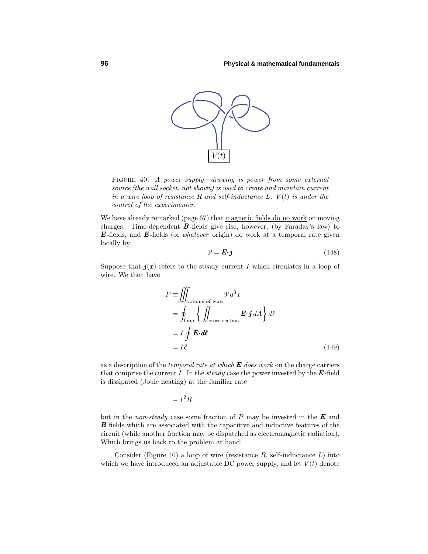

FIGURE 40: A power supply—drawing is power from some external source (the wall socket, not shown) is used to create and maintain current in a wire loop of resistance  $R$  and self-inductance  $L$ .  $V(t)$  is under the control of the experimenter.

We have already remarked (page 67) that <u>magnetic fields do no work</u> on moving charges. Time-dependent *B* -fields give rise, however, (by Faraday's law) to *E* -fields, and *E* -fields (of whatever origin) do work at a temporal rate given locally by

$$
\mathcal{P} = \boldsymbol{E} \boldsymbol{\cdot} \boldsymbol{j} \tag{148}
$$

Suppose that  $\mathbf{i}(x)$  refers to the steady current *I* which circulates in a loop of wire. We then have

$$
P = \iiint_{\text{volume of wire}} \mathcal{P} d^3 x
$$
  
=  $\oint_{\text{loop}} \left\{ \iint_{\text{cross section}} \mathbf{E} \cdot \mathbf{j} dA \right\} d\ell$   
=  $I \oint \mathbf{E} \cdot d\ell$   
=  $I \mathcal{E}$  (149)

as a description of the temporal rate at which *E* does work on the charge carriers that comprise the current  $I$ . In the *steady* case the power invested by the  $E$ -field is dissipated (Joule heating) at the familiar rate

$$
=I^2R
$$

but in the non-steady case some fraction of *P* may be invested in the *E* and *B* fields which are associated with the capacitive and inductive features of the circuit (while another fraction may be dispatched as electromagnetic radiation). Which brings us back to the problem at hand:

Consider (Figure 40) a loop of wire (resistance *R*, self-inductance *L*) into which we have introduced an adjustable DC power supply, and let  $V(t)$  denote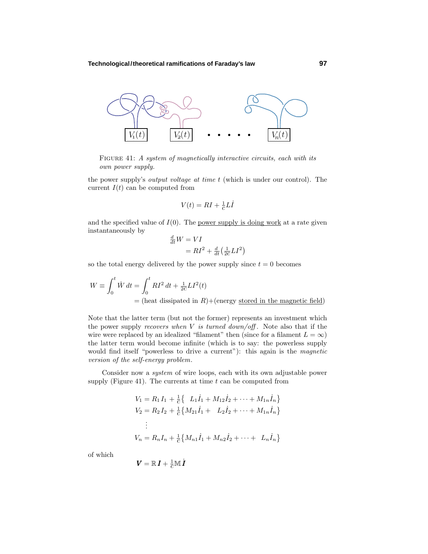

FIGURE 41: A system of magnetically interactive circuits, each with its own power supply.

the power supply's output voltage at time *t* (which is under our control). The current  $I(t)$  can be computed from

$$
V(t) = RI + \frac{1}{c}LI
$$

and the specified value of  $I(0)$ . The power supply is doing work at a rate given instantaneously by

$$
\frac{d}{dt}W = VI
$$
  
=  $RI^2 + \frac{d}{dt} \left(\frac{1}{2c}LI^2\right)$ 

so the total energy delivered by the power supply since  $t = 0$  becomes

$$
W \equiv \int_0^t \dot{W} \, dt = \int_0^t R I^2 \, dt + \frac{1}{2c} L I^2(t)
$$
  
= (heat dissipated in *R*) + (energy stored in the magnetic field)

Note that the latter term (but not the former) represents an investment which the power supply *recovers when*  $V$  is turned down/off. Note also that if the wire were replaced by an idealized "filament" then (since for a filament  $L = \infty$ ) the latter term would become infinite (which is to say: the powerless supply would find itself "powerless to drive a current"): this again is the *magnetic* version of the self-energy problem.

Consider now a system of wire loops, each with its own adjustable power supply (Figure 41). The currents at time *t* can be computed from

$$
V_1 = R_1 I_1 + \frac{1}{C} \{ L_1 I_1 + M_{12} I_2 + \dots + M_{1n} I_n \}
$$
  
\n
$$
V_2 = R_2 I_2 + \frac{1}{C} \{ M_{21} I_1 + L_2 I_2 + \dots + M_{1n} I_n \}
$$
  
\n
$$
\vdots
$$
  
\n
$$
V_n = R_n I_n + \frac{1}{C} \{ M_{n1} I_1 + M_{n2} I_2 + \dots + L_n I_n \}
$$

of which

$$
\boldsymbol{V} = \mathbb{R}\,\boldsymbol{I} + \tfrac{1}{C}\mathbb{M}\,\dot{\boldsymbol{I}}
$$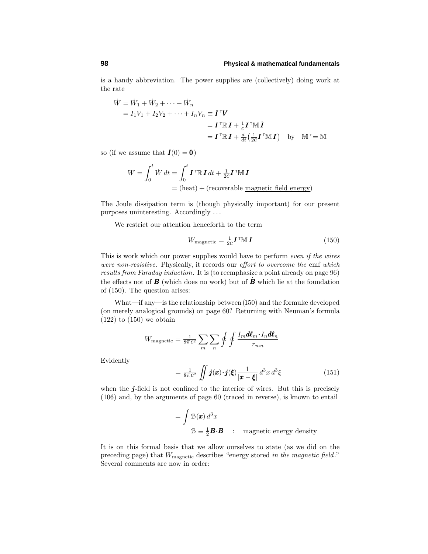is a handy abbreviation. The power supplies are (collectively) doing work at the rate

$$
\dot{W} = \dot{W}_1 + \dot{W}_2 + \dots + \dot{W}_n
$$
\n
$$
= I_1 V_1 + I_2 V_2 + \dots + I_n V_n \equiv \mathbf{I}^\top \mathbf{V}
$$
\n
$$
= \mathbf{I}^\top \mathbb{R} \mathbf{I} + \frac{1}{C} \mathbf{I}^\top \mathbb{M} \dot{\mathbf{I}}
$$
\n
$$
= \mathbf{I}^\top \mathbb{R} \mathbf{I} + \frac{d}{dt} \left( \frac{1}{2C} \mathbf{I}^\top \mathbb{M} \mathbf{I} \right) \text{ by } \mathbb{M}^\top = \mathbb{M}
$$

so (if we assume that  $\mathbf{I}(0) = \mathbf{0}$ )

$$
W = \int_0^t \dot{W} dt = \int_0^t \mathbf{I}^\top \mathbb{R} \mathbf{I} dt + \frac{1}{2c} \mathbf{I}^\top \mathbb{M} \mathbf{I}
$$
  
= (heat) + (recoverable magnetic field energy)

The Joule dissipation term is (though physically important) for our present purposes uninteresting. Accordingly *...*

We restrict our attention henceforth to the term

$$
W_{\text{magnetic}} = \frac{1}{2c} \mathbf{I}^\mathsf{T} \mathbb{M} \mathbf{I} \tag{150}
$$

This is work which our power supplies would have to perform *even if the wires* were non-resistive. Physically, it records our effort to overcome the emf which results from Faraday induction. It is (to reemphasize a point already on page 96) the effects not of  $\vec{B}$  (which does no work) but of  $\vec{B}$  which lie at the foundation of (150). The question arises:

What—if any—is the relationship between  $(150)$  and the formulæ developed (on merely analogical grounds) on page 60? Returning with Neuman's formula  $(122)$  to  $(150)$  we obtain

$$
W_{\text{magnetic}} = \frac{1}{8\pi c^2} \sum_{m} \sum_{n} \oint \oint \frac{I_m \mathbf{d} \mathbf{\ell}_m \cdot I_n \mathbf{d} \mathbf{\ell}_n}{r_{mn}}
$$

Evidently

$$
=\frac{1}{8\pi c^2}\iint\boldsymbol{j}(\boldsymbol{x})\cdot\boldsymbol{j}(\boldsymbol{\xi})\frac{1}{|\boldsymbol{x}-\boldsymbol{\xi}|}\,d^3x\,d^3\boldsymbol{\xi}\tag{151}
$$

when the *j*-field is not confined to the interior of wires. But this is precisely (106) and, by the arguments of page 60 (traced in reverse), is known to entail

$$
= \int \mathcal{B}(\mathbf{x}) d^3 x
$$
  
 
$$
\mathcal{B} \equiv \frac{1}{2} \mathbf{B} \cdot \mathbf{B} \quad : \text{ magnetic energy density}
$$

It is on this formal basis that we allow ourselves to state (as we did on the preceding page) that  $W_{\text{magnetic}}$  describes "energy stored in the magnetic field." Several comments are now in order: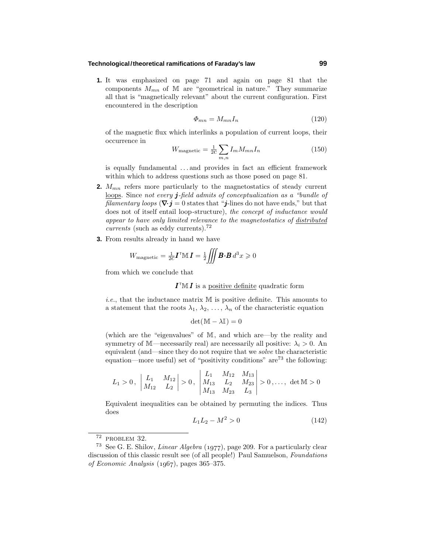#### **Technological/theoretical ramifications of Faraday's law 99**

**1.** It was emphasized on page 71 and again on page 81 that the components  $M_{mn}$  of  $M$  are "geometrical in nature." They summarize all that is "magnetically relevant" about the current configuration. First encountered in the description

$$
\Phi_{mn} = M_{mn} I_n \tag{120}
$$

of the magnetic flux which interlinks a population of current loops, their occurrence in

$$
W_{\text{magnetic}} = \frac{1}{2c} \sum_{m,n} I_m M_{mn} I_n \tag{150}
$$

is equally fundamental *...* and provides in fact an efficient framework within which to address questions such as those posed on page 81.

- **2.** *Mmn* refers more particularly to the magnetostatics of steady current loops. Since not every *j*-field admits of conceptualization as a "bundle of *filamentary loops* ( $\nabla \cdot \mathbf{j} = 0$  states that " $\mathbf{j}$ -lines do not have ends," but that does not of itself entail loop-structure), the concept of inductance would appear to have only limited relevance to the magnetostatics of distributed *currents* (such as eddy currents).<sup>72</sup>
- **3.** From results already in hand we have

$$
W_{\text{magnetic}} = \frac{1}{2c} \boldsymbol{I}^\mathsf{T} \mathbb{M} \, \boldsymbol{I} = \frac{1}{2} \iiint \boldsymbol{B} \cdot \boldsymbol{B} \, d^3 x \geqslant 0
$$

from which we conclude that

 $I^{\dagger}$ M $I$  is a positive definite quadratic form

*i.e.*, that the inductance matrix  $M$  is positive definite. This amounts to a statement that the roots  $\lambda_1, \lambda_2, \ldots, \lambda_n$  of the characteristic equation

$$
\det(\mathbb{M} - \lambda \mathbb{I}) = 0
$$

(which are the "eigenvalues" of M, and which are—by the reality and symmetry of M—necessarily real) are necessarily all positive:  $\lambda_i > 0$ . An equivalent (and—since they do not require that we solve the characteristic equation—more useful) set of "positivity conditions" are<sup> $73$ </sup> the following:

$$
L_1 > 0
$$
,  $\begin{vmatrix} L_1 & M_{12} \\ M_{12} & L_2 \end{vmatrix} > 0$ ,  $\begin{vmatrix} L_1 & M_{12} & M_{13} \\ M_{13} & L_2 & M_{23} \\ M_{13} & M_{23} & L_3 \end{vmatrix} > 0$ , ..., det M > 0

Equivalent inequalities can be obtained by permuting the indices. Thus does

$$
L_1 L_2 - M^2 > 0 \tag{142}
$$

<sup>72</sup> problem 32.

<sup>&</sup>lt;sup>73</sup> See G. E. Shilov, *Linear Algebra* (1977), page 209. For a particularly clear discussion of this classic result see (of all people!) Paul Samuelson, Foundations of Economic Analysis  $(1967)$ , pages 365–375.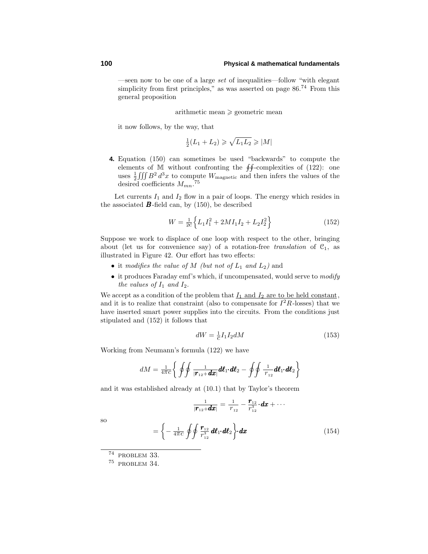—seen now to be one of a large set of inequalities—follow "with elegant simplicity from first principles," as was asserted on page  $86.^{74}$  From this general proposition

arithmetic mean  $\geq$  geometric mean

it now follows, by the way, that

$$
\frac{1}{2}(L_1 + L_2) \geqslant \sqrt{L_1 L_2} \geqslant |M|
$$

**4.** Equation (150) can sometimes be used "backwards" to compute the elements of M without confronting the  $\oint$ -complexities of (122): one uses  $\frac{1}{2} \iiint B^2 d^3x$  to compute  $W_{\text{magnetic}}$  and then infers the values of the desired coefficients *Mmn*. 75

Let currents  $I_1$  and  $I_2$  flow in a pair of loops. The energy which resides in the associated  $\vec{B}$ -field can, by (150), be described

$$
W = \frac{1}{2c} \left\{ L_1 I_1^2 + 2M I_1 I_2 + L_2 I_2^2 \right\}
$$
 (152)

Suppose we work to displace of one loop with respect to the other, bringing about (let us for convenience say) of a rotation-free translation of  $\mathfrak{C}_1$ , as illustrated in Figure 42. Our effort has two effects:

- it modifies the value of  $M$  (but not of  $L_1$  and  $L_2$ ) and
- $\bullet$  it produces Faraday emf's which, if uncompensated, would serve to modify the values of  $I_1$  and  $I_2$ .

We accept as a condition of the problem that  $I_1$  and  $I_2$  are to be held constant, and it is to realize that constraint (also to compensate for  $I^2R$ -losses) that we have inserted smart power supplies into the circuits. From the conditions just stipulated and (152) it follows that

$$
dW = \frac{1}{c} I_1 I_2 dM \tag{153}
$$

Working from Neumann's formula (122) we have

$$
dM = \frac{1}{4\pi c} \bigg\{ \oint \oint \frac{1}{|\boldsymbol{r}_{12} + \boldsymbol{dx}|} \boldsymbol{d}\boldsymbol{\ell}_1 \boldsymbol{\cdot} \boldsymbol{d}\boldsymbol{\ell}_2 - \oint \oint \frac{1}{r_{12}} \boldsymbol{d}\boldsymbol{\ell}_1 \boldsymbol{\cdot} \boldsymbol{d}\boldsymbol{\ell}_2 \bigg\}
$$

and it was established already at (10.1) that by Taylor's theorem

$$
\frac{1}{|\boldsymbol{r}_{12}+\boldsymbol{dx}|} = \frac{1}{r_{12}} - \frac{\boldsymbol{r}_{12}}{r_{12}^3} \cdot \boldsymbol{dx} + \cdots
$$
\n
$$
= \left\{ -\frac{1}{4\pi c} \oint \oint \frac{\boldsymbol{r}_{12}}{r_{12}^3} \, \boldsymbol{d}\boldsymbol{\ell}_1 \cdot \boldsymbol{d}\boldsymbol{\ell}_2 \right\} \cdot \boldsymbol{dx} \tag{154}
$$

so

<sup>74</sup> problem 33.

 $^{75}\,$  PROBLEM 34.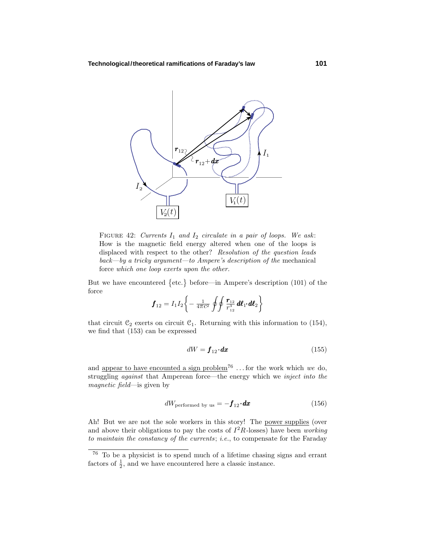

FIGURE 42: Currents  $I_1$  and  $I_2$  circulate in a pair of loops. We ask: How is the magnetic field energy altered when one of the loops is displaced with respect to the other? Resolution of the question leads  $back-by$  a tricky argument—to Ampere's description of the mechanical force which one loop exerts upon the other.

But we have encountered  $\{etc.\}$  before—in Ampere's description  $(101)$  of the force

$$
\bm{f}_{12}=I_1I_2\bigg\{-\frac{1}{4\pi c^2}\oint\oint \frac{\bm{r}_{12}}{r_{12}^3}\,d\bm{\ell}_1\!\!\cdot\!\!\cdot\!\!\cdot d\bm{\ell}_2\bigg\}
$$

that circuit  $\mathcal{C}_2$  exerts on circuit  $\mathcal{C}_1$ . Returning with this information to (154), we find that (153) can be expressed

$$
dW = \boldsymbol{f}_{12} \cdot \boldsymbol{dx} \tag{155}
$$

and appear to have encounted a sign problem<sup>76</sup> ... for the work which we do, struggling against that Amperean force—the energy which we inject into the magnetic field—is given by

$$
dW_{\text{performed by us}} = -\boldsymbol{f}_{12} \cdot d\boldsymbol{x} \tag{156}
$$

Ah! But we are not the sole workers in this story! The power supplies (over and above their obligations to pay the costs of  $I^2R$ -losses) have been working to maintain the constancy of the currents; i.e., to compensate for the Faraday

<sup>76</sup> To be a physicist is to spend much of a lifetime chasing signs and errant factors of  $\frac{1}{2}$ , and we have encountered here a classic instance.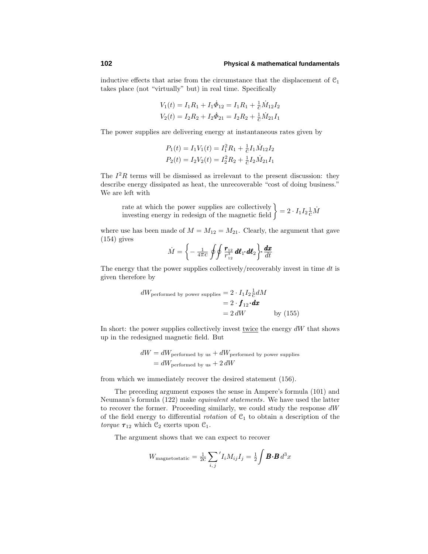### **102 Physical & mathematical fundamentals**

inductive effects that arise from the circumstance that the displacement of  $\mathcal{C}_1$ takes place (not "virtually" but) in real time. Specifically

$$
V_1(t) = I_1 R_1 + I_1 \dot{\Phi}_{12} = I_1 R_1 + \frac{1}{C} \dot{M}_{12} I_2
$$
  

$$
V_2(t) = I_2 R_2 + I_2 \dot{\Phi}_{21} = I_2 R_2 + \frac{1}{C} \dot{M}_{21} I_1
$$

The power supplies are delivering energy at instantaneous rates given by

$$
P_1(t) = I_1 V_1(t) = I_1^2 R_1 + \frac{1}{C} I_1 \dot{M}_{12} I_2
$$
  

$$
P_2(t) = I_2 V_2(t) = I_2^2 R_2 + \frac{1}{C} I_2 \dot{M}_{21} I_1
$$

The  $I^2R$  terms will be dismissed as irrelevant to the present discussion: they describe energy dissipated as heat, the unrecoverable "cost of doing business." We are left with

rate at which the power supplies are collectively  $\left\} = 2 \cdot I_1 I_2 \frac{1}{c} \dot{M}$ <br>investing energy in redesign of the magnetic field  $\right\}$ 

where use has been made of  $M = M_{12} = M_{21}$ . Clearly, the argument that gave (154) gives

$$
\dot{M} = \left\{-\frac{1}{4\pi c} \oint \oint \frac{\mathbf{r}_{12}}{r_{12}^3} \, d\boldsymbol{\ell}_1 \, d\boldsymbol{\ell}_2\right\} \cdot \frac{d\mathbf{x}}{dt}
$$

The energy that the power supplies collectively/recoverably invest in time *dt* is given therefore by

$$
dW_{\text{performed by power supplies}} = 2 \cdot I_1 I_2 \frac{1}{c} dM
$$

$$
= 2 \cdot \mathbf{f}_{12} \cdot \mathbf{dx}
$$

$$
= 2 dW \qquad \text{by (155)}
$$

In short: the power supplies collectively invest twice the energy *dW* that shows up in the redesigned magnetic field. But

$$
dW = dW_{\text{performed by us}} + dW_{\text{performed by power supplies}}
$$
  
= 
$$
dW_{\text{performed by us}} + 2 dW
$$

from which we immediately recover the desired statement (156).

The preceding argument exposes the sense in Ampere's formula (101) and Neumann's formula (122) make equivalent statements. We have used the latter to recover the former. Proceeding similarly, we could study the response *dW* of the field energy to differential *rotation* of  $C_1$  to obtain a description of the *torque*  $\tau_{12}$  which  $C_2$  exerts upon  $C_1$ .

The argument shows that we can expect to recover

$$
W_{\text{magnetostatic}} = \frac{1}{2c} \sum_{i,j}^{\prime} I_i M_{ij} I_j = \frac{1}{2} \int \boldsymbol{B} \cdot \boldsymbol{B} d^3 x
$$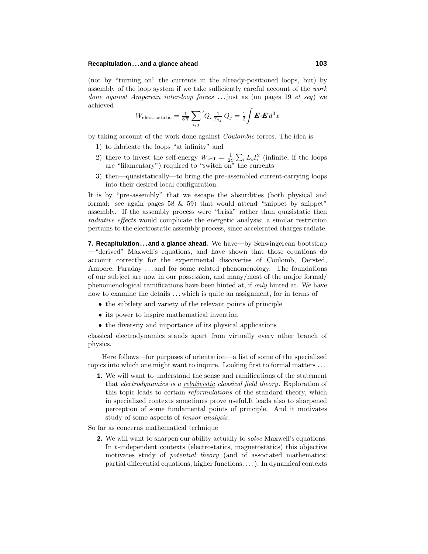### **Recapitulation . . .and a glance ahead 103**

(not by "turning on" the currents in the already-positioned loops, but) by assembly of the loop system if we take sufficiently careful account of the work done against Amperean inter-loop forces *...* just as (on pages 19 et seq) we achieved

$$
W_{\text{electrostatic}} = \frac{1}{8\pi} \sum_{i,j}^{\prime} Q_i \, \frac{1}{r_{ij}} Q_j = \frac{1}{2} \int \boldsymbol{E} \cdot \boldsymbol{E} \, d^3 x
$$

by taking account of the work done against Coulombic forces. The idea is

- 1) to fabricate the loops "at infinity" and
- 2) there to invest the self-energy  $W_{\text{self}} = \frac{1}{2c} \sum_{i} L_i I_i^2$  (infinite, if the loops are "filamentary") required to "switch on" the currents
- 3) then—quasistatically—to bring the pre-assembled current-carrying loops into their desired local configuration.

It is by "pre-assembly" that we escape the absurdities (both physical and formal: see again pages  $58 \& 59$ ) that would attend "snippet by snippet" assembly. If the assembly process were "brisk" rather than quasistatic then radiative effects would complicate the energetic analysis: a similar restriction pertains to the electrostatic assembly process, since accelerated charges radiate.

**7. Recapitulation . . .and a glance ahead.** We have—by Schwingerean bootstrap —"derived" Maxwell's equations, and have shown that those equations do account correctly for the experimental discoveries of Coulomb, Oersted, Ampere, Faraday *...* and for some related phenomenology. The foundations of our subject are now in our possession, and many/most of the major formal/ phenomenological ramifications have been hinted at, if only hinted at. We have now to examine the details *...* which is quite an assignment, for in terms of

- the subtlety and variety of the relevant points of principle
- its power to inspire mathematical invention
- the diversity and importance of its physical applications

classical electrodynamics stands apart from virtually every other branch of physics.

Here follows—for purposes of orientation—a list of some of the specialized topics into which one might want to inquire. Looking first to formal matters *...*

**1.** We will want to understand the sense and ramifications of the statement that electrodynamics is a relativistic classical field theory. Exploration of this topic leads to certain reformulations of the standard theory, which in specialized contexts sometimes prove useful.It leads also to sharpened perception of some fundamental points of principle. And it motivates study of some aspects of tensor analysis.

So far as concerns mathematical technique

**2.** We will want to sharpen our ability actually to solve Maxwell's equations. In *t*-independent contexts (electrostatics, magnetostatics) this objective motivates study of *potential theory* (and of associated mathematics: partial differential equations, higher functions, *...*). In dynamical contexts